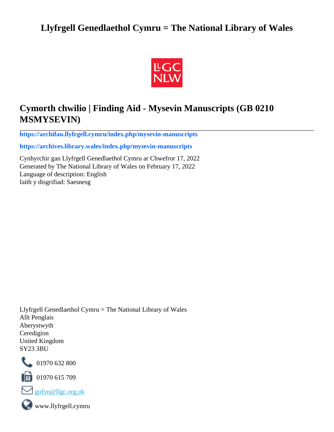## **Llyfrgell Genedlaethol Cymru = The National Library of Wales**



## **Cymorth chwilio | Finding Aid - Mysevin Manuscripts (GB 0210 MSMYSEVIN)**

**[https://archifau.llyfrgell.cymru/index.php/mysevin-manuscripts](https://archifau.llyfrgell.cymru/index.php/mysevin-manuscripts;isad?sf_culture=cy)**

**[https://archives.library.wales/index.php/mysevin-manuscripts](https://archives.library.wales/index.php/mysevin-manuscripts;isad?sf_culture=en)**

Cynhyrchir gan Llyfrgell Genedlaethol Cymru ar Chwefror 17, 2022 Generated by The National Library of Wales on February 17, 2022 Language of description: English Iaith y disgrifiad: Saesnesg

Llyfrgell Genedlaethol Cymru = The National Library of Wales Allt Penglais Aberystwyth Ceredigion United Kingdom SY23 3BU



101970 632 800

 $\blacksquare$  01970 615 709



www.llyfrgell.cymru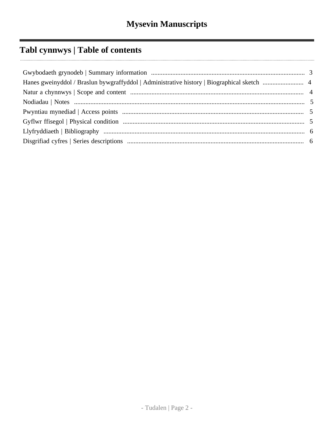# Tabl cynnwys | Table of contents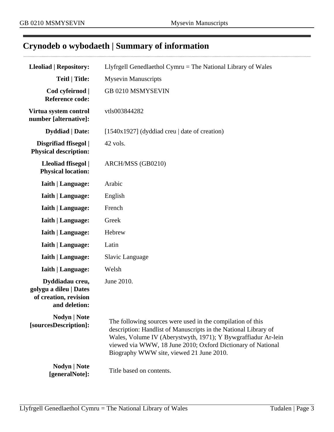. . . . . .

# <span id="page-2-0"></span>**Crynodeb o wybodaeth | Summary of information**

| <b>Lleoliad   Repository:</b>                                                       | Llyfrgell Genedlaethol Cymru = The National Library of Wales                                                                                                                                                                                                                                              |  |
|-------------------------------------------------------------------------------------|-----------------------------------------------------------------------------------------------------------------------------------------------------------------------------------------------------------------------------------------------------------------------------------------------------------|--|
| <b>Teitl   Title:</b>                                                               | <b>Mysevin Manuscripts</b>                                                                                                                                                                                                                                                                                |  |
| Cod cyfeirnod  <br><b>Reference code:</b>                                           | GB 0210 MSMYSEVIN                                                                                                                                                                                                                                                                                         |  |
| Virtua system control<br>number [alternative]:                                      | vtls003844282                                                                                                                                                                                                                                                                                             |  |
| <b>Dyddiad</b>   Date:                                                              | [ $1540x1927$ ] (dyddiad creu   date of creation)                                                                                                                                                                                                                                                         |  |
| Disgrifiad ffisegol  <br><b>Physical description:</b>                               | 42 vols.                                                                                                                                                                                                                                                                                                  |  |
| Lleoliad ffisegol  <br><b>Physical location:</b>                                    | ARCH/MSS (GB0210)                                                                                                                                                                                                                                                                                         |  |
| <b>Iaith   Language:</b>                                                            | Arabic                                                                                                                                                                                                                                                                                                    |  |
| <b>Iaith   Language:</b>                                                            | English                                                                                                                                                                                                                                                                                                   |  |
| <b>Iaith   Language:</b>                                                            | French                                                                                                                                                                                                                                                                                                    |  |
| <b>Iaith   Language:</b>                                                            | Greek                                                                                                                                                                                                                                                                                                     |  |
| <b>Iaith   Language:</b>                                                            | Hebrew                                                                                                                                                                                                                                                                                                    |  |
| <b>Iaith   Language:</b>                                                            | Latin                                                                                                                                                                                                                                                                                                     |  |
| <b>Iaith   Language:</b>                                                            | Slavic Language                                                                                                                                                                                                                                                                                           |  |
| <b>Iaith   Language:</b>                                                            | Welsh                                                                                                                                                                                                                                                                                                     |  |
| Dyddiadau creu,<br>golygu a dileu   Dates<br>of creation, revision<br>and deletion: | June 2010.                                                                                                                                                                                                                                                                                                |  |
| Nodyn   Note<br>[sourcesDescription]:                                               | The following sources were used in the compilation of this<br>description: Handlist of Manuscripts in the National Library of<br>Wales, Volume IV (Aberystwyth, 1971); Y Bywgraffiadur Ar-lein<br>viewed via WWW, 18 June 2010; Oxford Dictionary of National<br>Biography WWW site, viewed 21 June 2010. |  |
| <b>Nodyn</b>   Note<br>[generalNote]:                                               | Title based on contents.                                                                                                                                                                                                                                                                                  |  |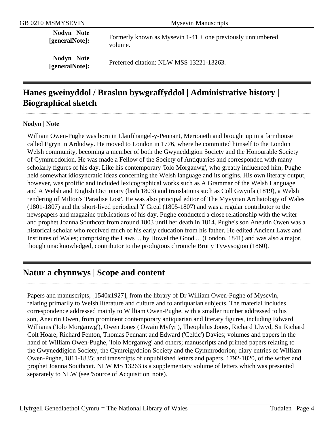**Nodyn | Note**

**EXECUTE:** Formerly known as Mysevin 1-41 + one previously unnumbered **[generalNote]:** volume.

**Nodyn | Note**

**[generalNote]:** Preferred citation: NLW MSS 13221-13263.

## <span id="page-3-0"></span>**Hanes gweinyddol / Braslun bywgraffyddol | Administrative history | Biographical sketch**

#### **Nodyn | Note**

William Owen-Pughe was born in Llanfihangel-y-Pennant, Merioneth and brought up in a farmhouse called Egryn in Ardudwy. He moved to London in 1776, where he committed himself to the London Welsh community, becoming a member of both the Gwyneddigion Society and the Honourable Society of Cymmrodorion. He was made a Fellow of the Society of Antiquaries and corresponded with many scholarly figures of his day. Like his contemporary 'Iolo Morganwg', who greatly influenced him, Pughe held somewhat idiosyncratic ideas concerning the Welsh language and its origins. His own literary output, however, was prolific and included lexicographical works such as A Grammar of the Welsh Language and A Welsh and English Dictionary (both 1803) and translations such as Coll Gwynfa (1819), a Welsh rendering of Milton's 'Paradise Lost'. He was also principal editor of The Myvyrian Archaiology of Wales (1801-1807) and the short-lived periodical Y Greal (1805-1807) and was a regular contributor to the newspapers and magazine publications of his day. Pughe conducted a close relationship with the writer and prophet Joanna Southcott from around 1803 until her death in 1814. Pughe's son Aneurin Owen was a historical scholar who received much of his early education from his father. He edited Ancient Laws and Institutes of Wales; comprising the Laws ... by Howel the Good ... (London, 1841) and was also a major, though unacknowledged, contributor to the prodigious chronicle Brut y Tywysogion (1860).

## <span id="page-3-1"></span>**Natur a chynnwys | Scope and content**

Papers and manuscripts, [1540x1927], from the library of Dr William Owen-Pughe of Mysevin, relating primarily to Welsh literature and culture and to antiquarian subjects. The material includes correspondence addressed mainly to William Owen-Pughe, with a smaller number addressed to his son, Aneurin Owen, from prominent contemporary antiquarian and literary figures, including Edward Williams ('Iolo Morganwg'), Owen Jones ('Owain Myfyr'), Theophilus Jones, Richard Llwyd, Sir Richard Colt Hoare, Richard Fenton, Thomas Pennant and Edward ('Celtic') Davies; volumes and papers in the hand of William Owen-Pughe, 'Iolo Morganwg' and others; manuscripts and printed papers relating to the Gwyneddigion Society, the Cymreigyddion Society and the Cymmrodorion; diary entries of William Owen-Pughe, 1811-1835; and transcripts of unpublished letters and papers, 1792-1820, of the writer and prophet Joanna Southcott. NLW MS 13263 is a supplementary volume of letters which was presented separately to NLW (see 'Source of Acquisition' note).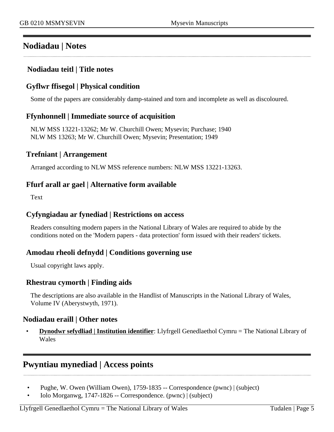## <span id="page-4-0"></span>**Nodiadau | Notes**

### **Nodiadau teitl | Title notes**

### <span id="page-4-2"></span>**Gyflwr ffisegol | Physical condition**

Some of the papers are considerably damp-stained and torn and incomplete as well as discoloured.

### **Ffynhonnell | Immediate source of acquisition**

NLW MSS 13221-13262; Mr W. Churchill Owen; Mysevin; Purchase; 1940 NLW MS 13263; Mr W. Churchill Owen; Mysevin; Presentation; 1949

### **Trefniant | Arrangement**

Arranged according to NLW MSS reference numbers: NLW MSS 13221-13263.

### **Ffurf arall ar gael | Alternative form available**

Text

#### **Cyfyngiadau ar fynediad | Restrictions on access**

Readers consulting modern papers in the National Library of Wales are required to abide by the conditions noted on the 'Modern papers - data protection' form issued with their readers' tickets.

### **Amodau rheoli defnydd | Conditions governing use**

Usual copyright laws apply.

### **Rhestrau cymorth | Finding aids**

The descriptions are also available in the Handlist of Manuscripts in the National Library of Wales, Volume IV (Aberystwyth, 1971).

### **Nodiadau eraill | Other notes**

• **Dynodwr sefydliad | Institution identifier**: Llyfrgell Genedlaethol Cymru = The National Library of Wales

## <span id="page-4-1"></span>**Pwyntiau mynediad | Access points**

- Pughe, W. Owen (William Owen), 1759-1835 -- Correspondence (pwnc) | (subject)
- Iolo Morganwg, 1747-1826 -- Correspondence. (pwnc) | (subject)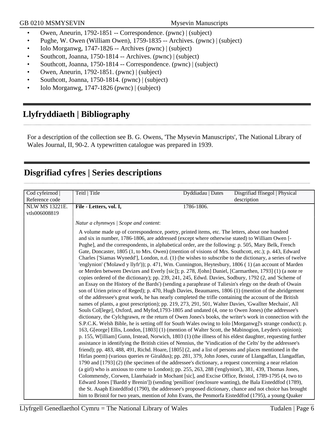- Owen, Aneurin, 1792-1851 -- Correspondence. (pwnc) | (subject)
- Pughe, W. Owen (William Owen), 1759-1835 -- Archives. (pwnc) | (subject)
- Iolo Morganwg, 1747-1826 -- Archives (pwnc) | (subject)
- Southcott, Joanna, 1750-1814 -- Archives. (pwnc) | (subject)
- Southcott, Joanna, 1750-1814 -- Correspondence. (pwnc) | (subject)
- Owen, Aneurin, 1792-1851. (pwnc) | (subject)
- Southcott, Joanna, 1750-1814. (pwnc) | (subject)
- Iolo Morganwg, 1747-1826 (pwnc) | (subject)

## <span id="page-5-0"></span>**Llyfryddiaeth | Bibliography**

For a description of the collection see B. G. Owens, 'The Mysevin Manuscripts', The National Library of Wales Journal, II, 90-2. A typewritten catalogue was prepared in 1939.

## <span id="page-5-1"></span>**Disgrifiad cyfres | Series descriptions**

| Cod cyfeirnod         | Teitl   Title                                                                                                                                                                                                   | Dyddiadau   Dates | Disgrifiad ffisegol   Physical |
|-----------------------|-----------------------------------------------------------------------------------------------------------------------------------------------------------------------------------------------------------------|-------------------|--------------------------------|
| Reference code        |                                                                                                                                                                                                                 |                   | description                    |
| <b>NLW MS 13221E.</b> | File - Letters, vol. I,                                                                                                                                                                                         | 1786-1806.        |                                |
| vtls006008819         |                                                                                                                                                                                                                 |                   |                                |
|                       | Natur a chynnwys / Scope and content:                                                                                                                                                                           |                   |                                |
|                       | A volume made up of correspondence, poetry, printed items, etc. The letters, about one hundred                                                                                                                  |                   |                                |
|                       | and six in number, 1786-1806, are addressed (except where otherwise stated) to William Owen [-                                                                                                                  |                   |                                |
|                       | Pughe], and the correspondents, in alphabetical order, are the following: p. 505, Mary Belk, French                                                                                                             |                   |                                |
|                       | Gate, Doncaster, 1805 (1, to Mrs. Owen) (mention of visions of Mrs. Southcott, etc.); p. 443, Edward                                                                                                            |                   |                                |
|                       | Charles ['Siamas Wynedd'], London, n.d. (1) (he wishes to subscribe to the dictionary, a series of twelve                                                                                                       |                   |                                |
|                       | 'englynion' ('Molawd y llyfr')); p. 471, Wm. Cunnington, Heytesbury, 1806 (1) (an account of Marden                                                                                                             |                   |                                |
|                       | or Merden between Devizes and Everly [sic]); p. 278, J[ohn] Daniel, [Carmarthen, 1793] (1) (a note re                                                                                                           |                   |                                |
|                       | copies ordered of the dictionary); pp. 239, 241, 245, Edwd. Davies, Sodbury, 1792 (2, and 'Scheme of                                                                                                            |                   |                                |
|                       | an Essay on the History of the Bards') (sending a paraphrase of Taliesin's elegy on the death of Owain                                                                                                          |                   |                                |
|                       | son of Urien prince of Reged); p. 470, Hugh Davies, Beaumares, 1806 (1) (mention of the abridgement                                                                                                             |                   |                                |
|                       | of the addressee's great work, he has nearly completed the trifle containing the account of the British                                                                                                         |                   |                                |
|                       | names of plants, a gout prescription); pp. 219, 273, 291, 501, Walter Davies, 'Gwallter Mechain', All                                                                                                           |                   |                                |
|                       | Souls Col[lege], Oxford, and Myfod, 1793-1805 and undated (4, one to Owen Jones) (the addressee's                                                                                                               |                   |                                |
|                       | dictionary, the Cylchgrawn, re the return of Owen Jones's books, the writer's work in connection with the                                                                                                       |                   |                                |
|                       | S.P.C.K. Welsh Bible, he is setting off for South Wales owing to Iolo [Morganwg]'s strange conduct); p.<br>163, G[eorge] Ellis, London, [1803] (1) (mention of Walter Scott, the Mabinogion, Leyden's opinion); |                   |                                |
|                       |                                                                                                                                                                                                                 |                   |                                |
|                       | p. 155, W[illiam] Gunn, Irstead, Norwich, 1803 (1) (the illness of his eldest daughter, requesting further                                                                                                      |                   |                                |
|                       | assistance in identifying the British cities of Nennius, the 'Vindication of the Celts' by the addressee's                                                                                                      |                   |                                |
|                       | friend); pp. 483, 488, 491, Richd. Hoare, [1805] (2, and a list of persons and places mentioned in the                                                                                                          |                   |                                |
|                       | Hirlas poem) (various queries re Giraldus); pp. 281, 379, John Jones, curate of Llangadfan, Llangadfan,                                                                                                         |                   |                                |
|                       | 1790 and [1793] (2) (the specimen of the addressee's dictionary, a request concerning a near relation                                                                                                           |                   |                                |
|                       | (a girl) who is anxious to come to London); pp. 255, 263, 288 ('englynion'), 381, 439, Thomas Jones,                                                                                                            |                   |                                |
|                       | Colommendy, Corwen, Llanrhaiadr in Mochant [sic], and Excise Office, Bristol, 1789-1795 (4, two to                                                                                                              |                   |                                |
|                       | Edward Jones ['Bardd y Brenin']) (sending 'penillion' (enclosure wanting), the Bala Eisteddfod (1789),                                                                                                          |                   |                                |
|                       | the St. Asaph Eisteddfod (1790), the addressee's proposed dictionary, chance and not choice has brought                                                                                                         |                   |                                |
|                       | him to Bristol for two years, mention of John Evans, the Penmorfa Eisteddfod (1795), a young Quaker                                                                                                             |                   |                                |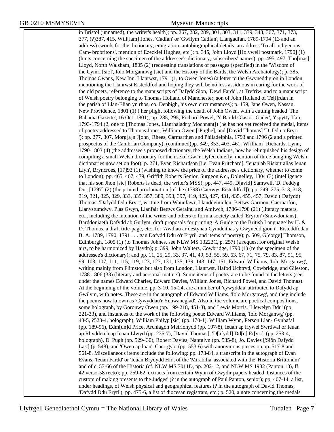in Bristol (unnamed), the writer's health); pp. 267, 282, 289, 301, 303, 311, 339, 343, 367, 371, 373, 377, (?)387, 415, Will[iam] Jones, 'Cadfan' or 'Gwilym Cadfan', Llangadfan, 1789-1794 (13 and an address) (words for the dictionary, emigration, autobiographical details, an address 'To all indigenous Cam- brobritons', mention of Ezeckiel Hughes, etc.); p. 345, John Lloyd [Holywell postmark, 1790] (1) (hints concerning the specimen of the addressee's dictionary, subscribers' names); pp. 495, 497, Tho[mas] Lloyd, North Walsham, 1805 (2) (requesting translations of passages (specified) in the 'Wisdom of the Cymri [sic]', Iolo Morgannwg [sic] and the History of the Bards, the Welsh Archaiology); p. 385, Thomas Owans, New Inn, Llanrwst, 1791 (1, to Owen Jones) (a letter to the Gwyneddigion in London mentioning the Llanrwst Eisteddfod and hoping they will be no less assiduous in caring for the work of the old poets, reference to the manuscripts of Dafydd Sion, 'Dewi Fardd', at Trefriw, and to a manuscript of Welsh poetry belonging to Thomas Holland of Manchester, son of John Holland of Te[i]rdan in the parish of Llan-Elian yn rhos, co. Denbigh, his own circumstances); p. 159, Jane Owen, Nassau, New Providence, 1801 (1) ( her plight following the death of John Owen, with a cutting headed 'The Bahama Gazette', 16 Oct. 1801); pp. 285, 295, Richard Powel, 'Y Bardd Glas o'r Gader', Yspytty Ifan, 1793-1794 (2, one to [Thomas Jones, Llanrhaiadr y Mochnant]) (he has not yet received the medal, items of poetry addressed to Thomas Jones, William Owen [-Pughe], and [David Thomas] 'D. Ddu o Eryri '); pp. 277, 307, Morg[a]n J[ohn] Rhees, Carmarthen and Philadelphia, 1793 and 1796 (2 and a printed prospectus of the Cambrian Company); (continued)pp. 349, 353, 403, 461, W[illiam] Richards, Lynn, 1790-1803 (4) (the addressee's proposed dictionary, the Welsh Indians, how he relinquished his design of compiling a small Welsh dictionary for the use of Gw#r Dyfed chiefly, mention of three bungling Welsh dictionaries now set on foot); p. 271, Evan Richardson [i.e. Evan Pritchard], 'Ieuan ab Risiart alias Ieuan Llyn', Bryncroes, [17]93 (1) (wishing to know the price of the addressee's dictionary, whether to come to London); pp. 465, 467, 479, Griffith Roberts Senior, Surgeon &c., Dolgelley, 1804 (3) (intelligence that his son Jhon [sic] Roberts is dead, the writer's MSS); pp. 447, 449, D[avid] Samwell, 'D. Feddyg Du', [1797] (2) (the printed proclamation [of the (1798) Caerwys Eisteddfod]); pp. 249, 275, 313, 318, 319, 321, 325, 329, 333, 335, 357, 389, 393, 397, 419, 423, 427, 431, 435, 455, 457, David ( Dafydd) Thomas, 'Dafydd Ddu Eryri', writing from Waunfawr, Llanddeiniolen, Bettws Garmon, Caernarfon, Llanystumdwy, Plas Gwyn, Llanfair Bettws Geraint, and Amlwch, 1786-1798 (21) (literary matters, etc., including the intention of the writer and others to form a society called 'Eryron' (Snowdonians), Barddoniaeth Dafydd ab Guilym, draft proposals for printing 'A Guide to the British Language' by H. & D. Thomas, a draft title-page, etc., for 'Awdlau ar destynau Cymdeithas y Gwyneddigion i'r Eisteddfodau B. A. 1789, 1790, 1791 . . . gan Dafydd Ddu o'r Eryri', and items of poetry); p. 509, G[eorge] Thomson, Edinburgh, 1805 (1) (to Thomas Johnes, see NLW MS 13223C, p. 257) (a request for original Welsh airs, to be harmonized by Haydn); p. 399, John Walters, Cowbridge, 1790 (1) (re the specimen of the addressee's dictionary); and pp. 11, 25, 29, 33, 37, 41, 49, 53, 55, 59, 63, 67, 71, 75, 79, 83, 87, 91, 95, 99, 103, 107, 111, 115, 119, 123, 127, 131, 135, 139, 143, 147, 151, Edward Williams, 'Iolo Morganwg', writing mainly from Flimston but also from London, Llanrwst, Hafod Uchtryd, Cowbridge, and Gileston, 1788-1806 (33) (literary and personal matters). Some items of poetry are to be found in the letters (see under the names Edward Charles, Edward Davies, William Jones, Richard Powel, and David Thomas). At the beginning of the volume, pp. 3-10, 15-24, are a number of 'cywyddau' attributed to Dafydd ap Gwilym, with notes. These are in the autograph of Edward Williams, 'Iolo Morganwg', and they include the poems now known as 'Cywyddau'r Ychwanegiad'. Also in the volume are poetical compositions, some holograph, by Goronwy Owen (pp. 199-218, 451-3), and Lewis Morris, 'Llewelyn Ddu' (pp. 221-33), and instances of the work of the following poets: Edward Williams, 'Iolo Morganwg' (pp. 43-5, ?523-4, holograph), William Philyp [sic] (pp. 170-1), William Wynn, Person Llan- Gynhafal (pp. 189-96), Edm[un]d Price, Archiagon Meirionydd (pp. 197-8), Ieuan ap Hywel Swrdwal or Ieuan ap Rhydderch ap Ieuan Llwyd (pp. 235-7), [David Thomas], 'D[afydd] Dd[u] Er[yri]' (pp. 253-4, holograph), D. Pugh (pp. 529- 30), Robert Davies, Nantglyn (pp. 535-8), Jo. Davies ['Siôn Dafydd Las'] (p. 548), and 'Owen ap loan', Caer-gybi (pp. 553-6) with anonymous pieces on pp. 517-8 and 561-8. Miscellaneous items include the following: pp. 173-84, a transcript in the autograph of Evan Evans, 'Ieuan Fardd' or 'Ieuan Brydydd Hir', of the 'Mirabilia' associated with the 'Historia Brittonum' and of c. 57-66 of the Historia (cf. NLW MS 7011D, pp. 202-12, and NLW MS 1982 (Panton 13), ff. 42 verso-58 recto); pp. 259-62, extracts from certain Wynn of Gwydir papers headed 'Instances of the custom of making presents to the Judges' (? in the autograph of Paul Panton, senior); pp. 407-14, a list, under headings, of Welsh physical and geographical features (? in the autograph of David Thomas, 'Dafydd Ddu Eryri'); pp. 475-6, a list of diocesan registrars, etc.; p. 520, a note concerning the medals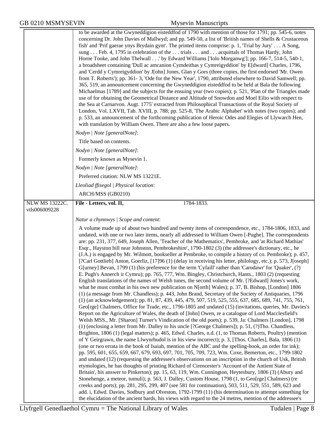|                | to be awarded at the Gwyneddigion eisteddfod of 1790 with mention of those for 1791; pp. 545-6, notes<br>concerning Dr. John Davies of Mallwyd; and pp. 549-50, a list of 'British names of Shells & Crustaceous<br>fish' and 'Prif gaerae ynys Brydain gynt'. The printed items comprise: p. 1, 'Trial by Jury' A Song,<br>sung Feb. 4, 1795 in celebration of the trials and acquittals of Thomas Hardy, John<br>Horne Tooke, and John Thelwall' by Edward Williams ['Iolo Morganwg']; pp. 166-7, 514-5, 540-1,<br>a broadsheet containing 'Dull ac amcanion Cymdeithas y Cymreigyddion' by E[dward] Charles, 1796,<br>and 'Cerdd y Cymreigyddion' by J[ohn] Jones, Glan y Gors (three copies, the first endorsed 'Mr. Owen<br>from T. Roberts'); pp. 361-3, 'Ode for the New Year', 1790, attributed elsewhere to David Samwell; pp.<br>365, 519, an announcement concerning the Gwyneddigion eisteddfod to be held at Bala the following<br>Michaelmas [1789] and the subjects for the ensuing year (two copies); p. 521, 'Plan of the Triangles made<br>use of for obtaining the Geometrical Distance and Altitude of Snowdon and Moel Eilio with respect to<br>the Sea at Carnarvon. Augt. 1775' extracted from Philosophical Transactions of the Royal Society of<br>London, Vol. LXVII, Tab. XVIII, p. 788; pp. 525-8, 'The Arabic Alphabet' with notes (two copies); and<br>p. 533, an announcement of the forthcoming publication of Heroic Odes and Elegies of Llywarch Hen,<br>with translation by William Owen. There are also a few loose papers.                                                                                                                                                                                                                                                                                                                                                                                                                                                                                                                                                                                                                                                                                                                                                                                                                                                                                                                                                                                                                                                                                                                                                                                                                                                                                                                                                                                             |
|----------------|-------------------------------------------------------------------------------------------------------------------------------------------------------------------------------------------------------------------------------------------------------------------------------------------------------------------------------------------------------------------------------------------------------------------------------------------------------------------------------------------------------------------------------------------------------------------------------------------------------------------------------------------------------------------------------------------------------------------------------------------------------------------------------------------------------------------------------------------------------------------------------------------------------------------------------------------------------------------------------------------------------------------------------------------------------------------------------------------------------------------------------------------------------------------------------------------------------------------------------------------------------------------------------------------------------------------------------------------------------------------------------------------------------------------------------------------------------------------------------------------------------------------------------------------------------------------------------------------------------------------------------------------------------------------------------------------------------------------------------------------------------------------------------------------------------------------------------------------------------------------------------------------------------------------------------------------------------------------------------------------------------------------------------------------------------------------------------------------------------------------------------------------------------------------------------------------------------------------------------------------------------------------------------------------------------------------------------------------------------------------------------------------------------------------------------------------------------------------------------------------------------------------------------------------------------------------------------------------------------------------------------------------------------------------------------------------------------------------------------------------------------------------------------------------------------------------------------------------------------------------------------------------------------------------------------------------------------------|
|                | Nodyn   Note [generalNote]:                                                                                                                                                                                                                                                                                                                                                                                                                                                                                                                                                                                                                                                                                                                                                                                                                                                                                                                                                                                                                                                                                                                                                                                                                                                                                                                                                                                                                                                                                                                                                                                                                                                                                                                                                                                                                                                                                                                                                                                                                                                                                                                                                                                                                                                                                                                                                                                                                                                                                                                                                                                                                                                                                                                                                                                                                                                                                                                                 |
|                | Title based on contents.                                                                                                                                                                                                                                                                                                                                                                                                                                                                                                                                                                                                                                                                                                                                                                                                                                                                                                                                                                                                                                                                                                                                                                                                                                                                                                                                                                                                                                                                                                                                                                                                                                                                                                                                                                                                                                                                                                                                                                                                                                                                                                                                                                                                                                                                                                                                                                                                                                                                                                                                                                                                                                                                                                                                                                                                                                                                                                                                    |
|                | Nodyn   Note [generalNote]:                                                                                                                                                                                                                                                                                                                                                                                                                                                                                                                                                                                                                                                                                                                                                                                                                                                                                                                                                                                                                                                                                                                                                                                                                                                                                                                                                                                                                                                                                                                                                                                                                                                                                                                                                                                                                                                                                                                                                                                                                                                                                                                                                                                                                                                                                                                                                                                                                                                                                                                                                                                                                                                                                                                                                                                                                                                                                                                                 |
|                | Formerly known as Mysevin 1.                                                                                                                                                                                                                                                                                                                                                                                                                                                                                                                                                                                                                                                                                                                                                                                                                                                                                                                                                                                                                                                                                                                                                                                                                                                                                                                                                                                                                                                                                                                                                                                                                                                                                                                                                                                                                                                                                                                                                                                                                                                                                                                                                                                                                                                                                                                                                                                                                                                                                                                                                                                                                                                                                                                                                                                                                                                                                                                                |
|                | Nodyn   Note [generalNote]:                                                                                                                                                                                                                                                                                                                                                                                                                                                                                                                                                                                                                                                                                                                                                                                                                                                                                                                                                                                                                                                                                                                                                                                                                                                                                                                                                                                                                                                                                                                                                                                                                                                                                                                                                                                                                                                                                                                                                                                                                                                                                                                                                                                                                                                                                                                                                                                                                                                                                                                                                                                                                                                                                                                                                                                                                                                                                                                                 |
|                | Preferred citation: NLW MS 13221E.                                                                                                                                                                                                                                                                                                                                                                                                                                                                                                                                                                                                                                                                                                                                                                                                                                                                                                                                                                                                                                                                                                                                                                                                                                                                                                                                                                                                                                                                                                                                                                                                                                                                                                                                                                                                                                                                                                                                                                                                                                                                                                                                                                                                                                                                                                                                                                                                                                                                                                                                                                                                                                                                                                                                                                                                                                                                                                                          |
|                | Lleoliad ffisegol   Physical location:                                                                                                                                                                                                                                                                                                                                                                                                                                                                                                                                                                                                                                                                                                                                                                                                                                                                                                                                                                                                                                                                                                                                                                                                                                                                                                                                                                                                                                                                                                                                                                                                                                                                                                                                                                                                                                                                                                                                                                                                                                                                                                                                                                                                                                                                                                                                                                                                                                                                                                                                                                                                                                                                                                                                                                                                                                                                                                                      |
| NLW MS 13222C. | ARCH/MSS (GB0210)<br>File - Letters, vol. II,<br>1784-1833.                                                                                                                                                                                                                                                                                                                                                                                                                                                                                                                                                                                                                                                                                                                                                                                                                                                                                                                                                                                                                                                                                                                                                                                                                                                                                                                                                                                                                                                                                                                                                                                                                                                                                                                                                                                                                                                                                                                                                                                                                                                                                                                                                                                                                                                                                                                                                                                                                                                                                                                                                                                                                                                                                                                                                                                                                                                                                                 |
| vtls006009228  |                                                                                                                                                                                                                                                                                                                                                                                                                                                                                                                                                                                                                                                                                                                                                                                                                                                                                                                                                                                                                                                                                                                                                                                                                                                                                                                                                                                                                                                                                                                                                                                                                                                                                                                                                                                                                                                                                                                                                                                                                                                                                                                                                                                                                                                                                                                                                                                                                                                                                                                                                                                                                                                                                                                                                                                                                                                                                                                                                             |
|                | Natur a chynnwys / Scope and content:                                                                                                                                                                                                                                                                                                                                                                                                                                                                                                                                                                                                                                                                                                                                                                                                                                                                                                                                                                                                                                                                                                                                                                                                                                                                                                                                                                                                                                                                                                                                                                                                                                                                                                                                                                                                                                                                                                                                                                                                                                                                                                                                                                                                                                                                                                                                                                                                                                                                                                                                                                                                                                                                                                                                                                                                                                                                                                                       |
|                | A volume made up of about two hundred and twenty items of correspondence, etc., 1784-1806, 1833, and<br>undated, with one or two later items, nearly all addressed to William Owen [-Pughe]. The correspondents<br>are: pp. 231, 377, 649, Joseph Allen, 'Teacher of the Mathematics', Pembroke, and 'at Richard Mathias'<br>Esqr., Hayston hill near Johnston, Pembrokeshire', 1790-1802 (3) (the addressee's dictionary, etc., he<br>(J.A.) is engaged by Mr. Wilmott, bookseller at Pembroke, to compile a history of co. Pembroke); p. 457,<br>[?Carl Gottlieb] Anton, Goerliz, [17]96 (1) (delay in receiving his letter, philology, etc.); p. 573, J[oseph]<br>G[urney] Bevan, 1799 (1) (his preference for the term 'Cyfaill' rather than 'Carodawr' for 'Quaker', (?)<br>E. Pugh's Annerch ir Cymru); pp. 765, 777, Wm. Bingley, Christchurch, Hants., 1803 (2) (requesting<br>English translations of the names of Welsh tunes, the second volume of Mr. [?Edward] Jones's work,<br>what he must combat in his own new publication on N[orth] Wales); p. 37, B. Bishop, [London] 1806<br>(1) (a message from Mr. Chandless); p. 443, John Brand, Secretary of the Society of Antiquaries, 1796<br>(1) (an acknowledgement); pp. 81, 87, 439, 445, 479, 507, 519, 525, 555, 637, 685, 689, 741, 755, 761,<br>Geo[rge] Chalmers, Office for Trade, etc., 1796-1805 and undated (15) (invitations, queries, Mr. Davies's<br>Report on the Agriculture of Wales, the death of [John] Owen, re a catalogue of Lord Macclesfield's<br>Welsh MSS., Mr. [Sharon] Turner's Vindication of the old poets); p. 539, Ja: Chalmers [London], 1798<br>(1) (enclosing a letter from Mr. Dalley to his uncle [?George Chalmers]); p. 51, (?)Tho. Chandless,<br>Brighton, 1806 (1) (legal matters); p. 465, Edwd. Charles, n.d. (1, to Thomas Roberts, Poultry) (mention<br>of Y Geirgrawn, the name Llwynrhudol is in his view incorrect); p. 3, [Thos. Charles], Bala, 1806 (1)<br>(one or two errata in the book of Isaiah, mention of the ABC and the spelling-book, an order for ink);<br>pp. 595, 601, 655, 659, 667, 679, 693, 697, 701, 705, 709, 723, Wm. Coxe, Bemerton, etc., 1799-1802<br>and undated (12) (requesting the addressee's observations on an inscription in the church of Usk, British<br>etymologies, he has thoughts of printing Richard of Cirencester's 'Account of the Antient State of<br>Britain', his answer to Pinkerton); pp. 15, 63, 119, Wm. Cunnington, Heytesbury, 1806 (3) (Abury and<br>Stonehenge, a meteor, tumuli); p. 563, J. Dalley, Custom House, 1798 (1, to Geo[rge] Chalmers) (re<br>creeks and ports); pp. 281, 295, 299, 407 (see 581 for continuation), 503, 511, 529, 551, 589, 623 and<br>add. i, Edwd. Davies, Sodbury and Olveston, 1792-1799 (11) (his determination to attempt something for<br>the elucidation of the ancient bards, his views with regard to the 24 metres, mention of the addressee's |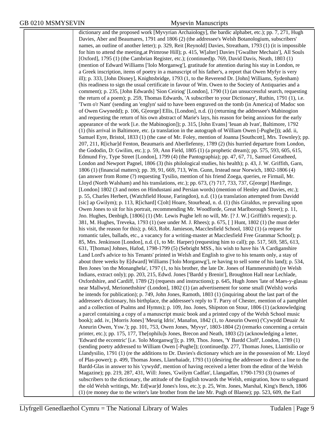dictionary and the proposed work [Myvyrian Archaiology], the bardic alphabet, etc.); pp. 7, 271, Hugh Davies, Aber and Beaumares, 1791 and 1806 (2) (the addressee's Welsh Botanologium, subscribers' names, an outline of another letter); p. 329, Reit [Reynold] Davies, Streatham, 1793 (1) (it is impossible for him to attend the meeting,at Primrose Hill); p. 415, W[alter] Davies ['Gwallter Mechain'], All Souls [Oxford], 1795 (1) (the Cambrian Register, etc.); (continued)p. 769, David Davis, Neath, 1803 (1) (mention of Edward Williams ['Iolo Morganwg'], gratitude for attention during his stay in London, re a Greek inscription, items of poetry in a manuscript of his father's, a report that Owen Myfyr is very ill); p. 333, [John Disney], Knightsbridge, 1793 (1, to the Reverend Dr. [John] Williams, Sydenham) (his readiness to sign the usual certificate in favour of Wm. Owen to the Society of Antiquaries and a comment); p. 235, [John Edwards] 'Sion Ceiriog' [London], 1790 (1) (an unsuccessful search, requesting the return of a poem); p. 259, Thomas Edwards, 'A subscriber to your Dictionary', Ruthin, 1791 (1), i.e. 'Twm o'r Nant' (sending an 'englyn' said to have been engraved on the tomb (in America) of Madoc son of Owen Gwynedd); p. 106, G[eorge] Ellis, [London], n.d. (i) (returning the addressee's Mabinogion and requesting the return of his own abstract of Marie's lays, his reason for being anxious for the early appearance of the work [i.e. the Mabinogion]); p. 315, [John Evans] 'Ieuan ab Ivan', Baltimore, 1792 (1) (his arrival in Baltimore, etc. (a translation in the autograph of William Owen [-Pughe])); add. ii, Samuel Eyre, Bristol, 1833 (1) (the case of Mr. Foley, mention of Joanna [Southcott], Mrs. Townley); pp. 207, 211, R[ichar]d Fenton, Beaumaris and Aberllefenny, 1789 (2) (his hurried departure from London, the Gododin, D: Gwilim, etc.); p. 59, Ann Field, 1805 (1) (a prophetic dream); pp. 575, 593, 605, 615, Edmund Fry, Type Street [London], 1799 (4) (the Pantographia); pp. 47, 67, 71, Samuel Greatheed, London and Newport Pagnel, 1806 (3) (his philological studies, his health); p. 43, J. W. Griffith, Garn, 1806 (1) (financial matters); pp. 39, 91, 669, 713, Wm. Gunn, Irstead near Norwich, 1802-1806 (4) (an answer from Rome (?) requesting Tysilio, mention of his friend Zoega, queries, re Firmail, Mr. Lloyd (North Walsham) and his translations, etc.); pp. 673, (?) 717, 733, 737, G[eorge] Hardinge, [London] 1802 (3 and notes on Hindustani and Persian words) (mention of Henley and Davies, etc.); p. 55, Charles Herbert, (Watchfield House, Faringdon), n.d. (1) (a translation attempted from Davidd [sic] ap Gwilym); p. 113, R[ichard] C[olt] Hoare, Stourhead, n. d. (1) (his Giraldus, re prevailing upon Owen Jones to sit for his portrait, recommending Mr. Woodforde, Great Marlborough Street); p. 11, Jno. Hughes, Denbigh, [1806] (1) (Mr. Lewis Pughe left no will, Mr. [? J. W.] Griffith's request); p. 381, M. Hughes, Treveka, 1793 (1) (see under M. J. Rhees); p. 675, [ ] Hunt, 1802 (1) (he must defer his visit, the reason for this); p. 663, Robt. Jamieson, Macclesfield School, 1802 (1) (a request for romantic tales, ballads, etc., a vacancy for a writing-master at Macclesfield Free Grammar School); p. 85, Mrs. Jenkinson [London], n.d. (1, to Mr. Harper) (requesting him to call); pp. 517, 569, 585, 613, 631, T[homas] Johnes, Hafod, 1798-1799 (5) (Sebright MSS., his wish to have his 'A Cardiganshire Land Lord's advice to his Tenants' printed in Welsh and English to give to his tenants only, a stay of about three weeks by E[dward] Williams ['Iolo Morganwg'], re having to sell some of his land); p. 534, Ben Jones 'on the Monanghela', 1797 (1, to his brother, the late Dr. Jones of Hammersmith) (re Welsh Indians, extract only); pp. 203, 215, Edwd. Jones ['Bardd y Brenin'], Broughton Hall near Lechlade, Oxfordshire, and Cardiff, 1789 (2) (requests and instructions); p. 645, Hugh Jones 'late of Maes-y-glasau near Mallwyd, Merionethshire' (London], 1802 (1) (an advertisement for some small (Welsh) works he intends for publication); p. 749, John Jones, Ramoth, 1803 (1) (inquiring about the last part of the addressee's dictionary, his birthplace, the addressee's reply to T. Parry of Chester, mention of a pamphlet and a collection of Psalms and Hymns); p. 109, Jno. Jones, Shipston on Stour, 1806 (1) (acknowledging a parcel containing a copy of a manuscript music book and a printed copy of the Welsh School music book); add. iv, [Morris Jones] 'Meurig Idris', Manafon, 1842 (1, to Aneurin Owen) ('Cywydd Deuair At Aneurin Owen, Ysw.'); pp. 101, 753, Owen Jones, 'Myvyr', 1803-1804 (2) (remarks concerning a certain printer, etc.); pp. 175, 177, The[ophilu]s Jones, Brecon and Neath, 1803 (2) (acknowledging a letter, 'Edward the eccentric' [i.e. 'Iolo Morganwg']); p. 199, Thos. Jones, 'Y Bardd Cloff', London, 1789 (1) (sending poetry addressed to William Owen [-Pughe]); (continued)p. 277, Thomas Jones, Llantisilio or Llandysilio, 1791 (1) (re the additions to Dr. Davies's dictionary which are in the possession of Mr. Lloyd of Plas-power); p. 499, Thomas Jones, Llanrhaiadr, 1793 (1) (desiring the addressee to direct a line to the Bardd-Glas in answer to his 'cywydd', mention of having received a letter from the editor of the Welsh Magazine); pp. 219, 287, 431, Will: Jones, 'Gwilym Cadfan', Llangadfan, 1790-1793 (3) (names of subscribers to the dictionary, the attitude of the English towards the Welsh, emigration, how to safeguard the old Welsh writings, Mr. Ed[war]d Jones's loss, etc.); p. 25, Wm. Jones, Marshal, King's Bench, 1806 (1) (re money due to the writer's late brother from the late Mr. Pugh of Blaene); pp. 523, 609, the Earl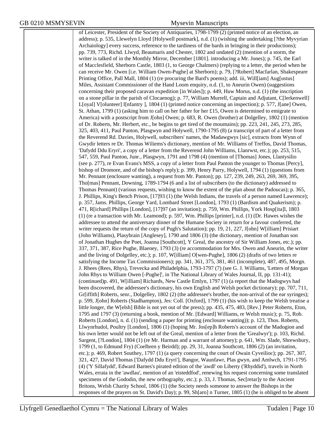of Leicester, President of the Society of Antiquaries, 1798-1799 (2) (printed notice of an election, an address); p. 535, Llewelyn Lloyd [Holywell postmark], n.d. (1) (wishing the undertaking [?the Myvyrian Archaiology] every success, reference to the tardiness of the bards in bringing in their productions); pp. 739, 773, Richd. Llwyd, Beaumaris and Chester, 1802 and undated (2) (mention of a storm, the writer is talked of in the Monthly Mirror, December [1801]. introducing a Mr. Jones); p. 745, the Earl of Macclesfield, Sherborn Castle, 1803 (1, to George Chalmers) (replying to a letter, the period when he can receive Mr. Owen [i.e. William Owen-Pughe] at Sherborn); p. 79, [?Robert] Macfarlan, Shakespeare Printing Office, Pall Mall, 1804 (1) (re procuring the Bard's poems); add. iii, Will[iam] Aug[ustus] Miles, Assistant Commissioner of the Hand Loom enquiry, n.d. (1, to Aneurin Owen) (suggestions concerning their proposed caravan expedition [in Wales]); p. 449, Huw Morus, n.d. (1) (the inscription on a stone pillar in the parish of Clocaenog); p. 77, William Murrell, Captain and Adjutant, C[lerkenwell] L[oyal] V[olunteer] I[nfantry ], 1804 (1) (printed notice concerning an inspection); p. 577, J[ane] Owen, St. Athan, 1799 (1) (asking him to call on her father for her £15, Owen is determined to emigrate to America) with a postscript from J[ohn] Owen; p. 683, R. Owen (brother) at Dolgelley, 1802 (1) (mention of Dr. Roberts, Mr. Herbert, etc., he begins to get tired of the mountains); pp. 223, 241, 245, 273, 285, 325, 403, 411, Paul Panton, Plasgwyn and Holywell, 1790-1795 (8) (a transcript of part of a letter from the Reverend Rd. Davies, Holywell, subscribers' names, the Madawgwys [sic], extracts from Wynn of Gwydir letters re Dr. Thomas Wiliems's dictionary, mention of Mr. Williams of Treffos, David Thomas, 'Dafydd Ddu Eryri', a copy of a letter from the Reverend John Williams, Llanrwst, etc.); pp. 253, 515, 547, 559, Paul Panton, Junr., Plasgwyn, 1791 and 1798 (4) (mention of [Thomas] Jones, Llantysilio (see p. 277), re Evan Evans's MSS, a copy of a letter from Paul Panton the younger to Thomas [Percy], bishop of Dromore, and of the bishop's reply); p. 399, Henry Parry, Holywell, 1794 (1) (questions from Mr. Pennant (enclosure wanting), a request from Mr. Panton); pp. 127, 239, 249, 263, 269, 369, 395, Tho[mas] Pennant, Downing, 1789-1794 (6 and a list of subscribers (to the dictionary) addressed to Thomas Pennant) (various requests, wishing to know the extent of the plan about the Padoucas); p. 365, J. Phillips, King's Bench Prison, [17]93 (1) (the Welsh Indians, the travels of a person named Lawrence); p. 357, Jams. Phillips, George Yard, Lombard Street [London], 1793 (1) (Bardism and Quakerism); p. 471, R[ichard] Phillips [London], [17]97 (an invitation); p. 759, Wm. Phillips, York Hosp[ita]l, 1803 (1) (re a transaction with Mr. Leamond); p. 597, Wm. Phillips [printer], n.d. (1) (Dr. Hawes wishes the addressee to attend the anniversary dinner of the Humane Society in return for a favour conferred, the writer requests the return of the copy of Pugh's Salutation); pp. 19, 21, 227, J[ohn] W[illiam] Prisiart (John Williams), Plasybrain [Anglesey], 1790 and 1806 (3) (the dictionary, mention of Jonathan son of Jonathan Hughes the Poet, Joanna [Southcott], Y Greal, the ancestry of Sir William Jones, etc.); pp. 337, 371, 387, Rice Pughe, Blaeney, 1793 (3) (re accommodation for Mrs. Owen and Aneurin, the writer and the living of Dolgelley, etc.); p. 107, W[illiam] O[wen-Pughe], 1806 (2) (drafts of two letters re satisfying the Income Tax Commissioners); pp. 341, 361, 375, 381, 461 (incomplete), 487, 495, Morgn. J. Rhees (Rees, Rhys), Trevecka and Philadelphia, 1793-1797 (7) (see G. J. Williams, 'Letters of Morgan John Rhys to William Owen [-Pughe]', in The National Library of Wales Journal, II, pp. 131-41); (continued)p. 491, W[illiam] Richards, New Castle Emlyn, 1797 (1) (a report that the Madogwys had been discovered, the addressee's dictionary, his own English and Welsh pocket dictionary); pp. 707, 711, Gr[iffith] Roberts, senr., Dolgelley, 1802 (2) (the addressee's brother, the non-arrival of the ear syringes); p. 599, J[ohn] Roberts (Stadhampton), Jes: Coll. [Oxford], 1799 (1) (his wish to keep the Welsh treatise a little longer, the W[elsh] Bible is not yet out of the press); pp. 435, 475, 483, [Rev.] Peter Roberts, Eton, 1795 and 1797 (3) (returning a book, mention of Mr. [Edward] Williams, re Welsh music); p. 75, Rob. Roberts [London], n. d. (1) (sending a paper for printing (enclosure wanting)); p. 123, Thos. Roberts, Llwynrhudol, Poultry [London], 1806 (1) (hoping Mr. Jos[ep]h Roberts's account of the Madogion and his own letter would not be left out of the Greal, mention of a letter from the 'Grealwyr'); p. 103, Richd. Sargent, [?London], 1804 (1) (re Mr. Harman and a warrant of attorney); p. 641, Wm. Slade, Shrewsbury, 1799 (1, to Edmund Fry) (Coelbren y Beirdd); pp. 29, 31, Joanna Southcott, 1806 (2) (an invitation, etc.); p. 469, Robert Southey, 1797 (1) (a query concerning the court of Owain Cyveilioc); pp. 267, 307, 321, 427, David Thomas ['Dafydd Ddu Eryri'], Bangor, Waunfawr, Plas gwyn, and Amlwch, 1791-1795 (4) ('Y Sillafydd', Edward Barnes's pirated edition of the 'awdl' on Liberty ('Rhyddid'), travels in North Wales, errata in the 'awdlau', mention of an 'eisteddfod', renewing his request concerning some translated specimens of the Gododin, the new orthography, etc.); p. 33, J. Thomas, Sec[retar]y to the Ancient Britons, Welsh Charity School, 1806 (1) (the Society needs someone to answer the Bishops in the responses of the prayers on St. David's Day); p. 99, Sh[aro] n Turner, 1805 (1) (he is obliged to be absent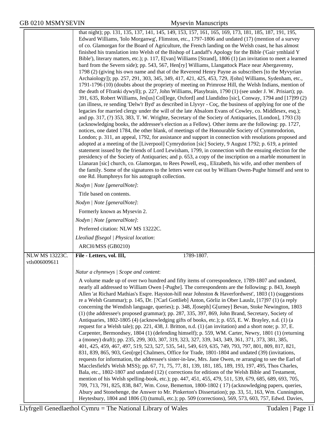|                                        | that night); pp. 131, 135, 137, 141, 145, 149, 153, 157, 161, 165, 169, 173, 181, 185, 187, 191, 195,<br>Edward Williams, 'Iolo Morganwg', Flimston, etc., 1797-1806 and undated (17) (mention of a survey<br>of co. Glamorgan for the Board of Agriculture, the French landing on the Welsh coast, he has almost<br>finished his translation into Welsh of the Bishop of Landaff's Apology for the Bible ('Gair ymhlaid Y<br>Bible'), literary matters, etc.); p. 117, E[van] Williams [Strand], 1806 (1) (an invitation to meet a learned<br>bard from the Severn side); pp. 543, 567, Hen[ry] Williams, Llangattock Place near Abergavenny,<br>1798 (2) (giving his own name and that of the Reverend Henry Payne as subscribers [to the Myvyrian<br>Archaiology]); pp. 257, 291, 303, 345, 349, 417, 421, 425, 453, 729, J[ohn] Williams, Sydenham, etc.,<br>1791-1796 (10) (doubts about the propriety of meeting on Primrose Hill, the Welsh Indians, mention of<br>the death of Ffranki dywyll); p. 227, John Williams, Plasybrain, 1790 (1) (see under J. W. Prisiart); pp.<br>391, 635, Robert Williams, Jes[us] Col[lege, Oxford] and Llandidno [sic], Conway, 1794 and [17]99 (2)<br>(an illness, re sending 'Delw'r Byd' as described in Llyvyr - Coç, the business of applying for one of the<br>legacies for married clergy under the will of the late Absalom Evans of Cowley, co. Middlesex, esq.);<br>and pp. 317, (?) 353, 383, T. W. Wrighte, Secretary of the Society of Antiquaries, [London], 1793 (3)<br>(acknowledging books, the addressee's election as a Fellow). Other items are the following: pp. 1727,<br>notices, one dated 1784, the other blank, of meetings of the Honourable Society of Cymmrodorion,<br>London; p. 311, an appeal, 1792, for assistance and support in connection with resolutions proposed and<br>adopted at a meeting of the [Liverpool] Cymrydorion [sic] Society, 9 August 1792; p. 619, a printed<br>statement issued by the friends of Lord Lewisham, 1799, in connection with the ensuing election for the<br>presidency of the Society of Antiquaries; and p. 653, a copy of the inscription on a marble monument in |
|----------------------------------------|-----------------------------------------------------------------------------------------------------------------------------------------------------------------------------------------------------------------------------------------------------------------------------------------------------------------------------------------------------------------------------------------------------------------------------------------------------------------------------------------------------------------------------------------------------------------------------------------------------------------------------------------------------------------------------------------------------------------------------------------------------------------------------------------------------------------------------------------------------------------------------------------------------------------------------------------------------------------------------------------------------------------------------------------------------------------------------------------------------------------------------------------------------------------------------------------------------------------------------------------------------------------------------------------------------------------------------------------------------------------------------------------------------------------------------------------------------------------------------------------------------------------------------------------------------------------------------------------------------------------------------------------------------------------------------------------------------------------------------------------------------------------------------------------------------------------------------------------------------------------------------------------------------------------------------------------------------------------------------------------------------------------------------------------------------------------------------------------------------------------------------------------------------------------------------------|
|                                        | Llanaran [sic] church, co. Glamorgan, to Rees Powell, esq., Elizabeth, his wife, and other members of<br>the family. Some of the signatures to the letters were cut out by William Owen-Pughe himself and sent to<br>one Rd. Humphreys for his autograph collection.                                                                                                                                                                                                                                                                                                                                                                                                                                                                                                                                                                                                                                                                                                                                                                                                                                                                                                                                                                                                                                                                                                                                                                                                                                                                                                                                                                                                                                                                                                                                                                                                                                                                                                                                                                                                                                                                                                              |
|                                        | Nodyn   Note [generalNote]:                                                                                                                                                                                                                                                                                                                                                                                                                                                                                                                                                                                                                                                                                                                                                                                                                                                                                                                                                                                                                                                                                                                                                                                                                                                                                                                                                                                                                                                                                                                                                                                                                                                                                                                                                                                                                                                                                                                                                                                                                                                                                                                                                       |
|                                        | Title based on contents.                                                                                                                                                                                                                                                                                                                                                                                                                                                                                                                                                                                                                                                                                                                                                                                                                                                                                                                                                                                                                                                                                                                                                                                                                                                                                                                                                                                                                                                                                                                                                                                                                                                                                                                                                                                                                                                                                                                                                                                                                                                                                                                                                          |
|                                        | Nodyn   Note [generalNote]:                                                                                                                                                                                                                                                                                                                                                                                                                                                                                                                                                                                                                                                                                                                                                                                                                                                                                                                                                                                                                                                                                                                                                                                                                                                                                                                                                                                                                                                                                                                                                                                                                                                                                                                                                                                                                                                                                                                                                                                                                                                                                                                                                       |
|                                        | Formerly known as Mysevin 2.                                                                                                                                                                                                                                                                                                                                                                                                                                                                                                                                                                                                                                                                                                                                                                                                                                                                                                                                                                                                                                                                                                                                                                                                                                                                                                                                                                                                                                                                                                                                                                                                                                                                                                                                                                                                                                                                                                                                                                                                                                                                                                                                                      |
|                                        | Nodyn   Note [generalNote]:                                                                                                                                                                                                                                                                                                                                                                                                                                                                                                                                                                                                                                                                                                                                                                                                                                                                                                                                                                                                                                                                                                                                                                                                                                                                                                                                                                                                                                                                                                                                                                                                                                                                                                                                                                                                                                                                                                                                                                                                                                                                                                                                                       |
|                                        | Preferred citation: NLW MS 13222C.                                                                                                                                                                                                                                                                                                                                                                                                                                                                                                                                                                                                                                                                                                                                                                                                                                                                                                                                                                                                                                                                                                                                                                                                                                                                                                                                                                                                                                                                                                                                                                                                                                                                                                                                                                                                                                                                                                                                                                                                                                                                                                                                                |
|                                        | Lleoliad ffisegol   Physical location:                                                                                                                                                                                                                                                                                                                                                                                                                                                                                                                                                                                                                                                                                                                                                                                                                                                                                                                                                                                                                                                                                                                                                                                                                                                                                                                                                                                                                                                                                                                                                                                                                                                                                                                                                                                                                                                                                                                                                                                                                                                                                                                                            |
|                                        | ARCH/MSS (GB0210)                                                                                                                                                                                                                                                                                                                                                                                                                                                                                                                                                                                                                                                                                                                                                                                                                                                                                                                                                                                                                                                                                                                                                                                                                                                                                                                                                                                                                                                                                                                                                                                                                                                                                                                                                                                                                                                                                                                                                                                                                                                                                                                                                                 |
| <b>NLW MS 13223C.</b><br>vtls006009611 | File - Letters, vol. III,<br>1789-1807.                                                                                                                                                                                                                                                                                                                                                                                                                                                                                                                                                                                                                                                                                                                                                                                                                                                                                                                                                                                                                                                                                                                                                                                                                                                                                                                                                                                                                                                                                                                                                                                                                                                                                                                                                                                                                                                                                                                                                                                                                                                                                                                                           |
|                                        |                                                                                                                                                                                                                                                                                                                                                                                                                                                                                                                                                                                                                                                                                                                                                                                                                                                                                                                                                                                                                                                                                                                                                                                                                                                                                                                                                                                                                                                                                                                                                                                                                                                                                                                                                                                                                                                                                                                                                                                                                                                                                                                                                                                   |
|                                        | Natur a chynnwys / Scope and content:                                                                                                                                                                                                                                                                                                                                                                                                                                                                                                                                                                                                                                                                                                                                                                                                                                                                                                                                                                                                                                                                                                                                                                                                                                                                                                                                                                                                                                                                                                                                                                                                                                                                                                                                                                                                                                                                                                                                                                                                                                                                                                                                             |
|                                        | A volume made up of over two hundred and fifty items of correspondence, 1789-1807 and undated,<br>nearly all addressed to William Owen [-Pughe]. The correspondents are the following: p. 843, Joseph<br>Allen 'at Richard Mathias's Esqre. Hayston-hill near Johnston & Haverfordwest', 1803 (1) (suggestions<br>re a Welsh Grammar); p. 145, Dr. [?Carl Gottlieb] Anton, Görliz in Ober Lauslz, [17]97 (1) (a reply<br>concerning the Wendish language, queries); p. 348, J[oseph] G[urney] Bevan, Stoke Newington, 1803<br>(1) (the addressee's proposed grammar); pp. 287, 335, 397, 869, John Brand, Secretary, Society of<br>Antiquaries, 1802-1805 (4) (acknowledging gifts of books, etc.); p. 655, E. W. Brayley, n.d. (1) (a<br>request for a Welsh tale); pp. 221, 438, J. Britton, n.d. (1) (an invitation) and a short note; p. 37, E.<br>Carpenter, Bermondsey, 1804 (1) (defending himself); p. 559, WM. Carter, Newry, 1801 (1) (returning<br>a (money) draft); pp. 235, 299, 303, 307, 319, 323, 327, 339, 343, 349, 361, 371, 373, 381, 385,<br>401, 425, 459, 467, 497, 519, 523, 527, 535, 541, 549, 619, 635, 749, 793, 797, 801, 809, 817, 821,<br>831, 839, 865, 903, Geo[rge] Chalmers, Office for Trade, 1801-1804 and undated (39) (invitations,<br>requests for information, the addressee's sister-in-law, Mrs. Jane Owen, re arranging to see the Earl of<br>Macclesfield's Welsh MSS); pp. 67, 71, 75, 77, 81, 139, 181, 185, 189, 193, 197, 495, Thos Charles,<br>Bala, etc., 1802-1807 and undated (12) (corrections for editions of the Welsh Bible and Testament,<br>mention of his Welsh spelling-book, etc.); pp. 447, 451, 455, 479, 511, 539, 679, 685, 689, 693, 705,<br>709, 713, 791, 825, 838, 847, Wm. Coxe, Bemerton, 1800-1802 (17) (acknowledging papers, queries,<br>Abury and Stonehenge, the Answer to Mr. Pinkerton's Dissertation); pp. 33, 51, 163, Wm. Cunnington,                                                                                                                                                                                                                                                           |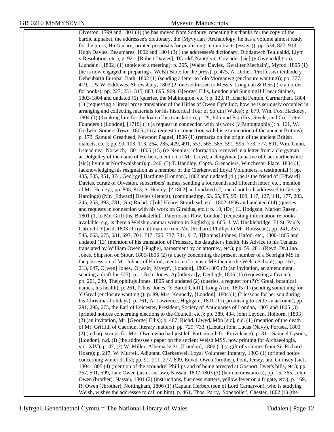Olveston, 1799 and 1801 (4) (he has moved from Sodbury, repeating his thanks for the copy of the bardic alphabet, the addressee's dictionary, the [Myvyrian] Archaiology, he has a volume almost ready for the press, Hu Gadarn, printed proposals for publishing certain tracts (essays)); pp. 534, 827, 913, Hugh Davies, Beaumares, 1802 and 1804 (3) ( the addressee's dictionary, Diddanwch Teuluaidd, Llyfr y Resolution, etc.); p. 921, [Robert Davies], 'B[ardd] Nantglyn', Coviadur [sic] (y Gwyneddlgion), Llundain, [1802] (1) (notice of a meeting); p. 265, [Walter Davies, 'Gwallter Mechain'], Myfod, 1805 (1) (he is now engaged in preparing a Welsh Bible for the press); p. 475, A. Didier, 'Proffesswr ieithodd y Deheubarth Europa', Bath, 1802 (1) (sending a letter to Iolo Morganwg (enclosure wanting)); pp. 377, 419, J. & W. Eddowes, Shrewsbury, 1803 (2, one addressed to Messrs. Longman & Rees) (re an order for books); pp. 227, 231, 315, 883, 895, 909, G[eorge] Ellis, London and SunningHill near Staines, 1803-1804 and undated (6) (queries, the Mabinogion, etc.); p. 123, R[ichar]d Fenton, Carmarthen, 1804 (1) (requesting a literal prose translation of the Hirlas of Owen Cyfeilioc, how he is seriously occupied in arranging and collecting materials for his historical Tour of So[uth] Wales); p. 879, Wm. Fox, Hackney, 1804 (1) (thanking him for the loan of his translation); p. 29, Edmund Fry (Fry, Steele, and Co., Letter Founders ) [London], [1719] (1) (a request in connection with his work [? Pantographia]); p. 161, W. Godwin, Somers Town, 1805 (1) (a request in connection with his examination of the ancient Britons); p. 173, Samuel Greatheed, Newport Pagnel, 1806 (1) (remarks on the origin of the ancient British dialects, etc.); pp. 99, 103, 113, 264, 285, 429, 491, 553, 565, 585, 591, 595, 773, 777, 891, Wm. Gunn, Irstead near Norwich, 1801-1805 (15) (re Nennius, information received in a letter from a clergyman at Dolgelley of the name of Herbert, mention of Mr. Lloyd, a clergyman (a native of Caermarthenshire [sic]) living at Northwalsham); p. 240, (?) T. Handley, Captn. Grenadiers, Winchester Place, 1804 (1) (acknowledging his resignation as a member of the Clerkenwell Loyal Volunteers, a testimonial ); pp. 435, 505, 851, 874, Geo[rge] Hardinge [London], 1802 and undated (4 ) (he is the friend of [Edward] Davies, curate of Olveston, subscribers' names, sending a fourteenth and fifteenth letter, etc., mention of Mr. Henley); pp. 805, 813, S. Henley, [? 1802] and undated (2, one if not both addressed to George Hardinge) (Mr. [Edward] Davies's letters); (continued)pp. 63, 65, 85, 95, 109, 117, 127, 141, 177, 203, 245, 253, 393, 781, (Sir) Richd. C[olt] Hoare, Stourhead, etc., 1802-1806 and undated (14) (queries and requests in connection with his work on Giraldus, etc.); p. 19, (Dr.) H. Hodgson, Market Rasen, 1801 (1, to Mr. Griffiths, Books[elle]r, Paternoster Row, London) (requesting information re books available, e.g. is there a Welsh grammar written in English); p. 665, J. W. Hucklebridge, 71 St. Paul's Ch[urch] Y[ar]d, 1803 (1) (an ultimatum from Mr. [Richard] Phillips to Mr. Rousseau); pp. 241, 257, 545, 663, 675, 681, 697, 701, 717, 725, 737, 741, 917, T[homas] Johnes, Hafod, etc., 1800-1805 and undated (13) (mention of his translation of Froissart, his daughter's health, his Advice to his Tenants translated by William Owen [-Pughe], harassment by an attorney, etc.); pp. 59, 281, (Revd. Dr.) Jno. Jones, Shipston on Stour, 1805-1806 (2) (a query concerning the present number of a Sebright MS in the possession of Mr. Johnes of Hafod, mention of a music MS then in the Welsh School); pp. 167, 213, 647, O[wen] Jones, 'O[wain] Myvyr', [London], 1803-1805 (3) (an invitation, an amendment, sending a draft for £25); p. 1, Rob: Jones, Ap[othecar]y, Denbigh, 1806 (1) (requesting a favour); pp. 201, 249, The[ophilu]s Jones, 1805 and undated (2) (queries, a request for (?)Y Greal, botanical names, his health); p. 261, [Thos. Jones, 'Y Bardd Cloff'], Long Acre, 1805 (1) (sending something for Y Greal (enclosure wanting )); p. 89, Mrs. Kennedy, [London], 1804 (1) (? lessons for her son during his Christmas holidays); p. 761, A. Lawrence, Highgate, 1801 (1) ( promising to settle an account); pp. 291, 295, 673, the Earl of Leicester, President, Society of Antiquaries of London, 1803 and 1805 (3) (printed notices concerning elections to the Council, etc.); pp. 389, 434, John Leyden, Holborn, [1803] (2) (an invitation, Mr. [George] Ellis); p. 487, Richd. Llwyd, Môn [sic], n.d. (1) (mention of the death of Mr. Griffith of Caerhun, literary matters); pp. 729, 733, (Lieutt.) John Lucas (Navy), Portsea, 1800 (2) (re harp strings for Mrs. Owen who had just left Portsmouth for Providence); p. 311, Samuel Lysons, [London], n.d. (I) (the addressee's paper on the ancient Welsh MSS, now printing for Archaeologia, vol. XIV); p. 47, (?) W. Miller, Albemarle St., [London], 1806 (1) (a gift of volumes from Sir Richard Hoare); p. 217, W. Murrell, Adjutant, Clerkenwell Loyal Volunteer Infantry, 1803 (1) (printed notice concerning winter drills); pp. 91, 211, 277, 899, Edwd. Owen (brother), Pool, Jersey, and Gurnsey [sic], 1804-1805 (4) (mention of the scoundrel Phillips and of being arrested at Gosport, Dyer's bills, etc.); pp. 357, 501, 599, Jane Owen (sister-in-law), Nassau, 1802-1803 (3) (her circumstances); pp. 15, 765, John Owen (brother), Nassau, 1801 (2) (instructions, business matters, yellow fever on a frigate, etc.); p. 169, R. Owen (?brother), Nottingham, 1806 (1) (Captain Herbert (son of Lord Carnarvon), who is studying Welsh, wishes the addressee to call on him); p. 461, Thos. Parry, 'Sopeboiler', Chester, 1802 (1) (the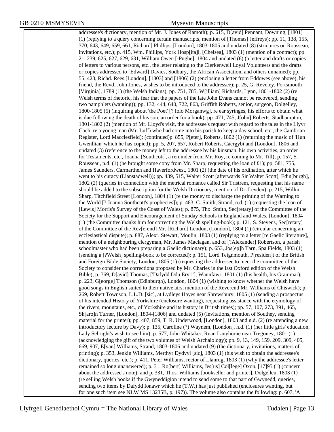addressee's dictionary, mention of Mr. J. Jones of Ramoth); p. 615, D[avid] Pennant, Downing, [1801] (1) (replying to a query concerning certain manuscripts, mention of [Thomas] Jeffreys); pp. 11, 138, 155, 370, 643, 649, 659, 661, Richard] Phillips, [London], 1803-1805 and undated (8) (strictures on Rousseau, invitations, etc.); p. 415, Wm. Phillips, York Hosp[ita]l, [Chelsea], 1803 (1) (mention of a contract); pp. 21, 239, 625, 627, 629, 631, William Owen [-Pughe], 1804 and undated (6) (a letter and drafts or copies of letters to various persons, etc., the letter relating to the Clerkenwell Loyal Volunteers and the drafts or copies addressed to [Edward] Davies, Sodbury, the African Association, and others unnamed); pp. 55, 423, Richd. Rees [London], [1803] and [1806] (2) (enclosing a letter from Eddowes (see above), his friend, the Revd. John Jones, wishes to be introduced to the addressee); p. 25, G. Reveley, Portsmouth [Virginia], 1789 (1) (the Welsh Indians); pp. 751, 785, W[illiam] Richards, Lynn, 1801-1802 (2) (re Welsh terms of rhetoric, his fear that the papers of the late John Evans cannot be recovered, sending two pamphlets (wanting)); pp. 132, 444, 640, 722, 863, Griffith Roberts, senior, surgeon, Dolgelley, 1800-1805 (5) (inquiring about 'the Poet' [? Iolo Morganwg], re ear syringes, his efforts to obtain what is due following the death of his son, an order for a book); pp. 471, 745, J[ohn] Roberts, Stadhampton, 1801-1802 (2) (mention of Mr. Lloyd's visit, the addressee's request with regard to the tales in the Llyvr Coch, re a young man (Mr. Luff) who had come into his parish to keep a day school, etc., the Cambrian Register, Lord Macclesfield); (continued)p. 855, P[eter], Roberts, 1802 (1) (returning the music of 'Hun Gwenllian' which he has copied); pp. 5, 207, 657, Robert Roberts, Caergybi and [London], 1806 and undated (3) (reference to the money left to the addressee by his kinsman, his own activities, an order for Testaments, etc., Joanna [Southcott], a reminder from Mr. Roy, re coming to Mr. Till); p. 157, S. Rousseau, n.d. (1) (he brought some copy from Mr. Sharp, requesting the loan of £1); pp. 581, 755, James Saunders, Carmarthen and Haverfordwest, 1801 (2) (the date of his ordination, after which he went to his curacy (Llanstadwell)); pp. 439, 515, Walter Scott [afterwards Sir Walter Scott], Edin[burgh], 1802 (2) (queries in connection with the metrical romance called Sir Tristrem, requesting that his name should be added to the subscription for the Welsh Dictionary, mention of Dr. Leyden); p. 215, Willm. Sharp, Titchfield Street [London], 1804 (1) (re the money to discharge the printing of the Warning to the World [? Joanna Southcott's prophecies]); p. 483, C. Smith, Strand, n.d. (1) (requesting the loan of [Lewis] Morris's Survey of the Coast of Wales); p. 875, Tho. Smith, Sec[retary] of the Committee of the Society for the Support and Encouragement of Sunday Schools in England and Wales, [London], 1804 (1) (the Committee thanks him for correcting the Welsh spelling-book); p. 121, S. Stevens, Sec[retary] of the Committee of the Rev[erend] Mr. [Richard] Lendon, (London], 1804 (1) (circular concerning an ecclesiastical dispute); p. 887, Alexr. Stewart, Moulin, 1803 (1) (replying to a letter [re Gaelic literature], mention of a neighbouring clergyman, Mr. James Maclagan, and of [?Alexander] Robertson, a parish schoolmaster who had been preparing a Gaelic dictionary); p. 653, Jos[ep]h Tarn, Spa Fields, 1803 (1) (sending a [?Welsh] spelling-book to be corrected); p. 151, Lord Teignmouth, P[residen]t of the British and Foreign Bible Society, London, 1805 (1) (requesting the addressee to meet the committee of the Society to consider the corrections proposed by Mr. Charles in the last Oxford edition of the Welsh Bible); p. 769, D[avid] Thomas, ['Dafydd Ddu Eryri'], Waunfawr, 1801 (1) (his health, his Grammar); p. 223, G[eorge] Thomson (Edinburgh), London, 1804 (1) (wishing to know whether the Welsh have good songs in English suited to their native airs, mention of the Reverend Mr. Williams of Chiswick); p. 269, Robert Townson, L.L.D. [sic], at Lydleys Hayes near Shrewsbury, 1805 (1) (sending a prospectus of his intended History of Yorkshire (enclosure wanting), requesting assistance with the etymology of the rivers, mountains, etc., of Yorkshire and its history in British times); pp. 57, 107, 273, 391, 465, Sh[aro]n Turner, [London], 1804-[1806] and undated (5) (invitations, mention of Southey, sending material for the printer); pp. 407, 859, T. R. Underwood, [London], 1803 and n.d. (2) (re attending a new introductory lecture by Davy); p. 135, Caroline (?) Waynem, [London], n.d. (1) (her little girls' education, Lady Sebright's wish to see him); p. 577, John Whitaker, Ruan Lanyhorne near Tregoney, 1801 (1) (acknowledging the gift of the two volumes of Welsh Archaiology); pp. 9, 13, 149, 159, 209, 309, 405, 669, 907, E[van] Williams, Strand, 1803-1806 and undated (9) (the dictionary, invitations, matters of printing); p. 353, Jenkin Williams, Merthyr Dydvyl [sic], 1803 (1) (his wish to obtain the addressee's dictionary, queries, etc.); p. 411, Peter Williams, rector of Llanrug, 1803 (1) (why the addressee's letter remained so long unanswered); p. 31, Ro[bert] Williams, Jes[us] Col[lege] Oxon, [17]95 (1) (concern about the addressee's note); and p. 331, Thos. Williams [bookseller and printer], Dolgelleu, 1803 (1) (re selling Welsh books if the Gwyneddigion intend to send some to that part of Gwynedd, queries, sending two items by Dafydd Ionawr which he (T.W.) has just published (enclosures wanting, but for one such item see NLW MS 13235B, p. 197)). The volume also contains the following: p. 607, 'A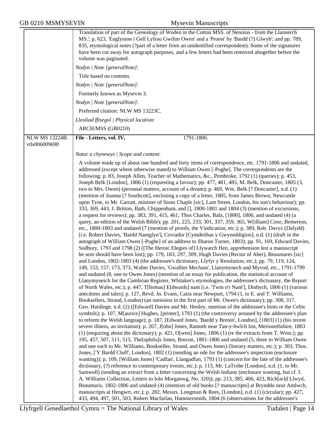|                                        | Translation of part of the Genealogy of Woden in the Cotton MSS. of Nennius - from the Llannerch<br>MS.'; p. 623, 'Englynion i Gell Lyfrau Gwilim Owen' and a 'Proest' by 'Bardd (?) Glwyb'; and pp. 789,<br>835, etymological notes (?part of a letter from an unidentified correspondent). Some of the signatures<br>have been cut away for autograph purposes, and a few letters had been removed altogether before the<br>volume was paginated.                                                                                                                                                                                                                                                                                                                                                                                                                                                                                                                                                                                                                                                                                                                                                                                                                                                                                                                                                                                                                                                                                                                                                                                                                                                                                                                                                                                                                                                                                                                                                                                                                                                                                                                                                                                                              |
|----------------------------------------|------------------------------------------------------------------------------------------------------------------------------------------------------------------------------------------------------------------------------------------------------------------------------------------------------------------------------------------------------------------------------------------------------------------------------------------------------------------------------------------------------------------------------------------------------------------------------------------------------------------------------------------------------------------------------------------------------------------------------------------------------------------------------------------------------------------------------------------------------------------------------------------------------------------------------------------------------------------------------------------------------------------------------------------------------------------------------------------------------------------------------------------------------------------------------------------------------------------------------------------------------------------------------------------------------------------------------------------------------------------------------------------------------------------------------------------------------------------------------------------------------------------------------------------------------------------------------------------------------------------------------------------------------------------------------------------------------------------------------------------------------------------------------------------------------------------------------------------------------------------------------------------------------------------------------------------------------------------------------------------------------------------------------------------------------------------------------------------------------------------------------------------------------------------------------------------------------------------------------------------------------------------|
|                                        | Nodyn   Note [generalNote]:                                                                                                                                                                                                                                                                                                                                                                                                                                                                                                                                                                                                                                                                                                                                                                                                                                                                                                                                                                                                                                                                                                                                                                                                                                                                                                                                                                                                                                                                                                                                                                                                                                                                                                                                                                                                                                                                                                                                                                                                                                                                                                                                                                                                                                      |
|                                        | Title based on contents.                                                                                                                                                                                                                                                                                                                                                                                                                                                                                                                                                                                                                                                                                                                                                                                                                                                                                                                                                                                                                                                                                                                                                                                                                                                                                                                                                                                                                                                                                                                                                                                                                                                                                                                                                                                                                                                                                                                                                                                                                                                                                                                                                                                                                                         |
|                                        | Nodyn   Note [generalNote]:                                                                                                                                                                                                                                                                                                                                                                                                                                                                                                                                                                                                                                                                                                                                                                                                                                                                                                                                                                                                                                                                                                                                                                                                                                                                                                                                                                                                                                                                                                                                                                                                                                                                                                                                                                                                                                                                                                                                                                                                                                                                                                                                                                                                                                      |
|                                        | Formerly known as Mysevin 3.                                                                                                                                                                                                                                                                                                                                                                                                                                                                                                                                                                                                                                                                                                                                                                                                                                                                                                                                                                                                                                                                                                                                                                                                                                                                                                                                                                                                                                                                                                                                                                                                                                                                                                                                                                                                                                                                                                                                                                                                                                                                                                                                                                                                                                     |
|                                        | Nodyn   Note [generalNote]:                                                                                                                                                                                                                                                                                                                                                                                                                                                                                                                                                                                                                                                                                                                                                                                                                                                                                                                                                                                                                                                                                                                                                                                                                                                                                                                                                                                                                                                                                                                                                                                                                                                                                                                                                                                                                                                                                                                                                                                                                                                                                                                                                                                                                                      |
|                                        | Preferred citation: NLW MS 13223C.                                                                                                                                                                                                                                                                                                                                                                                                                                                                                                                                                                                                                                                                                                                                                                                                                                                                                                                                                                                                                                                                                                                                                                                                                                                                                                                                                                                                                                                                                                                                                                                                                                                                                                                                                                                                                                                                                                                                                                                                                                                                                                                                                                                                                               |
|                                        | Lleoliad ffisegol   Physical location:                                                                                                                                                                                                                                                                                                                                                                                                                                                                                                                                                                                                                                                                                                                                                                                                                                                                                                                                                                                                                                                                                                                                                                                                                                                                                                                                                                                                                                                                                                                                                                                                                                                                                                                                                                                                                                                                                                                                                                                                                                                                                                                                                                                                                           |
|                                        | ARCH/MSS (GB0210)                                                                                                                                                                                                                                                                                                                                                                                                                                                                                                                                                                                                                                                                                                                                                                                                                                                                                                                                                                                                                                                                                                                                                                                                                                                                                                                                                                                                                                                                                                                                                                                                                                                                                                                                                                                                                                                                                                                                                                                                                                                                                                                                                                                                                                                |
| <b>NLW MS 13224B.</b><br>vtls006009690 | 1791-1806.<br>File - Letters, vol. IV,                                                                                                                                                                                                                                                                                                                                                                                                                                                                                                                                                                                                                                                                                                                                                                                                                                                                                                                                                                                                                                                                                                                                                                                                                                                                                                                                                                                                                                                                                                                                                                                                                                                                                                                                                                                                                                                                                                                                                                                                                                                                                                                                                                                                                           |
|                                        | Natur a chynnwys / Scope and content:                                                                                                                                                                                                                                                                                                                                                                                                                                                                                                                                                                                                                                                                                                                                                                                                                                                                                                                                                                                                                                                                                                                                                                                                                                                                                                                                                                                                                                                                                                                                                                                                                                                                                                                                                                                                                                                                                                                                                                                                                                                                                                                                                                                                                            |
|                                        |                                                                                                                                                                                                                                                                                                                                                                                                                                                                                                                                                                                                                                                                                                                                                                                                                                                                                                                                                                                                                                                                                                                                                                                                                                                                                                                                                                                                                                                                                                                                                                                                                                                                                                                                                                                                                                                                                                                                                                                                                                                                                                                                                                                                                                                                  |
|                                        | A volume made up of about one hundred and forty items of correspondence, etc. 1791-1806 and undated,<br>addressed (except where otherwise stated) to William Owen [-Pughe]. The correspondents are the<br>following: p. 83, Joseph Allen, Teacher of Mathematics, &c., Pembroke, 1792 (1) (queries); p. 453,<br>Joseph Belk [London], 1806 (1) (requesting a favour); pp. 477, 481, 485, M. Belk, Doncaster, 1805 (3,<br>two to Mrs. Owen) (personal matters, account of a dream); p. 469, Wm. Belk [? Doncaster], n.d. (1)<br>(mention of Joanna [? Southcott], enclosing a copy of a letter, 1805, from James Brown, Newcastle<br>upon Tyne, to Mr. Garratt, minister of Sions Chaple [sic], Lant Street, London, his son's behaviour); pp.<br>333, 369, 443, J. Britton, Bath, Chippenham, and [], 1800-1801 and 1804 (3) (mention of excursions,<br>a request for reviews); pp. 383, 391, 415, 461, Thos Charles, Bala, [1800], 1806, and undated (4) (a<br>query, an edition of the Welsh Bible); pp. 201, 225, 233, 301, 337, 359, 365, W[illiam] Coxe, Bemerton,<br>etc., 1800-1803 and undated (7 (mention of proofs, the Vindication, etc.); p. 389, Rob. Davyz (Dafydd)<br>[i.e. Robert Davies, 'Bardd Nantglyn'], Coviadur [Cymdeithas y Gwyneddigion], n.d. (1) (draft in the<br>autograph of William Owen [-Pughe] of an address to Sharon Turner, 1803); pp. 91, 169, Edward Davies,<br>Sodbury, 1793 and 1798 (2) ([The Heroic Elegies of] Llywarch Hen, apprehension lest a manuscript<br>he sent should have been lost); pp. 179, 183, 297, 309, Hugh Davies (Rector of Aber), Beaumares [sic]<br>and London, 1802-1803 (4) (the addressee's dictionary, Llyfyr y Resolution, etc.); pp. 79, 119, 124,<br>149, 153, 157, 173, 373, Walter Davies, 'Gwallter Mechain', Llanymynech and Myvod, etc., 1791-1799<br>and undated (8, one to Owen Jones) (mention of an essay for publication, the statistical account of<br>Llanymyneich for the Cambrian Register, Whitaker's etymologies, the addressee's dictionary, the Report<br>of North Wales, etc.); p. 447, T[homas] E[dwards] nant [i.e. 'Twm o'r Nant'], Dinbych, 1806 (1) (various<br>anecdotes and tales); p. 127, Revd. Jn. Evans, Caira near Newport, 1794 (1, to E. and T. Williams, |
|                                        | Booksellers, Strand, London) (an omission in the first part of Mr. Owen's dictionary); pp. 308, 317,<br>Geo. Hardinge, n.d. (2) ([Edward] Davies and Mr. Henley, mention of the addressee's hints re the Celtic<br>symbols); p. 107, M[aurice] Hughes, [printer], 1793 (1) (the controversy aroused by the addressee's plan                                                                                                                                                                                                                                                                                                                                                                                                                                                                                                                                                                                                                                                                                                                                                                                                                                                                                                                                                                                                                                                                                                                                                                                                                                                                                                                                                                                                                                                                                                                                                                                                                                                                                                                                                                                                                                                                                                                                      |
|                                        | to reform the Welsh language); p. 187, [Edward Jones, 'Bardd y Brenin', London], [1803] (1) (his recent<br>severe illness, an invitation); p. 267, J[ohn] Jones, Ramoth near Tan-y-bwlch Inn, Merionethshire, 1803<br>$(1)$ (enquiring about the dictionary); p. 421, O[wen] Jones, 1806 (1) (re the extracts from T. Wms.); pp.<br>195, 457, 507, 511, 515, The [ophilu]s Jones, Brecon, 1801-1806 and undated (5, three to William Owen                                                                                                                                                                                                                                                                                                                                                                                                                                                                                                                                                                                                                                                                                                                                                                                                                                                                                                                                                                                                                                                                                                                                                                                                                                                                                                                                                                                                                                                                                                                                                                                                                                                                                                                                                                                                                        |
|                                        | and one each to Mr. Williams, Bookseller, Strand, and Owen Jones) (literary matters, etc.); p. 303, Thos.<br>Jones, ['Y Bardd Cloff', London], 1802 (1) (sending an ode for the addressee's inspection (enclosure<br>wanting)); p. 109, [William Jones] 'Cadfan', Llangadfan, 1793 (1) (concern for the fate of the addressee's                                                                                                                                                                                                                                                                                                                                                                                                                                                                                                                                                                                                                                                                                                                                                                                                                                                                                                                                                                                                                                                                                                                                                                                                                                                                                                                                                                                                                                                                                                                                                                                                                                                                                                                                                                                                                                                                                                                                  |
|                                        | dictionary, (?) reference to contemporary events, etc.); p. 113, Mr. LaTrobe [London], n.d. (1, to Mr.<br>Samwell) (sending an extract from a letter concerning the Welsh Indians (enclosure wanting, but cf. I.<br>A. Williams Collection, Letters to Iolo Morganwg, No. 320)); pp. 213, 385, 406, 423, Rich[ar]d Llwyd,<br>Beaumaris, 1802-1806 and undated (4) (mention of old books [? manuscripts] at Brynddu near Amlwch,                                                                                                                                                                                                                                                                                                                                                                                                                                                                                                                                                                                                                                                                                                                                                                                                                                                                                                                                                                                                                                                                                                                                                                                                                                                                                                                                                                                                                                                                                                                                                                                                                                                                                                                                                                                                                                  |
|                                        | manuscripts at Hengwrt, etc.); p. 282, Messrs. Longman & Rees, [London], n.d. (1) (circular); pp. 427,<br>433, 494, 497, 501, 503, Robert Macfarlan, Hammersmith, 1804 (6 (observations for the addressee's                                                                                                                                                                                                                                                                                                                                                                                                                                                                                                                                                                                                                                                                                                                                                                                                                                                                                                                                                                                                                                                                                                                                                                                                                                                                                                                                                                                                                                                                                                                                                                                                                                                                                                                                                                                                                                                                                                                                                                                                                                                      |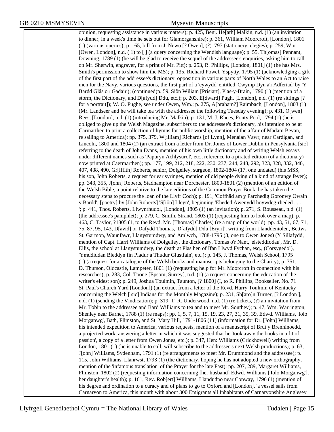opinion, requesting assistance in various matters); p. 425, Benj. He[ath] Malkin, n.d. (1) (an invitation to dinner, in a week's time he sets out for Glamorganshire); p. 361, William Moorcroft, [London], 1801 (1) (various queries); p. 165, bill from J. Newo [? Owen], (?)1797 (stationery, elegies); p. 259, Wm. [Owen, London], n.d. ( 1) to [ ] (a query concerning the Wendish language); p. 55, Th[omas] Pennant, Downing, 1789 (1) (he will be glad to receive the sequel of the addressee's enquiries, asking him to call on Mr. Sherwin, engraver, for a print of Mr. Pitt); p. 253, R. Phillips, [London, 1801] (1) (he has Mrs. Smith's permission to show him the MS); p. 135, Richard Powel, Yspytty, 1795 (1) (acknowledging a gift of the first part of the addressee's dictionary, opposition in various parts of North Wales to an Act to raise men for the Navy, various questions, the first part of a 'cywydd' entitled 'Cwymp Dyn a'i Adferiad' by 'Y Bardd Glâs o'r Gadair'); (continued)p. 59, Siôn Wiliam [Prisiart], Plas-y-Brain, 1790 (1) (mention of a storm, the Dictionary, and D[afydd] Ddu, etc.); p. 203, E[dward] Pugh, [London], n.d. (1) (re sittings [? for a portrait]); W. O. Pughe, see under Owen, Wm.; p. 275, A[braham?] Raimbach, [London], 1803 (1) (Mr. Landseer and he will take tea with the addressee the following Tuesday evening); p. 431, O[wen] Rees, [London], n.d. (1) (introducing Mr. Malkin); p. 131, M. J. Rhees, Ponty Pool, 1794 (1) (he is obliged to give up the Welsh Magazine, subscribers to the addressee's dictionary, his intention to be at Carmarthen to print a collection of hymns for public worship, mention of the affair of Madam Bevan, re sailing to America); pp. 375, 379, W[illiam] Richards [of Lynn], Menaian Vawr, near Cardigan, and Lincoln, 1800 and 1804 (2) (an extract from a letter from Dr. Jones of Lower Dublin in Pensylvania [sic] referring to the death of John Evans, mention of his own little dictionary and of writing Welsh essays under different names such as 'Papuryn Achlysurol', etc., reference to a pirated edition (of a dictionary) now printed at Caermarthen); pp. 177, 199, 212, 218, 222, 230, 237, 244, 248, 292, 323, 328, 332, 340, 407, 438, 490, Gr[iffith] Roberts, senior, Dolgelley, surgeon, 1802-1804 (17, one undated) (his MSS, his son, John Roberts, a request for ear syringes, mention of old people dying of a kind of strange fever); pp. 343, 355, J[ohn] Roberts, Stadhampton near Dorchester, 1800-1801 (2) (mention of an edition of the Welsh Bible, a point relative to the late editions of the Common Prayer Book, he has taken the necessary steps to procure the loan of the Llyfr Coch); p. 191, 'Coffhâd am y Parchedig Goronwy Owain y Bardd', [poetry] by [John Roberts] 'S[iôn] Lleyn', beginning 'Eheded Awenydd hoywdeg-rheded . . . '; p. 441, Thos. Roberts, Llwynrhudol, [London], 1805 (1) (an invitation); p. 271, S. Rousseau, n.d. (1) (the addressee's pamphlet); p. 279, C. Smith, Strand, 1803 (1) (requesting him to look over a map); p. 463, C. Taylor, ?1805 (1, to the Revd. Mr. [Thomas] Charles) (re a map of the world); pp. 43, 51, 67, 71, 75, 87, 95, 143, D[avid] or Dafydd Thomas, 'D[afydd] Ddu [Eryri]', writing from Llanddeniolen, Bettws St. Garmon, Waunfawr, Llanystumdwy, and Amlwch, 1788-1795 (8, one to Owen Jones) (Y Sillafydd, mention of Capt. Harri Williams of Dolgelley, the dictionary, Tomas o'r Nant, 'eisteddfodau', Mr. D. Ellis, the school at Llanystumdwy, the death at Plas hen of Ifan Llwyd Fychan, esq., (Corsygedol), 'Ymddiddan Bleddyn fin Pladur a Thudur Glustfain', etc.); p. 145, J. Thomas, Welsh School, 1795 (1) (a request for a catalogue of the Welsh books and manuscripts belonging to the Charity); p. 351, D. Thurson, Oldcastle, Lampeter, 1801 (1) (requesting help for Mr. Moorcroft in connection with his researches); p. 283, Col. Toone [Epsom, Surrey], n.d. (1) (a request concerning the education of the writer's eldest son); p. 249, Joshua Toulmin, Taunton, [? 1800] (I, to R. Phillips, Bookseller, No. 71 St. Paul's Church Yard [London]) (an extract from a letter of the Revd. Harry Toulmin of Kentucky concerning the Welch [ sic] Indians for the Monthly Magazine); p. 231, Sh[aro]n Turner, [? London ], n.d. (1) (sending the Vindication); p. 319, T. R. Underwood, n.d. (1) (re tickets, (?) an invitation from Mr. Tobin to the addressee and Bard Williams to tea and to meet Mr. Southey); p. 47, Wm. Warrington, Shenley near Barnet, 1788 (1) (re maps); pp. 1, 5, 7, 11, 15, 19, 23, 27, 31, 35, 39, Edwd. Williams, 'Iolo Morganwg', Bath, Flimston, and St. Mary Hill, 1791-1806 (11) (information for Dr. [John] Williams, his intended expedition to America, various requests, mention of a manuscript of Brut y Brenhinoedd, a projected work, answering a letter in which it was suggested that he 'took away the books in a fit of passion', a copy of a letter from Owen Jones, etc.); p. 347, Hen: Williams (Crickhowell) writing from London, 1801 (1) (he is unable to call, will subscribe to the addressee's next Welsh productions); p. 63, J[ohn] Williams, Sydenham, 1791 (1) (re arrangements to meet Mr. Drummond and the addressee); p. 115, John Williams, Llanrwst, 1793 (1) (the dictionary, hoping he has not adopted a new orthography, mention of the 'infamous translation' of the Prayer for the late Fast); pp. 207, 289, Margaret Williams, Flimston, 1802 (2) (requesting information concerning [her husband] Edwd. Williams ['Iolo Morganwg'], her daughter's health); p. 161, Rev. Rob[ert] Williams, Llandudno near Conway, 1796 (1) (mention of his degree and ordination to a curacy and of plans to go to Oxford and [London], 'a vessel sails from Carnarvon to America, this month with about 300 Emigrants all Inhabitants of Carnarvonshire Anglesey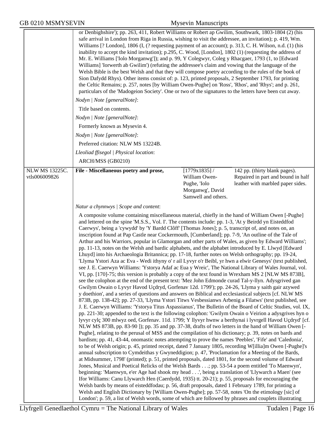|                                 | or Denbighshire'); pp. 263, 411, Robert Williams or Robert ap Gwilim, Southwark, 1803-1804 (2) (his<br>safe arrival in London from Riga in Russia, wishing to visit the addressee, an invitation); p. 419, Wm.<br>Williams [? London], 1806 (I, (? requesting payment of an account); p. 313, C. H. Wilson, n.d. (1) (his<br>inability to accept the kind invitation); p.295, C. Wood, [London], 1802 (1) (requesting the address of<br>Mr. E. Williams ['Iolo Morganwg']); and p. 99, Y Colegwyr, Coleg y Rhacgaer, 1793 (1, to [Edward<br>Williams] 'Iorwerth ab Gwilim') (refuting the addressee's claim and vowing that the language of the<br>Welsh Bible is the best Welsh and that they will compose poetry according to the rules of the book of<br>Sion Dafydd Rhys). Other items consist of: p. 123, printed proposals, 2 September 1793, for printing<br>the Celtic Remains; p. 257, notes [by William Owen-Pughe] on 'Ross', 'Rhos', and 'Rhys'; and p. 261,<br>particulars of the 'Madogeion Society'. One or two of the signatures to the letters have been cut away.<br>Nodyn   Note [generalNote]:<br>Title based on contents.<br>Nodyn   Note [generalNote]:<br>Formerly known as Mysevin 4.<br>Nodyn   Note [generalNote]:<br>Preferred citation: NLW MS 13224B.<br>Lleoliad ffisegol   Physical location:<br>ARCH/MSS (GB0210)                                                                                                                                                                                                                                                                                                                                                                                                                                                                                                                                                                                                                                                                                                                                                                                                                                                                                                                                                                                                                                                                                                                                                                                                                                                                                                                                                                                                                                                                                                                                                                                                                                                                                                                                                                                       |                                                                                             |                                                                                                          |
|---------------------------------|-----------------------------------------------------------------------------------------------------------------------------------------------------------------------------------------------------------------------------------------------------------------------------------------------------------------------------------------------------------------------------------------------------------------------------------------------------------------------------------------------------------------------------------------------------------------------------------------------------------------------------------------------------------------------------------------------------------------------------------------------------------------------------------------------------------------------------------------------------------------------------------------------------------------------------------------------------------------------------------------------------------------------------------------------------------------------------------------------------------------------------------------------------------------------------------------------------------------------------------------------------------------------------------------------------------------------------------------------------------------------------------------------------------------------------------------------------------------------------------------------------------------------------------------------------------------------------------------------------------------------------------------------------------------------------------------------------------------------------------------------------------------------------------------------------------------------------------------------------------------------------------------------------------------------------------------------------------------------------------------------------------------------------------------------------------------------------------------------------------------------------------------------------------------------------------------------------------------------------------------------------------------------------------------------------------------------------------------------------------------------------------------------------------------------------------------------------------------------------------------------------------------------------------------------------------------------------------------------------------------------------------------------------------------------------------------------------------------------------------------------------------------------------------------------------------------------------------------------------------------------------------------------------------------------------------------------------------------------------------------------------------------------------------------------------------------------------------------------------------------------------------------|---------------------------------------------------------------------------------------------|----------------------------------------------------------------------------------------------------------|
| NLW MS 13225C.<br>vtls006009826 | File - Miscellaneous poetry and prose,                                                                                                                                                                                                                                                                                                                                                                                                                                                                                                                                                                                                                                                                                                                                                                                                                                                                                                                                                                                                                                                                                                                                                                                                                                                                                                                                                                                                                                                                                                                                                                                                                                                                                                                                                                                                                                                                                                                                                                                                                                                                                                                                                                                                                                                                                                                                                                                                                                                                                                                                                                                                                                                                                                                                                                                                                                                                                                                                                                                                                                                                                                  | $[1779x1835]$ /<br>William Owen-<br>Pughe, 'Iolo<br>Morganwg', David<br>Samwell and others. | 142 pp. (thirty blank pages).<br>Repaired in part and bound in half<br>leather with marbled paper sides. |
|                                 | Natur a chynnwys / Scope and content:                                                                                                                                                                                                                                                                                                                                                                                                                                                                                                                                                                                                                                                                                                                                                                                                                                                                                                                                                                                                                                                                                                                                                                                                                                                                                                                                                                                                                                                                                                                                                                                                                                                                                                                                                                                                                                                                                                                                                                                                                                                                                                                                                                                                                                                                                                                                                                                                                                                                                                                                                                                                                                                                                                                                                                                                                                                                                                                                                                                                                                                                                                   |                                                                                             |                                                                                                          |
|                                 | A composite volume containing miscellaneous material, chiefly in the hand of William Owen [-Pughe]<br>and lettered on the spine 'M.S.S., Vol. I'. The contents include: pp. 1-3, 'At y Beirdd yn Eisteddfod<br>Caerwys', being a 'cywydd' by 'Y Bardd Clôff' [Thomas Jones]; p. 5, transcript of, and notes on, an<br>inscription found at Pap Castle near Cockermouth, [Cumberland]; pp. 7-9, 'An outline of the Tale of<br>Arthur and his Warriors, popular in Glamorgan and other parts of Wales, as given by Edward Williams';<br>pp. 11-13, notes on the Welsh and bardic alphabets, and the alphabet introduced by E. Llwyd [Edward<br>Lhuyd] into his Archaeologia Britannica; pp. 17-18, further notes on Welsh orthography; pp. 19-24,<br>'Llyma Ystori Aza ac Eva - Wedi ithyny o'r ail Lyvyr o'r Beibl, yr hwn a elwir Genesys' (text published,<br>see J. E. Caerwyn Williams: 'Ystorya Adaf ac Eua y Wreic', The National Library of Wales Journal, vol.<br>VI, pp. [170]-75; this version is probably a copy of the text found in Wrexham MS 2 [NLW MS 873B],<br>see the colophon at the end of the present text: 'Mez John Edmonde curad Tal-y-llyn. Adysgrived gan<br>Gwilym Owain o Lyvyr Havod Uçdryd, Gorfenav 12d. 1799'); pp. 24-26, 'Llyma y saith gair azywed<br>y doethion', and a series of questions and answers on Biblical and ecclesiastical subjects [cf. NLW MS<br>873B, pp. 138-42]; pp. 27-33, 'Llyma Ystori Titws Vesbessianws Arbenig a Filatws' (text published, see<br>J. E. Caerwyn Williams: 'Ystorya Titus Aspassianus', The Bulletin of the Board of Celtic Studies, vol. IX,<br>pp. 221-30; appended to the text is the following colophon: 'Gwilym Owain o Veirion a adysgrives hyn o<br>lyvyr cylę 300 mlwyz oed, Gorfenav. 11d. 1799; Y llyvyr hwnw a berthynai i lyvrgell Havod Uçdryd' [cf.<br>NLW MS 873B, pp. 83-90 ]); pp. 35 and pp. 37-38, drafts of two letters in the hand of William Owen [-<br>Pughe], relating to the perusal of MSS and the compilation of his dictionary; p. 39, notes on bards and<br>bardism; pp. 41, 43-44, onomastic notes attempting to prove the names 'Peebles', 'Fife' and 'Caledonia',<br>to be of Welsh origin; p. 45, printed receipt, dated 7 January 1805, recording W[illia]m Owen [-Pughe]'s<br>annual subscription to Cymdeithas y Gwyneddigion; p. 47, 'Proclamation for a Meeting of the Bards,<br>at Midsummer, 1798' (printed); p. 51, printed proposals, dated 1801, for the second volume of Edward<br>Jones, Musical and Poetical Relicks of the Welsh Bards; pp. 53-54 a poem entitled 'To Maenwyn',<br>beginning: 'Maenwyn, e'er Age had shook my head', being a translation of 'Llywarch a Maen' (see<br>If or Williams: Canu Llywarch Hen (Caerdydd, 1935) tt. 20-21); p. 55, proposals for encouraging the<br>Welsh bards by means of eisteddfodau; p. 56, draft proposals, dated 1 February 1789, for printing a<br>Welsh and English Dictionary by [William Owen-Pughe]; pp. 57-58, notes 'On the etimology [sic] of<br>London'; p. 59, a list of Welsh words, some of which are followed by phrases and couplets illustrating |                                                                                             |                                                                                                          |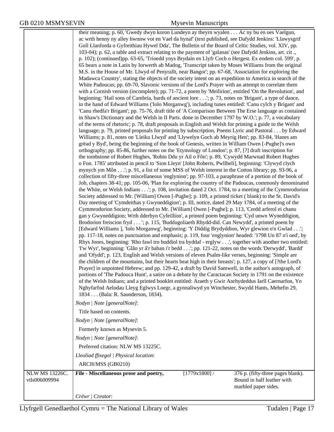|                                 | their meaning; p. 60, 'Gwedy dwyn koron Lundeyn ay theyrn wyalen Ac ny bu en oes Vaelgun,<br>ac wrth henny ny alley hwnnw vot en Vael da hynaf' (text published, see Dafydd Jenkins: 'Llawysgrif<br>Goll Llanforda o Gyfreithiau Hywel Dda', The Bulletin of the Board of Celtic Studies, vol. XIV, pp.<br>103-04); p. 62, a table and extract relating to the payment of 'galanas' (see Dafydd Jenkins, art. cit.,<br>p. 102); (continued)pp. 63-65, 'Trioedd ynys Brydain en Llyfr Coch o Hergest. Ex eodem col. 599', p.<br>65 bears a note in Latin by Iorwerth ab Madog, 'Transcript taken by Moses Williams from the original<br>M.S. in the House of Mr. Llwyd of Penyrallt, near Bangor'; pp. 67-68, 'Association for exploring the<br>Madawca Country', stating the objects of the society intent on an expedition to America in search of the<br>White Padoucas; pp. 69-70, Slavonic versions of the Lord's Prayer with an attempt to correlate them<br>with a Cornish version (incomplete); pp. 71-72, a poem by 'Meilirion', entitled 'On the Revolution', and<br>beginning: 'Hail sons of Cambria, bards of ancient lore'; p. 73, notes on 'Brigant', a type of dance,<br>in the hand of Edward Williams ('Iolo Morganwg'), including tunes entitled: 'Canu cylch y Brigant' and<br>'Canu rhedfa'r Brigant'; pp. 75-76, draft title of 'A Comparison Between The Erse language as contained<br>in Shaw's Dictionary and the Welsh in II Parts. done in December 1797 by W.O.'; p. 77, a vocabulary<br>of the terms of rhetoric; p. 78, draft proposals in English and Welsh for printing a guide to the Welsh<br>language; p. 79, printed proposals for printing by subscription, Poems Lyric and Pastoral by Edward<br>Williams; p. 81, notes on 'Lleiku Llwyd' and 'Llywelyn Goch ab Meyrig Hen'; pp. 83-84, 'Hanes am<br>grëad y Byd', being the beginning of the book of Genesis, written in William Owen [-Pughe]'s own<br>orthography; pp. 85-86, further notes on the 'Etymology of London'; p. 87, [?] draft inscription for<br>the tombstone of Robert Hughes, 'Robin Ddu yr Ail o Fôn'; p. 89, 'Cywydd Marwnad Robert Hughes<br>o Fon. 1785' attributed in pencil to 'Sion Lleyn' [John Roberts, Pwllheli], beginning: 'Clywyd clych<br>mynych ym Môn'; p. 91, a list of some MSS of Welsh interest in the Cotton library; pp. 93-96, a<br>collection of fifty-three miscellaneous 'englynion'; pp. 97-103, a paraphrase of a portion of the book of<br>Job, chapters 38-41; pp. 105-06, 'Plan for exploring the country of the Padoucas, commonly denominated<br>the White, or Welsh Indians'; p. 108, invitation dated 2 Oct. 1784, to a meeting of the Cymmrodorion<br>Society addressed to Mr. [William] Owen [-Pughe]; p. 109, a printed ticket (blank) to the St. David's<br>Day meeting of 'Cymdeithas y Gwyneddigion'; p. III, notice, dated 29 May 1784, of a meeting of the<br>Cymmrodorion Society, addressed to Mr. [William] Owen [-Pughe]; p. 113, 'Cerdd arferol ei chanu<br>gan y Gwyneddigion; Wrth dderbyn Cyfeillion', a printed poem beginning: 'Cyd unwn Wyneddigion,<br>Brodorion freiscion fryd '; p. 115, 'Buddugoliaeth Rhydd-did. Can Newydd', a printed poem by<br>[Edward Williams ], 'Iolo Morganwg', beginning: 'Y Diddig Brydyddion, Wyr glewion o'n Gwlad';<br>pp. 117-18, notes on punctuation and emphasis; p. 119, four 'englynion' headed: '1798 Un 87 o'i oed', by<br>Rhys Jones, beginning: 'Rho fawl tro buddiol tra byddaf - erglyw', together with another two entitled:<br>Tw Wyr', beginning: 'Glân yr â'r baban i'r bedd'; pp. 121-22, notes on the words 'Derwydd', 'Bardd'<br>and 'Ofydd'; p. 123, English and Welsh versions of eleven Psalm-like verses, beginning: 'Simple are<br>the children of the mountains, but their hearts beat high in their breasts'; p. 127, a copy of [?the Lord's<br>Prayer] in unpointed Hebrew; and pp. 129-42, a draft by David Samwell, in the author's autograph, of<br>portions of 'The Padouca Hunt', a satire on a debate by the Caractacan Society in 1791 on the existence<br>of the Welsh Indians; and a printed booklet entitled: Araeth y Gwir Anrhydeddus Iarll Caernarfon, Yn<br>Nghyfarfod Aelodau Lleyg Eglwys Loegr, a gynnaliwyd yn Winchester, Swydd Hants, Mehefin 29,<br>1834 (Bala: R. Saunderson, 1834).<br>Nodyn   Note [generalNote]:<br>Title based on contents.<br>Nodyn   Note [generalNote]:<br>Formerly known as Mysevin 5.<br>Nodyn   Note [generalNote]:<br>Preferred citation: NLW MS 13225C.<br>Lleoliad ffisegol   Physical location:<br>ARCH/MSS (GB0210) |                                                                                         |
|---------------------------------|----------------------------------------------------------------------------------------------------------------------------------------------------------------------------------------------------------------------------------------------------------------------------------------------------------------------------------------------------------------------------------------------------------------------------------------------------------------------------------------------------------------------------------------------------------------------------------------------------------------------------------------------------------------------------------------------------------------------------------------------------------------------------------------------------------------------------------------------------------------------------------------------------------------------------------------------------------------------------------------------------------------------------------------------------------------------------------------------------------------------------------------------------------------------------------------------------------------------------------------------------------------------------------------------------------------------------------------------------------------------------------------------------------------------------------------------------------------------------------------------------------------------------------------------------------------------------------------------------------------------------------------------------------------------------------------------------------------------------------------------------------------------------------------------------------------------------------------------------------------------------------------------------------------------------------------------------------------------------------------------------------------------------------------------------------------------------------------------------------------------------------------------------------------------------------------------------------------------------------------------------------------------------------------------------------------------------------------------------------------------------------------------------------------------------------------------------------------------------------------------------------------------------------------------------------------------------------------------------------------------------------------------------------------------------------------------------------------------------------------------------------------------------------------------------------------------------------------------------------------------------------------------------------------------------------------------------------------------------------------------------------------------------------------------------------------------------------------------------------------------------------------------------------------------------------------------------------------------------------------------------------------------------------------------------------------------------------------------------------------------------------------------------------------------------------------------------------------------------------------------------------------------------------------------------------------------------------------------------------------------------------------------------------------------------------------------------------------------------------------------------------------------------------------------------------------------------------------------------------------------------------------------------------------------------------------------------------------------------------------------------------------------------------------------------------------------------------------------------------------------------------------------------------------------------------------------------------------------------------------------------------------------------------------------------------------------------------------------------------------------------------------------------------------------------------------------------------------------------------------------------------------------------------------------------------------------------------------------------|-----------------------------------------------------------------------------------------|
|                                 |                                                                                                                                                                                                                                                                                                                                                                                                                                                                                                                                                                                                                                                                                                                                                                                                                                                                                                                                                                                                                                                                                                                                                                                                                                                                                                                                                                                                                                                                                                                                                                                                                                                                                                                                                                                                                                                                                                                                                                                                                                                                                                                                                                                                                                                                                                                                                                                                                                                                                                                                                                                                                                                                                                                                                                                                                                                                                                                                                                                                                                                                                                                                                                                                                                                                                                                                                                                                                                                                                                                                                                                                                                                                                                                                                                                                                                                                                                                                                                                                                                                                                                                                                                                                                                                                                                                                                                                                                                                                                                                                                                                                    |                                                                                         |
| NLW MS 13226C.<br>vtls006009994 | $[1779x1800]$ /<br>File - Miscellaneous prose and poetry,<br>Crëwr   Creator:                                                                                                                                                                                                                                                                                                                                                                                                                                                                                                                                                                                                                                                                                                                                                                                                                                                                                                                                                                                                                                                                                                                                                                                                                                                                                                                                                                                                                                                                                                                                                                                                                                                                                                                                                                                                                                                                                                                                                                                                                                                                                                                                                                                                                                                                                                                                                                                                                                                                                                                                                                                                                                                                                                                                                                                                                                                                                                                                                                                                                                                                                                                                                                                                                                                                                                                                                                                                                                                                                                                                                                                                                                                                                                                                                                                                                                                                                                                                                                                                                                                                                                                                                                                                                                                                                                                                                                                                                                                                                                                      | 376 p. (fifty-three pages blank).<br>Bound in half leather with<br>marbled paper sides. |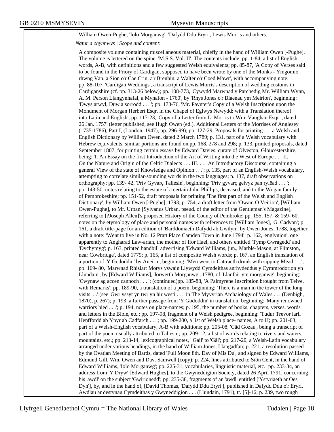## William Owen-Pughe, 'Iolo Morganwg', 'Dafydd Ddu Eryri', Lewis Morris and others.

*Natur a chynnwys | Scope and content*:

A composite volume containing miscellaneous material, chiefly in the hand of William Owen [-Pughe]. The volume is lettered on the spine, 'M.S.S. Vol. II'. The contents include: pp. 1-84, a list of English words, A-B, with definitions and a few suggested Welsh equivalents; pp. 85-87, 'A Copy of Verses said to be found in the Priory of Cardigan, supposed to have been wrote by one of the Monks - Ymgomio rhwng Van. a Sion o'r Cae Crin, a'r Brenhin, a Walter o'r Coed Mawr', with accompanying note; pp. 88-107, 'Cardigan Weddings', a transcript of Lewis Morris's description of wedding customs in Cardiganshire (cf. pp. 313-26 below); pp. 108-773, 'Cywydd Marwnad y Parchedig Mr. William Wynn, A. M. Person Llangynhafal, a Mynafon - 1760', by 'Rhys Jones o'r Blaenau ym Meirion', beginning: 'Dwys arwyl, Duw a sorrodd . . . '; pp. 173-76, 'Mr. Paynter's Copy of a Welsh Inscription upon the Monument of Morgan Herbert Esqr. in the Chapel of Eglwys Newydd: with a Translation thereof into Latin and English'; pp. 117-23, 'Copy of a Letter from L. Morris to Wm. Vaughan Esqr ., dated 26 Jan. 1757' (letter published, see Hugh Owen (ed.), Additional Letters of the Morrises of Anglesey (1735-1786), Part I, (London, 1947), pp. 296-99); pp. 127-29, Proposals for printing . . . a Welsh and English Dictionary by William Owen, dated 2 March 1789; p. 131, part of a Welsh vocabulary with Hebrew equivalents, similar portions are found on pp. 168, 278 and 298; p. 133, printed proposals, dated September 1807, for printing certain essays by Edward Davies, curate of Olveston, Gloucestershire, being: 'I. An Essay on the first Introduction of the Art of Writing into the West of Europe . . . II. On the Nature and Origin of the Celtic Dialects . . . III. . . . An Introductory Discourse, containing a general View of the state of Knowledge and Opinion . . .'; p. 135, part of an English-Welsh vocabulary, attempting to correlate similar-sounding words in the two languages; p. 137, draft observations on orthography; pp. 139- 42, 'Priv Gyvarç Taliesin', beginning: 'Priv gyvarç gelvyz pan rylëad . . . '; pp. 143-50, notes relating to the estate of a certain John Phillips, deceased, and to the Wogan family of Pembrokeshire; pp. 151-52, draft proposals for printing 'The first part of the Welsh and English Dictionary', by William Owen [-Pughe], 1793; p. 754, a draft letter from 'Owain O Veirion', [William Owen-Pughe], to Mr. Urban [Sylvanus Urban, pseud. of the editor of the Gentleman's Magazine], referring to [?Joseph Allen]'s proposed History of the County of Pembroke; pp. 155, 157, & 159- 60, notes on the etymology of place and personal names with references to [William Jones], 'G. Cadvan'; p. 161, a draft title-page for an edition of 'Barddoniaeth Dafydd ab Gwilym' by Owen Jones, 1788, together with a note: 'Went to live in No. 12 Pratt Place Camden Town in June 1794'; p. 162, 'englynion', one apparently to Angharad Law-arian, the mother of Ifor Hael, and others entitled 'Tymp Gwragedd' and 'Dychymyg'; p. 163, printed handbill advertising 'Edward Williams, jun., Marble-Mason, at Flimston, near Cowbridge', dated 1779; p. 165, a list of composite Welsh words; p. 167, an English translation of a portion of 'Y Gododdin' by Aneirin, beginning: 'Men went to Cattraeth drunk with sipping Mead . . .'; pp. 169- 80, 'Marwnad Rhisiart Morys yswain Llywydd Cymdeithas anrhydeddus y Cymmrodorion yn Llundain', by [Edward Williams], 'lorwerth Morganwg', 1780, of 'Llanfair ym morganwg', beginning: 'Cwynaw ag accen cannoch . . . '; (continued)pp. 185-88, 'A Palmyrene Inscription brought from Teive, with Remarks'; pp. 189-90, a translation of a poem, beginning: 'There is a man in the tower of the long visits. . .' (see 'Gwr yssyt yn twr yn hir westi . . .' in The Myvyrian Archaiology of Wales . . . (Denbigh, 1870), p. 267); p. 193, a further passage from 'Y Gododdin' in translation, beginning: 'Many renowned warriors hied . . .'; p. 194, notes on place-names; p. 195, the number of books, chapters, verses, words and letters in the Bible, etc.; pp. 197-98, fragment of a Welsh pedigree, beginning: 'Tudur Trevor iarll Henffordd ab Ynyr ab Cadfarch . . .'; pp. 199-200, a list of Welsh place- names, A to H; pp. 201-03, part of a Welsh-English vocabulary, A-B with additions; pp. 205-08, 'Câd Gozau', being a transcript of part of the poem usually attributed to Taliesin; pp. 209-12, a list of words relating to rivers and waters, mountains, etc.; pp. 213-14, lexicographical notes, ' Gail' to 'Gâl'; pp. 217-20, a Welsh-Latin vocabulary arranged under various headings, in the hand of William Jones, Llangadfan; p. 221, a resolution passed by the Ovatian Meeting of Bards, dated 'Full Moon 8th. Day of Mis Du', and signed by Edward Williams, Edmund Gill, Wm. Owen and Dav. Samwell (copy); p. 224, lines attributed to Siôn Cent, in the hand of Edward Williams, 'Iolo Morganwg'; pp. 225-31, vocabularies, linguistic material, etc.; pp. 233-34, an address from 'Y Dryw' [Edward Hughes], to the Gwyneddigion Society, dated 26 April 1791, concerning his 'awdl' on the subject 'Gwirionedd'; pp. 235-38, fragments of an 'awdl' entitled ['Ystyriaeth ar Oes Dyn'], by, and in the hand of, [David Thomas, 'Dafydd Ddu Eryri'], published in Dafydd Ddu o'r Eryri, Awdlau ar destynau Cymdeithas y Gwyneddigion . . . (Llundain, 1791), tt. [5]-16; p. 239, two rough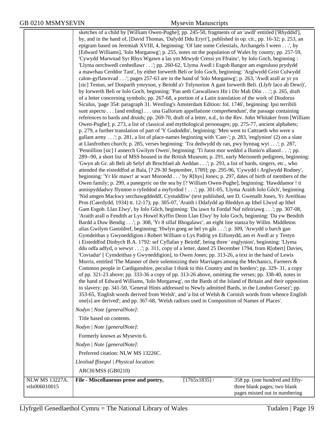sketches of a child by [William Owen-Pughe]; pp. 245-50, fragments of an 'awdl' entitled ['Rhyddid'], by, and in the hand of, [David Thomas, 'Dafydd Ddu Eryri'], published in op. cit., pp. 16-32; p. 253, an epigram based on Jeremiah XVIII, 4, beginning: 'Of late some Celestials, Archangels I ween . . .', by [Edward Williams], 'Iolo Morganwg'; p. 255, notes on the population of Wales by county; pp. 257-59, 'Cywydd Marwnad Syr Rhys Wgawn a las ym Mrwydr Cressi yn Ffrainc', by Iolo Goch, beginning : 'Llyma oerchwedl cenhedlawr . . .'; pp. 260-62, 'Llyma Awdl i Esgob Bangor am esgeuluso prydydd a mawrhau Cerddor Tant', by either Iorwerth Beli or Iolo Goch, beginning: 'Arglwydd Grist Culwydd calon-gyflawnvad . . .'; pages 257-63 are in the hand of 'Iolo Morganwg'; p. 263, 'Awdl arall ar yr yn [sic] Testun, sef Dosparth ymryson, y Beirdd a'r Telynorion A gant Iorwerth Beli. (Llyfr laco ab Dewi)', by Iorwerth Beli or Iolo Goch, beginning: 'Pan aeth Caswallawn Hir i Dir Mab Dôn . . .'; p. 265, draft of a letter concerning symbols; pp. 267-68, a portion of a Latin translation of the work of Diodorus Siculus, 'page 354: paragraph 31. Westling's Amsterdam Edition: fol. 1746', beginning: Ipsi terribili sunt aspectu . . . [and ending] . . . una Gallorum appellatione comprehendunt', the passage containing references to bards and druids; pp. 269-70, draft of a letter, n.d., to the Rev. John Whitaker from [William Owen-Pughe]; p. 273, a list of classical and mythological personages; pp. 275-77, ancient alphabets; p. 279, a further translation of part of 'Y Gododdln', beginning: 'Men went to Cattraeth who were a gallant army . . .'; p. 281, a list of place-names beginning with 'Caer-'; p. 283, 'englynion' (2) on a slate at Llanfrothen church; p. 285, verses beginning: 'Tra dedwydd dy ran, pwy bynnag wyt . . .'; p. 287, 'Pennillion [sic] I annerch Gwilym Owen', beginning: 'Ti fuost mor weddol a Ilunio'n allanol . . .'; pp. 289--90, a short list of MSS housed in the British Museum; p. 291, early Merioneth pedigrees, beginning: 'Gwyn ab Gr. ab Beli ab Selyf ab Brochfael ab Aeddan . . .'; p. 293, a list of bards, singers, etc., who attended the eisteddfod at Bala, [? 29-30 September, 1789]; pp. 295-96, 'Cywydd i Arglwydd Rodney', beginning: 'Yr Iôr mawr! ar warr Moroedd . . .' by R[hys] Jones; p. 297, dates of birth of members of the Owen family; p. 299, a panegyric on the sea by [? William Owen-Pughe], beginning: 'Hawddamor ! ti annispyddadwy ffynnon o ryfeddod a myfyrdod ! . . .'; pp. 301-05, 'Llyma Araith Iolo Gôch', beginning 'Nid amgen Mackwy serchawgddeddf, Cystuddliw' (text published, see D. Gwenallt Jones, Yr Areithiau Pros (Caerdydd, 1934) tt. 12-17); pp. 305-07, 'Araith i Ddafydd ap Bleddyn ap Ithel Llwyd ap Ithel Gam Esgob. Llan Elwy', by Iolo Gôch, beginning: 'Da iawn fu Fordaf Naf nifeiriawg . . .'; pp. 307-08, 'Araith arall o Fendith ar Lys Howel Kyffin Deon Llan Elwy' by Iolo Goch, beginning: 'Da yw Bendith Bardd a Duw Bendig . . .'; p. 308, 'Yr 8 sillaf Bhogalawc', an eight line stanza by Willm. Middleton alias Gwilym Ganoldref, beginning: 'Hwlyn goeg ae hel yn gâs . . .'; p. 309, 'Arwydd o barch gan Gymdeithas y Gwyneddigion i Robert William o Lys Padrig yn Eifionydd, am ei Awdl ar y Testyn i Eisteddfod Dinbych B.A. 1792: sef Cyflafan y Beirdd', being three ' englynion', beginning: 'Llyma ddu odfa adfyd, o wewyr . . .'; p. 311, copy of a letter, dated 25 December 1794, from R[obert] Davies, 'Coviadur' [ Cymdeithas y Gwyneddigion], to Owen Jones; pp. 313-26, a text in the hand of Lewis Morris, entitled 'The Manner of their solemnizing their Marriages among the Mechanics, Farmers & Common people in Cardiganshire, peculiar I think to this Country and its borders'; pp. 329- 31, a copy of pp. 321-23 above; pp. 333-36 a copy of pp. 313-26 above, omitting the verses; pp. 338-40, notes in the hand of Edward Williams, 'Iolo Morganwg', on the Bards of the Island of Britain and their opposition to slavery; pp. 341-50, 'General Hints addressed to Newly admitted Bards, in the London Gorsez'; pp. 353-65, 'English words derived from Welsh', and 'a list of Welsh & Cornish words from whence English one[s] are derived'; and pp. 367-68, 'Welsh radixes used in Composition of Names of Places'. *Nodyn | Note [generalNote]*: Title based on contents. *Nodyn | Note [generalNote]*: Formerly known as Mysevin 6. *Nodyn | Note [generalNote]*: Preferred citation: NLW MS 13226C. *Lleoliad ffisegol | Physical location*: ARCH/MSS (GB0210) NLW MS 13227A. vtls006010015 **File - Miscellaneous prose and poetry,** [1765x1835] / 358 pp. (one hundred and fiftythree blank pages; two blank

pages missed out in numbering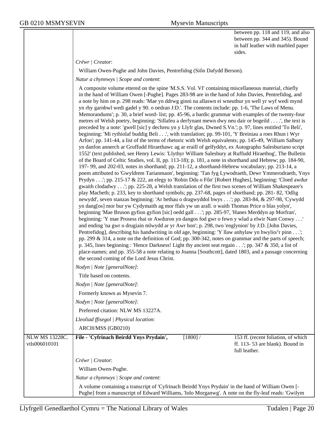between pp. 118 and 119, and also between pp. 344 and 345). Bound in half leather with marbled paper sides.

*Crëwr | Creator*:

William Owen-Pughe and John Davies, Pentrefidog (Siôn Dafydd Berson).

*Natur a chynnwys | Scope and content*:

|                | A composite volume ettered on the spine 'M.S.S. Vol. VI' containing miscellaneous material, chiefly                                                                                                             |            |                                     |  |
|----------------|-----------------------------------------------------------------------------------------------------------------------------------------------------------------------------------------------------------------|------------|-------------------------------------|--|
|                | in the hand of William Owen [-Pughe]. Pages 283-98 are in the hand of John Davies, Pentrefidog, and<br>a note by him on p. 298 reads: 'Mae yn ddrwg ginni na allaswn ei wneuthur yn well yr wyf wedi mynd       |            |                                     |  |
|                | yn rhy garnbwl wedi gadel y 90. o oedran J:D.'. The contents include: pp. 1-6, 'The Laws of Menu.                                                                                                               |            |                                     |  |
|                | Memorandums'; p. 30, a brief word- list; pp. 45-96, a bardic grammar with examples of the twenty-four                                                                                                           |            |                                     |  |
|                | metres of Welsh poetry, beginning: 'Sillafeu a derfynant mewn dwy neu dair or bogeild', the text is                                                                                                             |            |                                     |  |
|                | preceded by a note: 'gwell [sic] y dechreu yn y Llyfr glas, Dwned S.Vn.'; p. 97, lines entitled 'To Beli',                                                                                                      |            |                                     |  |
|                | beginning: 'Mi rythiolaf buddig Beli', with translation; pp. 99-101, 'Y Breiniau a roes Rhun i Wyr                                                                                                              |            |                                     |  |
|                | Arfon'; pp. 141-44, a list of the terms of rhetoric with Welsh equivalents; pp. 145-49, 'William Salbury                                                                                                        |            |                                     |  |
|                | yn danfon annerch ar Gruffudd Hiraethawc ag ar eraill of gelfyddyt, ex Autographo Salesburiano script<br>1552' (text published, see Henry Lewis: 'Llythyr William Salesbury at Ruffudd Hiraethog', The Bulletin |            |                                     |  |
|                | of the Board of Celtic Studies, vol. II, pp. 113-18); p. 181, a note in shorthand and Hebrew; pp. 184-90,                                                                                                       |            |                                     |  |
|                | 197-99, and 202-03, notes in shorthand; pp. 211-12, a shorthand-Hebrew vocabulary; pp. 213-14, a                                                                                                                |            |                                     |  |
|                | poem attributed to 'Gwyldrem Tarianmaon', beginning: 'Tan fyg Lywodraeth, Dewr Ymmerodraeth, Ynys                                                                                                               |            |                                     |  |
|                | Prydyn'; pp. 215-17 & 222, an elegy to 'Robin Ddu o Fôn' [Robert Hughes], beginning: 'Cloed awdur                                                                                                               |            |                                     |  |
|                | gwaith clodadwy'; pp. 225-28, a Welsh translation of the first two scenes of William Shakespeare's                                                                                                              |            |                                     |  |
|                | play Macbeth; p. 233, key to shorthand symbols; pp. 237-68, pages of shorthand; pp. 281-82, 'Odlig<br>newydd', seven stanzas beginning: 'Ar bethau o dragwyddol bwys'; pp. 283-84, & 297-98, 'Cywydd            |            |                                     |  |
|                | yn dang[os] mor bur yw Cydymaith ag mor ffals yw un arall. o waith Thomas Price o blas yolyn',                                                                                                                  |            |                                     |  |
|                | beginning 'Mae Bruson gyfion gyfion [sic] oedd gall'; pp. 285-97, 'Hanes Merddyn ap Morfran',                                                                                                                   |            |                                     |  |
|                | beginning: 'Y mae Prosess rhai or Awduron yn dangos fod gwr o fewn y wlad a elwir Nant Conwy '                                                                                                                  |            |                                     |  |
|                | and ending 'na gwr o drugiain mlwydd ar yr Awr hon'; p. 298, two 'englynion' by J:D. [John Davies,                                                                                                              |            |                                     |  |
|                | Pentrefidog], describing his handwriting in old age, beginning: 'Y llaw anhylaw yn hwylio/'r pinn';                                                                                                             |            |                                     |  |
|                | pp. 299 & 314, a note on the definition of God; pp. 300-342, notes on grammar and the parts of speech;                                                                                                          |            |                                     |  |
|                | p. 345, lines beginning: 'Hence Darkness! Light thy ancient seat regain'; pp. 347 & 350, a list of<br>place-names; and pp. 355-58 a note relating to Joanna [Southcott], dated 1803, and a passage concerning   |            |                                     |  |
|                | the second coming of the Lord Jesus Christ.                                                                                                                                                                     |            |                                     |  |
|                | Nodyn   Note [generalNote]:                                                                                                                                                                                     |            |                                     |  |
|                | Title based on contents.                                                                                                                                                                                        |            |                                     |  |
|                | Nodyn   Note [generalNote]:                                                                                                                                                                                     |            |                                     |  |
|                | Formerly known as Mysevin 7.                                                                                                                                                                                    |            |                                     |  |
|                | Nodyn   Note [generalNote]:                                                                                                                                                                                     |            |                                     |  |
|                | Preferred citation: NLW MS 13227A.                                                                                                                                                                              |            |                                     |  |
|                | Lleoliad ffisegol   Physical location:                                                                                                                                                                          |            |                                     |  |
|                | ARCH/MSS (GB0210)                                                                                                                                                                                               |            |                                     |  |
| NLW MS 13228C. | File - 'Cyfrinach Beirdd Ynys Prydain',                                                                                                                                                                         | $[1800]$ / | 153 ff. (recent foliation, of which |  |
| vtls006010101  |                                                                                                                                                                                                                 |            | ff. 113-53 are blank). Bound in     |  |
|                |                                                                                                                                                                                                                 |            | full leather.                       |  |
|                | Crëwr   Creator:                                                                                                                                                                                                |            |                                     |  |
|                | William Owen-Pughe.                                                                                                                                                                                             |            |                                     |  |
|                | Natur a chynnwys / Scope and content:                                                                                                                                                                           |            |                                     |  |
|                | A volume containing a transcript of 'Cyfrinach Beirdd Ynys Prydain' in the hand of William Owen [-                                                                                                              |            |                                     |  |
|                | Pughe] from a manuscript of Edward Williams, 'Iolo Morganwg'. A note on the fly-leaf reads: 'Gwilym                                                                                                             |            |                                     |  |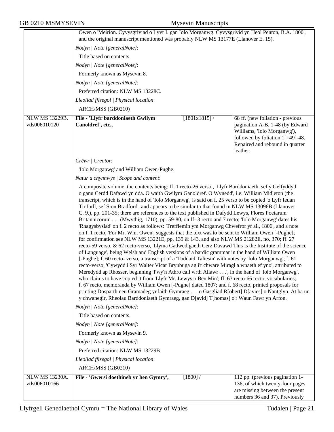|                                 | Owen o 'Meirion. Cyvysgriviad o Lyvr I. gan Iolo Morganwg. Cyvysgrivid yn Heol Penton, B.A. 1800',                                                                                                                                                                                                                                                                                                                                                                                                                                                                                                                                                                                                                                                                                                                                                                                                                                                                                                                                                                                                                                                                                                                                                                                                                                                                                                                                                                                                                                                                                                                                                                                                                                                                                                                                                                               |              |                                                                                                                                                                                          |
|---------------------------------|----------------------------------------------------------------------------------------------------------------------------------------------------------------------------------------------------------------------------------------------------------------------------------------------------------------------------------------------------------------------------------------------------------------------------------------------------------------------------------------------------------------------------------------------------------------------------------------------------------------------------------------------------------------------------------------------------------------------------------------------------------------------------------------------------------------------------------------------------------------------------------------------------------------------------------------------------------------------------------------------------------------------------------------------------------------------------------------------------------------------------------------------------------------------------------------------------------------------------------------------------------------------------------------------------------------------------------------------------------------------------------------------------------------------------------------------------------------------------------------------------------------------------------------------------------------------------------------------------------------------------------------------------------------------------------------------------------------------------------------------------------------------------------------------------------------------------------------------------------------------------------|--------------|------------------------------------------------------------------------------------------------------------------------------------------------------------------------------------------|
|                                 | and the original manuscript mentioned was probably NLW MS 13177E (Llanover E. 15).                                                                                                                                                                                                                                                                                                                                                                                                                                                                                                                                                                                                                                                                                                                                                                                                                                                                                                                                                                                                                                                                                                                                                                                                                                                                                                                                                                                                                                                                                                                                                                                                                                                                                                                                                                                               |              |                                                                                                                                                                                          |
|                                 | Nodyn   Note [generalNote]:                                                                                                                                                                                                                                                                                                                                                                                                                                                                                                                                                                                                                                                                                                                                                                                                                                                                                                                                                                                                                                                                                                                                                                                                                                                                                                                                                                                                                                                                                                                                                                                                                                                                                                                                                                                                                                                      |              |                                                                                                                                                                                          |
|                                 | Title based on contents.                                                                                                                                                                                                                                                                                                                                                                                                                                                                                                                                                                                                                                                                                                                                                                                                                                                                                                                                                                                                                                                                                                                                                                                                                                                                                                                                                                                                                                                                                                                                                                                                                                                                                                                                                                                                                                                         |              |                                                                                                                                                                                          |
|                                 | Nodyn   Note [generalNote]:                                                                                                                                                                                                                                                                                                                                                                                                                                                                                                                                                                                                                                                                                                                                                                                                                                                                                                                                                                                                                                                                                                                                                                                                                                                                                                                                                                                                                                                                                                                                                                                                                                                                                                                                                                                                                                                      |              |                                                                                                                                                                                          |
|                                 | Formerly known as Mysevin 8.                                                                                                                                                                                                                                                                                                                                                                                                                                                                                                                                                                                                                                                                                                                                                                                                                                                                                                                                                                                                                                                                                                                                                                                                                                                                                                                                                                                                                                                                                                                                                                                                                                                                                                                                                                                                                                                     |              |                                                                                                                                                                                          |
|                                 | Nodyn   Note [generalNote]:                                                                                                                                                                                                                                                                                                                                                                                                                                                                                                                                                                                                                                                                                                                                                                                                                                                                                                                                                                                                                                                                                                                                                                                                                                                                                                                                                                                                                                                                                                                                                                                                                                                                                                                                                                                                                                                      |              |                                                                                                                                                                                          |
|                                 | Preferred citation: NLW MS 13228C.                                                                                                                                                                                                                                                                                                                                                                                                                                                                                                                                                                                                                                                                                                                                                                                                                                                                                                                                                                                                                                                                                                                                                                                                                                                                                                                                                                                                                                                                                                                                                                                                                                                                                                                                                                                                                                               |              |                                                                                                                                                                                          |
|                                 | Lleoliad ffisegol   Physical location:                                                                                                                                                                                                                                                                                                                                                                                                                                                                                                                                                                                                                                                                                                                                                                                                                                                                                                                                                                                                                                                                                                                                                                                                                                                                                                                                                                                                                                                                                                                                                                                                                                                                                                                                                                                                                                           |              |                                                                                                                                                                                          |
|                                 | ARCH/MSS (GB0210)                                                                                                                                                                                                                                                                                                                                                                                                                                                                                                                                                                                                                                                                                                                                                                                                                                                                                                                                                                                                                                                                                                                                                                                                                                                                                                                                                                                                                                                                                                                                                                                                                                                                                                                                                                                                                                                                |              |                                                                                                                                                                                          |
| NLW MS 13229B.<br>vtls006010120 | File - 'Llyfr barddoniaeth Gwilym<br>Canoldref', etc.,                                                                                                                                                                                                                                                                                                                                                                                                                                                                                                                                                                                                                                                                                                                                                                                                                                                                                                                                                                                                                                                                                                                                                                                                                                                                                                                                                                                                                                                                                                                                                                                                                                                                                                                                                                                                                           | [1801x1815]/ | 68 ff. (new foliation - previous<br>pagination A-B, 1-48 (by Edward<br>Williams, 'Iolo Morganwg'),<br>followed by foliation $1[=49]$ -48.<br>Repaired and rebound in quarter<br>leather. |
|                                 | Crëwr   Creator:                                                                                                                                                                                                                                                                                                                                                                                                                                                                                                                                                                                                                                                                                                                                                                                                                                                                                                                                                                                                                                                                                                                                                                                                                                                                                                                                                                                                                                                                                                                                                                                                                                                                                                                                                                                                                                                                 |              |                                                                                                                                                                                          |
|                                 | 'Iolo Morganwg' and William Owen-Pughe.                                                                                                                                                                                                                                                                                                                                                                                                                                                                                                                                                                                                                                                                                                                                                                                                                                                                                                                                                                                                                                                                                                                                                                                                                                                                                                                                                                                                                                                                                                                                                                                                                                                                                                                                                                                                                                          |              |                                                                                                                                                                                          |
|                                 | Natur a chynnwys / Scope and content:                                                                                                                                                                                                                                                                                                                                                                                                                                                                                                                                                                                                                                                                                                                                                                                                                                                                                                                                                                                                                                                                                                                                                                                                                                                                                                                                                                                                                                                                                                                                                                                                                                                                                                                                                                                                                                            |              |                                                                                                                                                                                          |
|                                 | A composite volume, the contents being: ff. 1 recto-26 verso, 'Llyfr Barddoniaeth. sef y Gelfyddyd<br>o ganu Cerdd Dafawd yn dda. O waith Gwilym Ganoldref. O Wynedd', i.e. William Midleton (the<br>transcript, which is in the hand of 'Iolo Morganwg', is said on f. 25 verso to be copied 'o Lyfr Ieuan<br>Tir Iarll, sef Sion Bradford', and appears to be similar to that found in NLW MS 13096B (Llanover<br>C. 9.), pp. 201-35; there are references to the text published in Dafydd Lewys, Flores Poetarum<br>Britannicorum (Mwythig, 1710), pp. 59-80, on ff- 3 recto and 7 recto; 'Iolo Morganwg' dates his<br>'Rhagysbysiad' on f. 2 recto as follows: 'Trefflemin ym Morganwg Chwefror yr ail, 1806', and a note<br>on f. 1 recto, 'For Mr. Wm. Owen', suggests that the text was to be sent to William Owen [-Pughe];<br>for confirmation see NLW MS 13221E, pp. 139 & 143, and also NLW MS 21282E, no. 370; ff. 27<br>recto-59 verso, & 62 recto-verso, 'Llyma Gadwedigaeth Cerz Davawd This is the Institute of the science<br>of Language', being Welsh and English versions of a bardic grammar in the hand of William Owen<br>[-Pughe]; f. 60 recto- verso, a transcript of a 'Toddaid Taliesin' with notes by 'Iolo Morganwg'; f. 61<br>recto-verso, 'Cywydd i Syr Walter Vicar Brynbuga ag i'r chware Miragl a wnaeth ef yno', attributed to<br>Meredydd ap Rhosser, beginning 'Pwy'n Athro call wrth Allawr', in the hand of 'Iolo Morganwg',<br>who claims to have copied it from 'Llyfr Mr. Lewys o Ben Min'; ff. 63 recto-66 recto, vocabularies;<br>f. 67 recto, memoranda by William Owen [-Pughe] dated 1807; and f. 68 recto, printed proposals for<br>printing Dosparth neu Gramadeg yr laith Gymraeg o Gasgliad R[obert] D[avies] o Nantglyn. At ba un<br>y chwanegir, Rheolau Barddoniaeth Gymraeg, gan D[avid] T[homas] o'r Waun Fawr yn Arfon. |              |                                                                                                                                                                                          |
|                                 | Nodyn   Note [generalNote]:                                                                                                                                                                                                                                                                                                                                                                                                                                                                                                                                                                                                                                                                                                                                                                                                                                                                                                                                                                                                                                                                                                                                                                                                                                                                                                                                                                                                                                                                                                                                                                                                                                                                                                                                                                                                                                                      |              |                                                                                                                                                                                          |
|                                 | Title based on contents.                                                                                                                                                                                                                                                                                                                                                                                                                                                                                                                                                                                                                                                                                                                                                                                                                                                                                                                                                                                                                                                                                                                                                                                                                                                                                                                                                                                                                                                                                                                                                                                                                                                                                                                                                                                                                                                         |              |                                                                                                                                                                                          |
|                                 | Nodyn   Note [generalNote]:                                                                                                                                                                                                                                                                                                                                                                                                                                                                                                                                                                                                                                                                                                                                                                                                                                                                                                                                                                                                                                                                                                                                                                                                                                                                                                                                                                                                                                                                                                                                                                                                                                                                                                                                                                                                                                                      |              |                                                                                                                                                                                          |
|                                 | Formerly known as Mysevin 9.                                                                                                                                                                                                                                                                                                                                                                                                                                                                                                                                                                                                                                                                                                                                                                                                                                                                                                                                                                                                                                                                                                                                                                                                                                                                                                                                                                                                                                                                                                                                                                                                                                                                                                                                                                                                                                                     |              |                                                                                                                                                                                          |
|                                 | Nodyn   Note [generalNote]:                                                                                                                                                                                                                                                                                                                                                                                                                                                                                                                                                                                                                                                                                                                                                                                                                                                                                                                                                                                                                                                                                                                                                                                                                                                                                                                                                                                                                                                                                                                                                                                                                                                                                                                                                                                                                                                      |              |                                                                                                                                                                                          |
|                                 | Preferred citation: NLW MS 13229B.                                                                                                                                                                                                                                                                                                                                                                                                                                                                                                                                                                                                                                                                                                                                                                                                                                                                                                                                                                                                                                                                                                                                                                                                                                                                                                                                                                                                                                                                                                                                                                                                                                                                                                                                                                                                                                               |              |                                                                                                                                                                                          |
|                                 | Lleoliad ffisegol   Physical location:                                                                                                                                                                                                                                                                                                                                                                                                                                                                                                                                                                                                                                                                                                                                                                                                                                                                                                                                                                                                                                                                                                                                                                                                                                                                                                                                                                                                                                                                                                                                                                                                                                                                                                                                                                                                                                           |              |                                                                                                                                                                                          |
|                                 | ARCH/MSS (GB0210)                                                                                                                                                                                                                                                                                                                                                                                                                                                                                                                                                                                                                                                                                                                                                                                                                                                                                                                                                                                                                                                                                                                                                                                                                                                                                                                                                                                                                                                                                                                                                                                                                                                                                                                                                                                                                                                                |              |                                                                                                                                                                                          |
| NLW MS 13230A.<br>vtls006010166 | File - 'Gwersi doethineb yr hen Gymry',                                                                                                                                                                                                                                                                                                                                                                                                                                                                                                                                                                                                                                                                                                                                                                                                                                                                                                                                                                                                                                                                                                                                                                                                                                                                                                                                                                                                                                                                                                                                                                                                                                                                                                                                                                                                                                          | $[1800]$ /   | 112 pp. (previous pagination 1-<br>136, of which twenty-four pages<br>are missing between the present<br>numbers 36 and 37). Previously                                                  |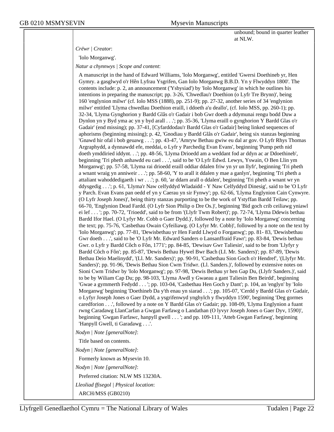unbound; bound in quarter leather at NLW.

#### *Crëwr | Creator*:

'Iolo Morganwg'.

*Natur a chynnwys | Scope and content*:

A manuscript in the hand of Edward Williams, 'Iolo Morganwg', entitled 'Gwersi Doethineb yr, Hen Gymry. a gasglwyd o'r Hên Lyfrau Ysgrifen, Gan Iolo Morganwg B.B.D. Yn y Flwyddyn 1800'. The contents include: p. 2, an announcement ('Ysbysiad') by 'Iolo Morganwg' in which he outlines his intentions in preparing the manuscript; pp. 3-26, 'Chwedlau'r Doethion (o Lyfr Tre Brynn)', being 160 'englynion milwr' (cf. Iolo MSS (1888), pp. 251-9); pp. 27-32, another series of 34 'englynion milwr' entitled 'Llyma chwedlau Doethion eraill, i ddoeth a'u deallo', (cf. Iolo MSS, pp. 260-1); pp. 32-34, 'Llyma Gynghorion y Bardd Glâs o'r Gadair i bob Gwr doeth a ddymunai rengu bodd Duw a Dynlon yn y Byd yma ac yn y byd arall . . .'; pp. 35-36, 'Llyma eraill o gynghorion Y Bardd Glas o'r Gadair' (end missing); pp. 37-41, [Cyfarddodau'r Bardd Glas o'r Gadair] being linked sequences of aphorisms (beginning missing); p. 42, 'Gnodiau y Bardd Glâs o'r Gadair', being six stanzas beginning 'Gnawd hir ofal i bob geuawg . . .'; pp. 43-47, 'Amryw Bethau gwiw eu dal ar gov. O Lyfr Rhys Thomas Argraphydd, a dynnawdd efe, meddai, o Lyfr y Parchedig Evan Evans', beginning 'Pump peth nid doeth ymddiried iddynt. . .'; pp. 48-56, 'Llyma Drioedd am a weddant fod ar ddyn ac ar Ddoethineb', beginning 'Tri pheth anhawdd eu cael . . .', said to be 'O Lyfr Edwd. Lewys, Yswain, O Ben Llin ym Morganwg'; pp. 57-58, 'Llyma rai drioedd eraill oddiar ddalen friw yn yr un llyfr', beginning 'Tri pheth a wnant wraig yn anniweir . . .'; pp. 58-60, 'Y to arall it ddalen y mae a ganlyn', beginning 'Tri pheth a attaliant wahoddedigaeth i wr . . .'; p. 60, 'ar ddarn arall o ddalen', beginning 'Tri pheth a wnant wr yn ddysgedig . . .'; p. 61, 'Llyma'r Naw celfyddyd Wladaidd - Y Naw Celfyddyd Dinesig', said to be 'O Lyfr y Parch. Evan Evans pan oedd ef yn y Caerau yn sir Fynwy'; pp. 62-66, 'Llyma Englynion Cain Cynwyre. (O Lyfr Joseph Jones)', being thirty stanzas purporting to be the work of Ystyffan Bardd Teilaw; pp. 66-70, 'Englynion Dead Fardd. (O Lyfr Sion Philip o Dre Os.)', beginning 'Bid goch crib ceiliawg yniawl ei lef . . . '; pp. 70-72, 'Trioedd', said to be from '(Llyfr Twm Robert)'; pp. 72-74, 'Llyma Ddewis bethau Bardd Ifor Hael. (O Lyfyr Mr. Cobb o Gaer Dydd.)', followed by a note by 'Iolo Morganwg' concerning the text; pp. 75-76, 'Casbethau Owain Cyfeiliawg. (O Lyfyr Mr. Cobb)', followed by a note on the text by 'Iolo Morganwg'; pp. 77-81, 'Dewisbethau yr Hen Fardd Llwyd o Forganwg'; pp. 81- 83, 'Dewisbethau Gwr doeth . . .', said to be 'O Lyfr Mr. Edward Sanders o Lansanffraid Fawr'; pp. 83-84, 'Dewis bethau Gwr. o Lyfr y Bardd Côch o Fôn, 1771'; pp. 84-85, 'Dewisav Gwr Taliesin', said to be from 'Llyfyr y Bardd Côch o Fôn'; pp. 85-87, 'Dewis Bethau Hywel Bwr Bach (LI. Mr. Sanders)'; pp. 87-89, 'Dewis Bethau Deio Maelinydd', '(Ll. Mr. Sanders)'; pp. 90-91, 'Casbethau Sion Goch o'r Hendref', '(Llyfyr Mr. Sanders)'; pp. 91-96, 'Dewis Bethau Sion Cwm Tridwr. (Ll. Sanders.)', followed by extensive notes on Sioni Cwm Tridwr by 'Iolo Morganwg'; pp. 97-98, 'Dewis Bethau yr hen Gap Du, (Llyfr Sanders.)', said to be by Wiliam Cap Du; pp. 98-103, 'Llyma Awdl y Gwaeau a gant Taliesin Ben Beirdd', beginning 'Gwae a gymmerth Fedydd . . . '; pp. 103-04, 'Casbethau Hen Goch y Dant'; p. 104, an 'englyn' by 'Iolo Morganwg' beginning 'Doethineb Da y'th enau yn siarad . . .'; pp. 105-07, 'Cerdd y Bardd Glas o'r Gadair, o Lyfyr Joseph Jones o Gaer Dydd, a ysgrifenwyd ynghylch y flwyddyn 1590', beginning 'Deg gormes caredforion . . .', followed by a note on Y Bardd Glas o'r Gadair; pp. 108-09, 'Llyma Englynion a fuant rwng Caradawg LlanCarfan a Gwgan Farfawg o Landathan (O lyvyr Joseph Jones o Gaer Dyv, 1590)', beginning 'Gwgan Farfawc, hanpyll gwell . . . '; and pp. 109-111, 'Atteb Gwgan Farfawg', beginning 'Hanpyll Gwell, ti Garadawg . . .'.

*Nodyn | Note [generalNote]*:

Title based on contents.

*Nodyn | Note [generalNote]*:

Formerly known as Mysevin 10.

*Nodyn | Note [generalNote]*:

Preferred citation: NLW MS 13230A.

*Lleoliad ffisegol | Physical location*:

ARCH/MSS (GB0210)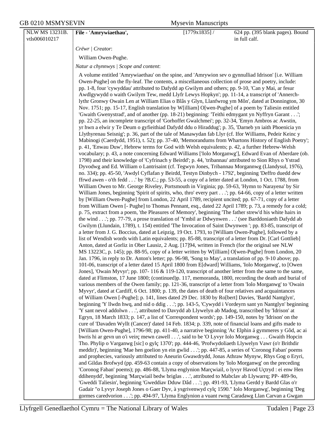NLW MS 13231B. vtls006010217 **File - 'Amrywiaethau',** [1779x1835] / 624 pp. (395 blank pages). Bound in full calf. *Crëwr | Creator*: William Owen-Pughe. *Natur a chynnwys | Scope and content*: A volume entitled 'Amrywiaethau' on the spine, and 'Amrywion sev o gynnulliad Idrison' [i.e. William Owen-Pughe] on the fly-leaf. The contents, a miscellaneous collection of prose and poetry, include: pp. 1-8, four 'cywyddau' attributed to Dafydd ap Gwilym and others; pp. 9-10, 'Can y Mai, ar fesur Awdlgywydd o waith Gwilym Tew, medd Llyfr Lewys Hopkyn'; pp. 11-14, a transcript of 'Annerchlythr Gronwy Owain Len at William Elias o Blâs y Glyn, Llanfwrog ym Môn', dated at Donnington, 30 Nov. 1751; pp. 15-17, English translation by W[illiam] O[wen-Pughe] of a poem by Taliesin entitled 'Gwaith Gwenystrad', and of another (pp. 18-21) beginning: 'Teithi edmygant yn Nyffryn Garant . . .'; pp. 22-25, an incomplete transcript of 'Gorhoffet Gwalchmei'; pp. 32-34, 'Emyn Ambros ac Awstin, yr hwn a elwir y Te Deum o gyfieithiad Dafydd ddu o Hiraddug'; p. 35, 'Darneb yn iaith Phoenicia yn Llythyrenau Seisnig'; p. 36, part of the tale of Manawydan fab Llyr (cf. Ifor Williams, Pedeir Keinc y Mabinogi (Caerdydd, 1951), t. 52); pp. 37-40, 'Memorandums from Whartons History of English Poetry'; p. 41, 'Enwau Duw', Hebrew terms for God with Welsh equivalents; p. 42, a further Hebrew-Welsh vocabulary; p. 43, a note concerning Edward Williams ['Iolo Morganwg'], Edward Evan of Aberdare (ob. 1798) and their knowledge of 'Cyfrinach y Beirdd'; p. 44, 'tribannau' attributed to Sion Rhys o Ystrad Dyvodwg and Ed. William o Lantrisaint (cf. Tegwyn Jones, Tribannau Morgannwg (Llandysul, 1976), no. 334); pp. 45-50, 'Awdyl Cyflafan y Beirdd, Testyn Dinbych - 1792', beginning 'Deffro duedd dew ffrwd awen - o'th fedd . . .' by ?B.C.; pp. 53-55, a copy of a letter dated at London, 1 Oct. 1788, from William Owen to Mr. George Riveley, Portsmouth in Virginia; pp. 59-63, 'Hymn to Narayena' by Sir William Jones, beginning 'Spirit of spirits, who, thro' every part . . .'; pp. 64-66, copy of a letter written by [William Owen-Pughe] from London, 22 April 1789, recipient uncited; pp. 67-71, copy of a letter from William Owen [- Pughe] to Thomas Pennant, esq., dated 22 April 1789; p. 73, a remedy for a cold; p. 75, extract from a poem, 'the Pleasures of Memory', beginning 'The father strew'd his white hairs in the wind . . .'; pp. 77-79, a prose translation of 'Ymbil ar Ddwynwen . . .' (see Barddoniaeth Dafydd ab Gwilym (Llundain, 1789), t. 154) entitled 'The Invocation of Saint Dwynwen '; pp. 83-85, transcript of a letter from J. G. Boccius, dated at Leipzig, 19 Oct. 1793, to [William Owen-Pughe], followed by a list of Wendish words with Latin equivalents; pp. 85-88, transcript of a letter from Dr. [Carl Gottlieb] Anton, dated at Gorliz in Ober Lausiz, 2 Aug. [17]94, written in French (for the original see NLW MS 13223C, p. 145); pp. 88-95, copy of a letter written by W[illiam] O[wen-Pughe] from London, 20 Jan. 1796, in reply to Dr. Anton's letter; pp. 96-98, 'Song to May', a translation of pp. 9-10 above; pp. 101-06, transcript of a letter dated 15 April 1800 from E[dward] Williams, 'Iolo Morganwg', to [Owen Jones], 'Owain Myvyr'; pp. 107- 116 & 119-120, transcript of another letter from the same to the same, dated at Flimston, 17 June 1800; (continued)p. 117, memoranda, 1800, recording the death and burial of various members of the Owen family; pp. 121-36, transcript of a letter from 'Iolo Morganwg' to 'Owain Myvyr', dated at Cardiff, 6 Oct. 1800; p. 139, the dates of death of four relatives and acquaintances of William Owen [-Pughe]; p. 141, lines dated 29 Dec. 1830 by Ro[bert] Davies, 'Bardd Nantglyn', beginning 'Y llwdn hwq, and nid o ddig . . .'; pp. 143-5, 'Cywydd i Vordeyrn sant yn Nantglyn' beginning 'Y sant nevol addolwn . . .', attributed to Davydd ab Llywelyn ab Madog, transcribed by 'Idrison' at Egryn, 18 March 1833; p. 147, a list of 'Correspondent words'; pp. 149-150, notes by 'Idrison' on the cure of 'Davaden Wyllt (Cancer)' dated 14 Feb. 1834; p. 339, note of financial loans and gifts made to [William Owen-Pughe], 1796-98; pp. 411-40, a narrative beginning 'Ac Elphin á gymmeres y Gôd, ac ai bwris hi ar gevn un o'i veirç mewn cawell . . .', said to be 'O Lyvyr Iolo Morganwg . . . Gwaith Hopcin Tho. Phylip o Varganwg [sic] o gylç 1370'; pp. 444-46, 'Profwydoliaeth Llywelyn Vawr (o'r Brithdir meddir)', beginning 'Mae hen goelion yn ein gwlid . . .'; pp. 447-85, a series of 'Coronog Faban' poems and prophecies, variously attributed to Aneurin Gwawdrydd, Jonas Athraw Mynyw, Rhys Gog o Eryri, and Gildas Brofwyd (pp. 459-63 contain a copy of observations by 'Iolo Morganwg' on the preceding 'Coronog Faban' poems); pp. 486-88, 'Llyma englynion Marçwiail, o lyvyr Havod Uçtryd : ei enw Hen ddihenydd', beginning 'Marçwiail bedw briglas . . .', attributed to Mabclav ab Llywarrq; PP- 489-9o, 'Gweddi Taliesin', beginning 'Gweddiav Dduw Dâd . . .'; pp. 491-93, 'Llyma Gerdd y Bardd Glas o'r Gadair "o Lyvyr Joseph Jones o Gaer Dyv, à ysgrivenwyd cylç 1590." Iolo Morganwg', beginning 'Deg gormes caredvorion . . .'; pp. 494-97, 'Llyma Englynion a vuant rwng Caradawg Llan Carvan a Gwgan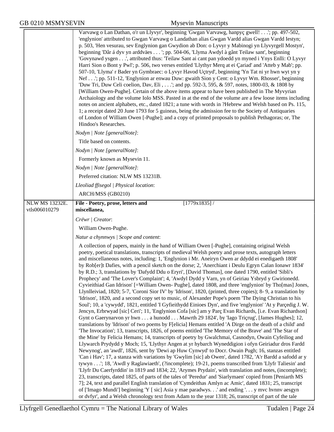|                       | Varvawg o Lan Dathan, o'r un Llyvyr', beginning 'Gwgan Varvawg, hanpyc gwell!'; pp. 497-502,<br>'englynion' attributed to Gwgan Varvawg o Landathan alias Gwgan Vardd alias Gwgan Vardd Iestyn;<br>p. 503, 'Hen vesurau, sev Englynion gan Gwydion ab Don: o Lyvyr y Mabinogi yn Llyvyrgell Mostyn',<br>beginning 'Dâr á dyv yn arddväes '; pp. 504-06, 'Llyma Awdyl à gânt Teilaw sant', beginning<br>'Govynawd ysgen', attributed thus: 'Teilaw Sant ai cant pan ydoedd yn myned i Ynys Enlli: O Lyvyr<br>Harri Sion o Bont y Pwl'; p. 506, two verses entitled 'Llythyr Merq at ei Çariad' and 'Atteb y Mab'; pp.<br>507-10, 'Llyma' r Bader yn Gymbraec: o Lyvyr Havod Uçtryd', beginning 'Yn Tat ni yr hwn wyt yn y<br>Nef'; pp. 511-12, 'Englynion ar enwau Duw: gwaith Sion y Cent: o Lyvyr Wm. Rhosser', beginning<br>'Duw Tri, Duw Celi coelion, Dav, Eli ,'; and pp. 592-3, 595, & 597, notes, 1800-03, & 1808 by<br>[William Owen-Pughe]. Certain of the above items appear to have been published in The Myvyrian<br>Archaiology and the volume Iolo MSS. Pasted in at the end of the volume are a few loose items including<br>notes on ancient alphabets, etc., dated 1821; a tune with words in ?Hebrew and Welsh based on Ps. 115,<br>1; a receipt dated 20 June 1793 for 5 guineas, being the admission fee to the Society of Antiquaries<br>of London of William Owen [-Pughe]; and a copy of printed proposals to publish Pethagoras; or, The<br>Hindoo's Researches.                                                                                                                                                                                                                                                                                                                                                                                                                                                                                                                                                                                                                                                                                                                                                                                                                                                                                                   |
|-----------------------|--------------------------------------------------------------------------------------------------------------------------------------------------------------------------------------------------------------------------------------------------------------------------------------------------------------------------------------------------------------------------------------------------------------------------------------------------------------------------------------------------------------------------------------------------------------------------------------------------------------------------------------------------------------------------------------------------------------------------------------------------------------------------------------------------------------------------------------------------------------------------------------------------------------------------------------------------------------------------------------------------------------------------------------------------------------------------------------------------------------------------------------------------------------------------------------------------------------------------------------------------------------------------------------------------------------------------------------------------------------------------------------------------------------------------------------------------------------------------------------------------------------------------------------------------------------------------------------------------------------------------------------------------------------------------------------------------------------------------------------------------------------------------------------------------------------------------------------------------------------------------------------------------------------------------------------------------------------------------------------------------------------------------------------------------------------------------------------------------------------------------------------------------------------------------------------------------------------------------------------------------------------------------------------------------------------------------------------------------------------------------------------------|
|                       | Nodyn   Note [generalNote]:                                                                                                                                                                                                                                                                                                                                                                                                                                                                                                                                                                                                                                                                                                                                                                                                                                                                                                                                                                                                                                                                                                                                                                                                                                                                                                                                                                                                                                                                                                                                                                                                                                                                                                                                                                                                                                                                                                                                                                                                                                                                                                                                                                                                                                                                                                                                                                |
|                       | Title based on contents.                                                                                                                                                                                                                                                                                                                                                                                                                                                                                                                                                                                                                                                                                                                                                                                                                                                                                                                                                                                                                                                                                                                                                                                                                                                                                                                                                                                                                                                                                                                                                                                                                                                                                                                                                                                                                                                                                                                                                                                                                                                                                                                                                                                                                                                                                                                                                                   |
|                       | Nodyn   Note [generalNote]:                                                                                                                                                                                                                                                                                                                                                                                                                                                                                                                                                                                                                                                                                                                                                                                                                                                                                                                                                                                                                                                                                                                                                                                                                                                                                                                                                                                                                                                                                                                                                                                                                                                                                                                                                                                                                                                                                                                                                                                                                                                                                                                                                                                                                                                                                                                                                                |
|                       | Formerly known as Mysevin 11.                                                                                                                                                                                                                                                                                                                                                                                                                                                                                                                                                                                                                                                                                                                                                                                                                                                                                                                                                                                                                                                                                                                                                                                                                                                                                                                                                                                                                                                                                                                                                                                                                                                                                                                                                                                                                                                                                                                                                                                                                                                                                                                                                                                                                                                                                                                                                              |
|                       | Nodyn   Note [generalNote]:<br>Preferred citation: NLW MS 13231B.                                                                                                                                                                                                                                                                                                                                                                                                                                                                                                                                                                                                                                                                                                                                                                                                                                                                                                                                                                                                                                                                                                                                                                                                                                                                                                                                                                                                                                                                                                                                                                                                                                                                                                                                                                                                                                                                                                                                                                                                                                                                                                                                                                                                                                                                                                                          |
|                       | Lleoliad ffisegol   Physical location:                                                                                                                                                                                                                                                                                                                                                                                                                                                                                                                                                                                                                                                                                                                                                                                                                                                                                                                                                                                                                                                                                                                                                                                                                                                                                                                                                                                                                                                                                                                                                                                                                                                                                                                                                                                                                                                                                                                                                                                                                                                                                                                                                                                                                                                                                                                                                     |
|                       | ARCH/MSS (GB0210)                                                                                                                                                                                                                                                                                                                                                                                                                                                                                                                                                                                                                                                                                                                                                                                                                                                                                                                                                                                                                                                                                                                                                                                                                                                                                                                                                                                                                                                                                                                                                                                                                                                                                                                                                                                                                                                                                                                                                                                                                                                                                                                                                                                                                                                                                                                                                                          |
| <b>NLW MS 13232E.</b> | $[1779x1835]$ /<br>File - Poetry, prose, letters and                                                                                                                                                                                                                                                                                                                                                                                                                                                                                                                                                                                                                                                                                                                                                                                                                                                                                                                                                                                                                                                                                                                                                                                                                                                                                                                                                                                                                                                                                                                                                                                                                                                                                                                                                                                                                                                                                                                                                                                                                                                                                                                                                                                                                                                                                                                                       |
| vtls006010279         | miscellanea,                                                                                                                                                                                                                                                                                                                                                                                                                                                                                                                                                                                                                                                                                                                                                                                                                                                                                                                                                                                                                                                                                                                                                                                                                                                                                                                                                                                                                                                                                                                                                                                                                                                                                                                                                                                                                                                                                                                                                                                                                                                                                                                                                                                                                                                                                                                                                                               |
|                       | Crëwr   Creator:                                                                                                                                                                                                                                                                                                                                                                                                                                                                                                                                                                                                                                                                                                                                                                                                                                                                                                                                                                                                                                                                                                                                                                                                                                                                                                                                                                                                                                                                                                                                                                                                                                                                                                                                                                                                                                                                                                                                                                                                                                                                                                                                                                                                                                                                                                                                                                           |
|                       | William Owen-Pughe.                                                                                                                                                                                                                                                                                                                                                                                                                                                                                                                                                                                                                                                                                                                                                                                                                                                                                                                                                                                                                                                                                                                                                                                                                                                                                                                                                                                                                                                                                                                                                                                                                                                                                                                                                                                                                                                                                                                                                                                                                                                                                                                                                                                                                                                                                                                                                                        |
|                       | Natur a chynnwys / Scope and content:                                                                                                                                                                                                                                                                                                                                                                                                                                                                                                                                                                                                                                                                                                                                                                                                                                                                                                                                                                                                                                                                                                                                                                                                                                                                                                                                                                                                                                                                                                                                                                                                                                                                                                                                                                                                                                                                                                                                                                                                                                                                                                                                                                                                                                                                                                                                                      |
|                       | A collection of papers, mainly in the hand of William Owen [-Pughe], containing original Welsh<br>poetry, poetical translations, transcripts of medieval Welsh poetry and prose texts, autograph letters<br>and miscellaneous notes, including: 1, 'Englynion i Mr. Aneiryn Owen ar ddydd ei enedigaeth 1808'<br>by Rob[er]t Dafies, with a pencil sketch on the dorse; 2, 'Anerchiant i Deulu Egryn Calan Ionawr 1834'<br>by R.D.; 3, translations by 'Dafydd Ddu o Eryri', [David Thomas], one dated 1790, entitled 'Sibli's<br>Prophecy' and 'The Lover's Complaint'; 4, 'Awdyl Dydd y Varn, yn of Geiriau Ysbryd y Gwirionedd.<br>Cyvieithiad Gan Idrison' [=William Owen-Pughe], dated 1808, and three 'englynion' by Tho[mas] Jones,<br>Llynlleiviad, 1820; 5-7, 'Coroni Sior IV' by 'Idrison', 1820, (printed, three copies); 8-9, a translation by<br>'Idrison', 1820, and a second copy set to music, of Alexander Pope's poem 'The Dying Christian to his<br>Soul'; 10, a 'cywydd', 1821, entitled 'I Gyfieithydd Einioes Dyn', and five 'englynion' 'At y Parcedig J. W.<br>Jencyn, Erbrwyad [sic] Ceri'; 11, 'Englynion Cofa [sic] am y Parç Evan Richards, [i.e. Evan Richardson]<br>Gynt o Gaerynarvon yr hwn a hunodd Mawrth 29 1824', by 'Iago Tricrug', [James Hughes]; 12,<br>translations by 'Idrison' of two poems by F[elicia] Hemans entitled 'A Dirge on the death of a child' and<br>'The Invocation'; 13, transcripts, 1826, of poems entitled 'The Memory of the Brave' and 'The Star of<br>the Mine' by Felicia Hemans; 14, transcripts of poetry by Gwalchmai, Casnodyn, Owain Cyfeiliog and<br>Llywarch Prydydd y Moch; 15, 'Llythyr Angen at yr hybarch Wyneddigion i ofyn Geiriadur dros Fardd<br>Newynog', an 'awdl', 1826, sent by 'Dewi ap Huw Cynwyd' to Docr. Owain Pugh; 16, stanzas entitled<br>'Can i Hav'; 17, a stanza with variations by 'Gwylim [sic] ab Owen', dated 1782, 'A'r Bardd a safodd ar y<br>tywyn'; 18, 'Awdl y Raglawiaeth', (?incomplete); 19-21, poems transcribed from 'Llyfr Taliesin' and<br>'Llyfr Du Caerfyrddin' in 1819 and 1834; 22, 'Arymes Prydain', with translation and notes, (incomplete);<br>23, transcripts, dated 1825, of parts of the tales of 'Peredur' and 'Siarlymaen' copied from [Peniarth MS<br>7]; 24, text and parallel English translation of 'Cymdeithas Amlyn ac Amic', dated 1831; 25, transcript |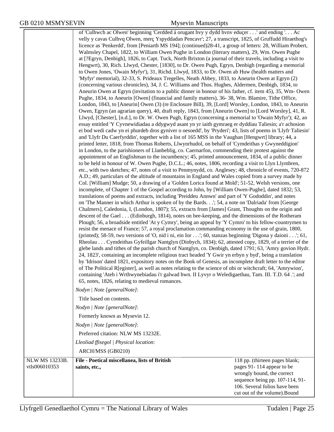|                       | of 'Culhwch ac Olwen' beginning 'Cerdded á orugant hvy y dydd hvnv educer' and ending '. Ac<br>velly y cavas Culhvq Olwen, merç Yspyddadan Pencavr'; 27, a transcript, 1825, of Gruffudd Hiraethog's<br>licence as 'Penkerdd', from [Peniarth MS 194]; (continued)28-41, a group of letters: 28, William Probert,<br>Walmsley Chapel, 1822, to William Owen Pughe in London (literary matters), 29, Wm. Owen Pughe<br>at [?Egryn, Denbigh], 1826, to Capt. Tuck, North Brixton (a journal of their travels, including a visit to<br>Hengwrt), 30, Rich. Llwyd, Chester, [1830], to Dr. Owen Pugh, Egryn, Denbigh (regarding a memorial<br>to Owen Jones, 'Owain Myfyr'), 31, Richd. Llwyd, 1833, to Dr. Owen ab Huw (health matters and<br>'Myfyr' memorial), 32-33, S. Prideaux Tregelles, Neath Abbey, 1833, to Aneurin Owen at Egryn (2)<br>(concerning various chronicles), 34, J. C. Williams and Thos. Hughes, Aldermen, Denbigh, 1834, to<br>Aneurin Owen at Egryn (invitation to a public dinner in honour of his father, cf. item 45), 35, Wm-Owen<br>Pughe, 1834, to Aneurin [Owen] (financial and family matters), 36-38, Wm. Blamire, Tithe Office,<br>London, 1843, to [Aneurin] Owen (3) (re Enclosure Bill), 39, [Lord] Worsley, London, 1843, to Aneurin<br>Owen, Egryn (an agrarian query), 40, draft reply, 1843, from [Aneurin Owen] to [Lord Worsley], 41, R.<br>Llwyd, [Chester], [n.d.], to Dr. W. Owen Pugh, Egryn (concerning a memorial to 'Owain Myfyr'); 42, an<br>essay entitled 'Y Cyvnewidiadau a ddygwyd asant yn yr iaith gymraeg er dyddiau Taliesin; a'r achosion<br>ei bod wedi cadw yn ei phurdeb dros gyniver o oesoedd', by 'Pryderi'; 43, lists of poems in 'Llyfr Taliesin'<br>and 'Llyfr Du Caerfyrddin', together with a list of 165 MSS in the Vaughan [Hengwrt] library; 44, a<br>printed letter, 1818, from Thomas Roberts, Llwynrhudol, on behalf of 'Cymdeithas y Gwyneddigion'<br>in London, to the parishioners of Llanbeblig, co. Caernarfon, commending their protest against the<br>appointment of an Englishman to the incumbency; 45, printed announcement, 1834, of a public dinner<br>to be held in honour of W. Owen Pughe, D.C.L.; 46, notes, 1806, recording a visit to Llyn Llymbren,<br>etc., with two sketches; 47, notes of a visit to Penmynydd, co. Anglesey; 48, chronicle of events, 720-872<br>A.D.; 49, particulars of the altitude of mountains in England and Wales copied from a survey made by<br>Col. [William] Mudge; 50, a drawing of a 'Golden Lorica found at Mold'; 51-52, Welsh versions, one<br>incomplete, of Chapter 1 of the Gospel according to John, by [William Owen-Pughe], dated 1832; 53,<br>translations of poems and extracts, including 'Preiddeu Annwn' and part of 'Y Gododdin', and notes<br>on 'The Manner in which Arthur is spoken of by the Bards.'; 54, a note on 'Dalriada' from [George<br>Chalmers], Caledonia, I, (London, 1807); 55, extracts from [James] Grant, Thoughts on the origin and<br>descent of the Gael (Edinburgh, 1814), notes on bee-keeping, and the dimensions of the Rotheram<br>Plough; 56, a broadside entitled 'At y Cymry', being an appeal by 'Y Cymro' to his fellow-countrymen to<br>resist the menace of France; 57, a royal proclamation commanding economy in the use of grain, 1800,<br>(printed); 58-59, two versions of 'O, nid i ni, ein Ior'; 60, stanzas beginning 'Digona y daioni'; 61,<br>Rheolau Cymdeithas Gyfeillgar Nantglyn (Dinbych, 1834); 62, attested copy, 1829, of a terrier of the<br>glebe lands and tithes of the parish church of Nantglyn, co. Denbigh, dated 1791; 63, 'Amry govion Hydr.<br>24, 1823', containing an incomplete religious tract headed 'Y Gwir yn erbyn y byd', being a translation<br>by 'Idrison' dated 1821, expository notes on the Book of Genesis, an incomplete draft letter to the editor<br>of The Political R [egister], as well as notes relating to the science of obi or witchcraft; 64, 'Amrywion',<br>containing 'Ateb i Wrthwynebiadau i'r galwad hwn. II Lyvyr o Weledigaethau, Tam. III. T.D. 64 .'; and<br>65, notes, 1826, relating to medieval romances.<br>Nodyn   Note [generalNote]:<br>Title based on contents.<br>Nodyn   Note [generalNote]:<br>Formerly known as Mysevin 12.<br>Nodyn   Note [generalNote]:<br>Preferred citation: NLW MS 13232E.<br>Lleoliad ffisegol   Physical location:<br>ARCH/MSS (GB0210) |                                                               |
|-----------------------|-------------------------------------------------------------------------------------------------------------------------------------------------------------------------------------------------------------------------------------------------------------------------------------------------------------------------------------------------------------------------------------------------------------------------------------------------------------------------------------------------------------------------------------------------------------------------------------------------------------------------------------------------------------------------------------------------------------------------------------------------------------------------------------------------------------------------------------------------------------------------------------------------------------------------------------------------------------------------------------------------------------------------------------------------------------------------------------------------------------------------------------------------------------------------------------------------------------------------------------------------------------------------------------------------------------------------------------------------------------------------------------------------------------------------------------------------------------------------------------------------------------------------------------------------------------------------------------------------------------------------------------------------------------------------------------------------------------------------------------------------------------------------------------------------------------------------------------------------------------------------------------------------------------------------------------------------------------------------------------------------------------------------------------------------------------------------------------------------------------------------------------------------------------------------------------------------------------------------------------------------------------------------------------------------------------------------------------------------------------------------------------------------------------------------------------------------------------------------------------------------------------------------------------------------------------------------------------------------------------------------------------------------------------------------------------------------------------------------------------------------------------------------------------------------------------------------------------------------------------------------------------------------------------------------------------------------------------------------------------------------------------------------------------------------------------------------------------------------------------------------------------------------------------------------------------------------------------------------------------------------------------------------------------------------------------------------------------------------------------------------------------------------------------------------------------------------------------------------------------------------------------------------------------------------------------------------------------------------------------------------------------------------------------------------------------------------------------------------------------------------------------------------------------------------------------------------------------------------------------------------------------------------------------------------------------------------------------------------------------------------------------------------------------------------------------------------------------------------------------------------------------------------------------------------------------------------------------------------------------------------------------------------------------------------------------------------------------------------------------------------------------------------------------------------------|---------------------------------------------------------------|
| <b>NLW MS 13233B.</b> | File - Poetical miscellanea, lists of British                                                                                                                                                                                                                                                                                                                                                                                                                                                                                                                                                                                                                                                                                                                                                                                                                                                                                                                                                                                                                                                                                                                                                                                                                                                                                                                                                                                                                                                                                                                                                                                                                                                                                                                                                                                                                                                                                                                                                                                                                                                                                                                                                                                                                                                                                                                                                                                                                                                                                                                                                                                                                                                                                                                                                                                                                                                                                                                                                                                                                                                                                                                                                                                                                                                                                                                                                                                                                                                                                                                                                                                                                                                                                                                                                                                                                                                                                                                                                                                                                                                                                                                                                                                                                                                                                                                                                                                 | 118 pp. (thirteen pages blank;                                |
| vtls006010353         | saints, etc.,                                                                                                                                                                                                                                                                                                                                                                                                                                                                                                                                                                                                                                                                                                                                                                                                                                                                                                                                                                                                                                                                                                                                                                                                                                                                                                                                                                                                                                                                                                                                                                                                                                                                                                                                                                                                                                                                                                                                                                                                                                                                                                                                                                                                                                                                                                                                                                                                                                                                                                                                                                                                                                                                                                                                                                                                                                                                                                                                                                                                                                                                                                                                                                                                                                                                                                                                                                                                                                                                                                                                                                                                                                                                                                                                                                                                                                                                                                                                                                                                                                                                                                                                                                                                                                                                                                                                                                                                                 | pages 91-114 appear to be                                     |
|                       |                                                                                                                                                                                                                                                                                                                                                                                                                                                                                                                                                                                                                                                                                                                                                                                                                                                                                                                                                                                                                                                                                                                                                                                                                                                                                                                                                                                                                                                                                                                                                                                                                                                                                                                                                                                                                                                                                                                                                                                                                                                                                                                                                                                                                                                                                                                                                                                                                                                                                                                                                                                                                                                                                                                                                                                                                                                                                                                                                                                                                                                                                                                                                                                                                                                                                                                                                                                                                                                                                                                                                                                                                                                                                                                                                                                                                                                                                                                                                                                                                                                                                                                                                                                                                                                                                                                                                                                                                               | wrongly bound, the correct<br>sequence being pp. 107-114, 91- |
|                       |                                                                                                                                                                                                                                                                                                                                                                                                                                                                                                                                                                                                                                                                                                                                                                                                                                                                                                                                                                                                                                                                                                                                                                                                                                                                                                                                                                                                                                                                                                                                                                                                                                                                                                                                                                                                                                                                                                                                                                                                                                                                                                                                                                                                                                                                                                                                                                                                                                                                                                                                                                                                                                                                                                                                                                                                                                                                                                                                                                                                                                                                                                                                                                                                                                                                                                                                                                                                                                                                                                                                                                                                                                                                                                                                                                                                                                                                                                                                                                                                                                                                                                                                                                                                                                                                                                                                                                                                                               | 106. Several folios have been                                 |
|                       |                                                                                                                                                                                                                                                                                                                                                                                                                                                                                                                                                                                                                                                                                                                                                                                                                                                                                                                                                                                                                                                                                                                                                                                                                                                                                                                                                                                                                                                                                                                                                                                                                                                                                                                                                                                                                                                                                                                                                                                                                                                                                                                                                                                                                                                                                                                                                                                                                                                                                                                                                                                                                                                                                                                                                                                                                                                                                                                                                                                                                                                                                                                                                                                                                                                                                                                                                                                                                                                                                                                                                                                                                                                                                                                                                                                                                                                                                                                                                                                                                                                                                                                                                                                                                                                                                                                                                                                                                               | cut out of the volume).Bound                                  |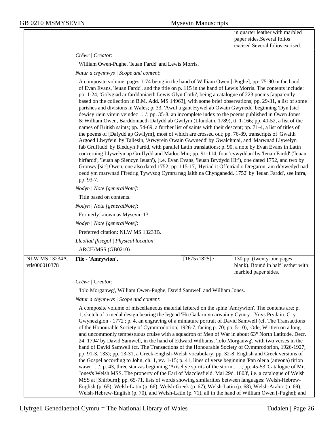in quarter leather with marbled paper sides.Several folios excised.Several folios excised.

*Crëwr | Creator*:

William Owen-Pughe, 'Ieuan Fardd' and Lewis Morris.

*Natur a chynnwys | Scope and content*:

|                                        | A composite volume, pages 1-74 being in the hand of William Owen [-Pughe], pp- 75-90 in the hand<br>of Evan Evans, 'Ieuan Fardd', and the title on p. 115 in the hand of Lewis Morris. The contents include:<br>pp. 1-24, 'Golygiad ar farddoniaeth Lewis Glyn Cothi', being a catalogue of 223 poems [apparently<br>based on the collection in B.M. Add. MS 14963], with some brief observations; pp. 29-31, a list of some<br>parishes and divisions in Wales; p. 33, 'Awdl a gant Hywel ab Owain Gwynedd' beginning 'Dyn [sic]<br>dewisy riein virein veindec'; pp. 35-8, an incomplete index to the poems published in Owen Jones<br>& William Owen, Barddoniaeth Dafydd ab Gwilym (Llundain, 1789), tt. 1-166; pp. 40-52, a list of the<br>names of British saints; pp. 54-69, a further list of saints with their descent; pp. 71-4, a list of titles of<br>the poems of [Dafydd ap Gwilym], most of which are crossed out; pp. 76-89, transcripts of 'Gwaith<br>Argoed Llwyfein' by Taliesin, 'Arwyrein Owain Gwynedd' by Gwalchmai, and 'Marwnad Llywelyn<br>fab Gruffudd' by Bleddyn Fardd, with parallel Latin translations; p. 90, a note by Evan Evans in Latin<br>concerning Llywelyn ap Gruffydd and Madoc Min; pp. 91-114, four 'cywyddau' by 'Ieuan Fardd' ('Ieuan<br>hirfardd', 'Ieuan ap Siencyn Ieuan'), [i.e. Evan Evans, 'Ieuan Brydydd Hir'), one dated 1752, and two by<br>Gronwy [sic] Owen, one also dated 1752; pp. 115-17, 'Hyriad it Offeiriad o Dregaron, am ddywedyd nad<br>oedd ym marwnad Ffredrig Tywysog Cymru nag Iaith na Chynganedd. 1752' by 'Ieuan Fardd', see infra,<br>pp. 93-7.<br>Nodyn   Note [generalNote]:<br>Title based on contents.<br>Nodyn   Note [generalNote]:<br>Formerly known as Mysevin 13.<br>Nodyn   Note [generalNote]:<br>Preferred citation: NLW MS 13233B. |                                                                                         |
|----------------------------------------|---------------------------------------------------------------------------------------------------------------------------------------------------------------------------------------------------------------------------------------------------------------------------------------------------------------------------------------------------------------------------------------------------------------------------------------------------------------------------------------------------------------------------------------------------------------------------------------------------------------------------------------------------------------------------------------------------------------------------------------------------------------------------------------------------------------------------------------------------------------------------------------------------------------------------------------------------------------------------------------------------------------------------------------------------------------------------------------------------------------------------------------------------------------------------------------------------------------------------------------------------------------------------------------------------------------------------------------------------------------------------------------------------------------------------------------------------------------------------------------------------------------------------------------------------------------------------------------------------------------------------------------------------------------------------------------------------------------------------------------------------------------------------------------------------------------------------|-----------------------------------------------------------------------------------------|
|                                        | Lleoliad ffisegol   Physical location:                                                                                                                                                                                                                                                                                                                                                                                                                                                                                                                                                                                                                                                                                                                                                                                                                                                                                                                                                                                                                                                                                                                                                                                                                                                                                                                                                                                                                                                                                                                                                                                                                                                                                                                                                                                    |                                                                                         |
|                                        | ARCH/MSS (GB0210)                                                                                                                                                                                                                                                                                                                                                                                                                                                                                                                                                                                                                                                                                                                                                                                                                                                                                                                                                                                                                                                                                                                                                                                                                                                                                                                                                                                                                                                                                                                                                                                                                                                                                                                                                                                                         |                                                                                         |
| <b>NLW MS 13234A.</b><br>vtls006010378 | File - 'Amrywion',<br>[1675x1825]                                                                                                                                                                                                                                                                                                                                                                                                                                                                                                                                                                                                                                                                                                                                                                                                                                                                                                                                                                                                                                                                                                                                                                                                                                                                                                                                                                                                                                                                                                                                                                                                                                                                                                                                                                                         | 130 pp. (twenty-one pages<br>blank). Bound in half leather with<br>marbled paper sides. |
|                                        | Crëwr   Creator:                                                                                                                                                                                                                                                                                                                                                                                                                                                                                                                                                                                                                                                                                                                                                                                                                                                                                                                                                                                                                                                                                                                                                                                                                                                                                                                                                                                                                                                                                                                                                                                                                                                                                                                                                                                                          |                                                                                         |
|                                        | 'Iolo Morganwg', William Owen-Pughe, David Samwell and William Jones.                                                                                                                                                                                                                                                                                                                                                                                                                                                                                                                                                                                                                                                                                                                                                                                                                                                                                                                                                                                                                                                                                                                                                                                                                                                                                                                                                                                                                                                                                                                                                                                                                                                                                                                                                     |                                                                                         |
|                                        | Natur a chynnwys / Scope and content:                                                                                                                                                                                                                                                                                                                                                                                                                                                                                                                                                                                                                                                                                                                                                                                                                                                                                                                                                                                                                                                                                                                                                                                                                                                                                                                                                                                                                                                                                                                                                                                                                                                                                                                                                                                     |                                                                                         |
|                                        | A composite volume of miscellaneous material lettered on the spine 'Amrywion'. The contents are: p.<br>1, sketch of a medal design bearing the legend 'Hu Gadarn yn arwain y Cymry i Ynys Prydain. C. y<br>Gwynezigion - 1772'; p. 4, an engraving of a miniature portrait of David Samwell (cf. The Transactions<br>of the Honourable Society of Cymmrodorion, 1926-7, facing p. 70; pp. 5-10), 'Ode, Written on a long<br>and uncommonly tempestuous cruise with a squadron of Men of War in about 63° North Latitude. Decr.<br>24, 1794' by David Samwell, in the hand of Edward Williams, 'Iolo Morganwg', with two verses in the<br>hand of David Samwell (cf. The Transactions of the Honourable Society of Cymmrodorion, 1926-1927,<br>pp. 91-3, 133); pp. 13-31, a Greek-English-Welsh vocabulary; pp. 32-8, English and Greek versions of<br>the Gospel according to John, ch. 1, vv. 1-15; p. 41, lines of verse beginning 'Pan oleua (anvona) tirion<br>wawr'; p. 43, three stanzas beginning 'Arisel ye spirits of the storm'; pp. 45-53 'Catalogue of Mr.<br>Jones's Welsh MSS. The property of the Earl of Macclesfield. Mai 29d. 1803', i.e. a catalogue of Welsh<br>MSS at [Shirburn]; pp. 65-71, lists of words showing similarities between languages: Welsh-Hebrew-<br>English (p. 65), Welsh-Latin (p. 66), Welsh-Greek (p. 67), Welsh-Latin (p. 68), Welsh-Arabic (p. 69),<br>Welsh-Hebrew-English (p. 70), and Welsh-Latin (p. 71), all in the hand of William Owen [-Pughe]; and                                                                                                                                                                                                                                                                                                                   |                                                                                         |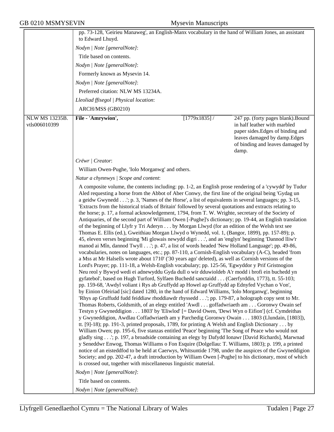|                       | pp. 73-128, 'Geirieu Manaweg', an English-Manx vocabulary in the hand of William Jones, an assistant<br>to Edward Lhuyd.                                                                                                                                                                                                                                                                                                                                                                                                                                                                                                                                                                                                                                                                                                                                                                                                                                                                                                                                                                                                                                                                                                                                                                                                                                                                                                                                                                                                                                                                                                                                                                                                                                                                                                                                                                                                                                                                                                                                                                                                                                                                                                                                                                                                                                                                                                                                                                                                                                                                                                                                                                                                                                                                                                                                                                                                                                                         |                 |                                                                                                                                                                                      |
|-----------------------|----------------------------------------------------------------------------------------------------------------------------------------------------------------------------------------------------------------------------------------------------------------------------------------------------------------------------------------------------------------------------------------------------------------------------------------------------------------------------------------------------------------------------------------------------------------------------------------------------------------------------------------------------------------------------------------------------------------------------------------------------------------------------------------------------------------------------------------------------------------------------------------------------------------------------------------------------------------------------------------------------------------------------------------------------------------------------------------------------------------------------------------------------------------------------------------------------------------------------------------------------------------------------------------------------------------------------------------------------------------------------------------------------------------------------------------------------------------------------------------------------------------------------------------------------------------------------------------------------------------------------------------------------------------------------------------------------------------------------------------------------------------------------------------------------------------------------------------------------------------------------------------------------------------------------------------------------------------------------------------------------------------------------------------------------------------------------------------------------------------------------------------------------------------------------------------------------------------------------------------------------------------------------------------------------------------------------------------------------------------------------------------------------------------------------------------------------------------------------------------------------------------------------------------------------------------------------------------------------------------------------------------------------------------------------------------------------------------------------------------------------------------------------------------------------------------------------------------------------------------------------------------------------------------------------------------------------------------------------------|-----------------|--------------------------------------------------------------------------------------------------------------------------------------------------------------------------------------|
|                       | Nodyn   Note [generalNote]:                                                                                                                                                                                                                                                                                                                                                                                                                                                                                                                                                                                                                                                                                                                                                                                                                                                                                                                                                                                                                                                                                                                                                                                                                                                                                                                                                                                                                                                                                                                                                                                                                                                                                                                                                                                                                                                                                                                                                                                                                                                                                                                                                                                                                                                                                                                                                                                                                                                                                                                                                                                                                                                                                                                                                                                                                                                                                                                                                      |                 |                                                                                                                                                                                      |
|                       | Title based on contents.                                                                                                                                                                                                                                                                                                                                                                                                                                                                                                                                                                                                                                                                                                                                                                                                                                                                                                                                                                                                                                                                                                                                                                                                                                                                                                                                                                                                                                                                                                                                                                                                                                                                                                                                                                                                                                                                                                                                                                                                                                                                                                                                                                                                                                                                                                                                                                                                                                                                                                                                                                                                                                                                                                                                                                                                                                                                                                                                                         |                 |                                                                                                                                                                                      |
|                       | Nodyn   Note [generalNote]:                                                                                                                                                                                                                                                                                                                                                                                                                                                                                                                                                                                                                                                                                                                                                                                                                                                                                                                                                                                                                                                                                                                                                                                                                                                                                                                                                                                                                                                                                                                                                                                                                                                                                                                                                                                                                                                                                                                                                                                                                                                                                                                                                                                                                                                                                                                                                                                                                                                                                                                                                                                                                                                                                                                                                                                                                                                                                                                                                      |                 |                                                                                                                                                                                      |
|                       | Formerly known as Mysevin 14.                                                                                                                                                                                                                                                                                                                                                                                                                                                                                                                                                                                                                                                                                                                                                                                                                                                                                                                                                                                                                                                                                                                                                                                                                                                                                                                                                                                                                                                                                                                                                                                                                                                                                                                                                                                                                                                                                                                                                                                                                                                                                                                                                                                                                                                                                                                                                                                                                                                                                                                                                                                                                                                                                                                                                                                                                                                                                                                                                    |                 |                                                                                                                                                                                      |
|                       | Nodyn   Note [generalNote]:                                                                                                                                                                                                                                                                                                                                                                                                                                                                                                                                                                                                                                                                                                                                                                                                                                                                                                                                                                                                                                                                                                                                                                                                                                                                                                                                                                                                                                                                                                                                                                                                                                                                                                                                                                                                                                                                                                                                                                                                                                                                                                                                                                                                                                                                                                                                                                                                                                                                                                                                                                                                                                                                                                                                                                                                                                                                                                                                                      |                 |                                                                                                                                                                                      |
|                       | Preferred citation: NLW MS 13234A.                                                                                                                                                                                                                                                                                                                                                                                                                                                                                                                                                                                                                                                                                                                                                                                                                                                                                                                                                                                                                                                                                                                                                                                                                                                                                                                                                                                                                                                                                                                                                                                                                                                                                                                                                                                                                                                                                                                                                                                                                                                                                                                                                                                                                                                                                                                                                                                                                                                                                                                                                                                                                                                                                                                                                                                                                                                                                                                                               |                 |                                                                                                                                                                                      |
|                       | Lleoliad ffisegol   Physical location:                                                                                                                                                                                                                                                                                                                                                                                                                                                                                                                                                                                                                                                                                                                                                                                                                                                                                                                                                                                                                                                                                                                                                                                                                                                                                                                                                                                                                                                                                                                                                                                                                                                                                                                                                                                                                                                                                                                                                                                                                                                                                                                                                                                                                                                                                                                                                                                                                                                                                                                                                                                                                                                                                                                                                                                                                                                                                                                                           |                 |                                                                                                                                                                                      |
|                       | ARCH/MSS (GB0210)                                                                                                                                                                                                                                                                                                                                                                                                                                                                                                                                                                                                                                                                                                                                                                                                                                                                                                                                                                                                                                                                                                                                                                                                                                                                                                                                                                                                                                                                                                                                                                                                                                                                                                                                                                                                                                                                                                                                                                                                                                                                                                                                                                                                                                                                                                                                                                                                                                                                                                                                                                                                                                                                                                                                                                                                                                                                                                                                                                |                 |                                                                                                                                                                                      |
| <b>NLW MS 13235B.</b> |                                                                                                                                                                                                                                                                                                                                                                                                                                                                                                                                                                                                                                                                                                                                                                                                                                                                                                                                                                                                                                                                                                                                                                                                                                                                                                                                                                                                                                                                                                                                                                                                                                                                                                                                                                                                                                                                                                                                                                                                                                                                                                                                                                                                                                                                                                                                                                                                                                                                                                                                                                                                                                                                                                                                                                                                                                                                                                                                                                                  |                 |                                                                                                                                                                                      |
| vtls006010399         | File - 'Amrywion',                                                                                                                                                                                                                                                                                                                                                                                                                                                                                                                                                                                                                                                                                                                                                                                                                                                                                                                                                                                                                                                                                                                                                                                                                                                                                                                                                                                                                                                                                                                                                                                                                                                                                                                                                                                                                                                                                                                                                                                                                                                                                                                                                                                                                                                                                                                                                                                                                                                                                                                                                                                                                                                                                                                                                                                                                                                                                                                                                               | $[1779x1835]$ / | 247 pp. (forty pages blank). Bound<br>in half leather with marbled<br>paper sides. Edges of binding and<br>leaves damaged by damp.Edges<br>of binding and leaves damaged by<br>damp. |
|                       | Crëwr   Creator:                                                                                                                                                                                                                                                                                                                                                                                                                                                                                                                                                                                                                                                                                                                                                                                                                                                                                                                                                                                                                                                                                                                                                                                                                                                                                                                                                                                                                                                                                                                                                                                                                                                                                                                                                                                                                                                                                                                                                                                                                                                                                                                                                                                                                                                                                                                                                                                                                                                                                                                                                                                                                                                                                                                                                                                                                                                                                                                                                                 |                 |                                                                                                                                                                                      |
|                       | William Owen-Pughe, 'Iolo Morganwg' and others.                                                                                                                                                                                                                                                                                                                                                                                                                                                                                                                                                                                                                                                                                                                                                                                                                                                                                                                                                                                                                                                                                                                                                                                                                                                                                                                                                                                                                                                                                                                                                                                                                                                                                                                                                                                                                                                                                                                                                                                                                                                                                                                                                                                                                                                                                                                                                                                                                                                                                                                                                                                                                                                                                                                                                                                                                                                                                                                                  |                 |                                                                                                                                                                                      |
|                       | Natur a chynnwys / Scope and content:                                                                                                                                                                                                                                                                                                                                                                                                                                                                                                                                                                                                                                                                                                                                                                                                                                                                                                                                                                                                                                                                                                                                                                                                                                                                                                                                                                                                                                                                                                                                                                                                                                                                                                                                                                                                                                                                                                                                                                                                                                                                                                                                                                                                                                                                                                                                                                                                                                                                                                                                                                                                                                                                                                                                                                                                                                                                                                                                            |                 |                                                                                                                                                                                      |
|                       | A composite volume, the contents including: pp. 1-2, an English prose rendering of a 'cywydd' by Tudur<br>Aled requesting a horse from the Abbot of Aber Conwy, the first line of the original being 'Gydag un<br>a geidw Gwynedd'; p. 3, 'Names of the Horse', a list of equivalents in several languages; pp. 3-15,<br>'Extracts from the historical triads of Britain' followed by several quotations and extracts relating to<br>the horse; p. 17, a formal acknowledgement, 1794, from T. W. Wrighte, secretary of the Society of<br>Antiquaries, of the second part of William Owen [-Pughe]'s dictionary; pp. 19-44, an English translation<br>of the beginning of Llyfr y Tri Aderyn by Morgan Llwyd (for an edition of the Welsh text see<br>Thomas E. Ellis (ed.), Gweithiau Morgan Llwyd o Wynedd, vol. 1, (Bangor, 1899), pp. 157-89); p.<br>45, eleven verses beginning 'Mi glowais newydd digri', and an 'englyn' beginning 'Dannod lliw'r<br>manod ai Mîn, dannod Twyll'; p. 47, a list of words headed 'New Holland Language'; pp. 49-86,<br>vocabularies, notes on languages, etc.; pp. 87-110, a Cornish-English vocabulary (A-C), headed 'from<br>a Mss at Mr Halsells wrote about 1710' ('30 years ago' deleted), as well as Cornish versions of the<br>Lord's Prayer; pp. 111-18, a Welsh-English vocabulary; pp. 125-56, 'Egwyddor y Prif Gristnogion<br>Neu reol y Bywyd wedi ei adnewyddu Gyda dull o wir dduwioldeb A'r modd i brofi ein buchedd yn<br>gyfatebol', based on Hugh Turford, Sylfaen Buchedd sanctaidd (Caerfyrddin, 1773), tt. 55-103;<br>pp. 159-68, 'Awdyl voliant i Rys ab Gruffydd ap Howel ap Gruffydd ap Ednyfed Vychan o Von',<br>by Einion Ofeiriad [sic] dated 1280, in the hand of Edward Williams, 'Iolo Morganwg', beginning<br>'Rhys ap Gruffudd fudd feiddiaw rhoddiawdr rhyssedd'; pp. 179-87, a holograph copy sent to Mr.<br>Thomas Roberts, Goldsmith, of an elegy entitled 'Awdl goffadwriaeth am Goronwy Owain sef<br>Testyn y Gwyneddigion 1803' by 'Eliwlod' [= David Owen, 'Dewi Wyn o Eifion'] (cf. Cymdeithas<br>y Gwyneddigion, Awdlau Coffadwriaeth am y Parchedig Goronwy Owain 1803 (Llundain, [1803]),<br>tt. [9]-18); pp. 191-3, printed proposals, 1789, for printing A Welsh and English Dictionary by<br>William Owen; pp. 195-6, five stanzas entitled 'Peace' beginning 'The Song of Peace who would not<br>gladly sing'; p. 197, a broadside containing an elegy by Dafydd Ionawr [David Richards], Marwnad<br>y Seneddwr Enwog, Thomas Williams o Fon Esquire (Dolgellau: T. Williams, 1803); p. 199, a printed<br>notice of an eisteddfod to be held at Caerwys, Whitsuntide 1798, under the auspices of the Gwyneddigion<br>Society; and pp. 202-47, a draft introduction by William Owen [-Pughe] to his dictionary, most of which<br>is crossed out, together with miscellaneous linguistic material.<br>Nodyn   Note [generalNote]:<br>Title based on contents.<br>Nodyn   Note [generalNote]: |                 |                                                                                                                                                                                      |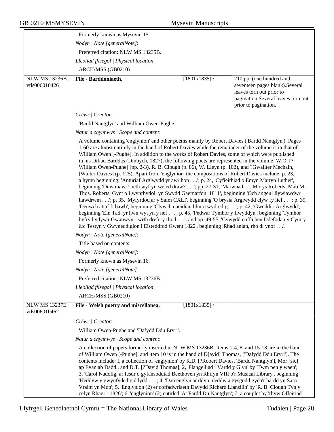|                                        | Formerly known as Mysevin 15.                                                                                                                                                                                                                                                                                                                                                                                                                                                                                                                                                                                                                                                                                                                                                                                                                                                                                                                                                                                                                                                                                                                                                                                                                                                                                                                                                                                                  |                 |                                                                                                                                                      |
|----------------------------------------|--------------------------------------------------------------------------------------------------------------------------------------------------------------------------------------------------------------------------------------------------------------------------------------------------------------------------------------------------------------------------------------------------------------------------------------------------------------------------------------------------------------------------------------------------------------------------------------------------------------------------------------------------------------------------------------------------------------------------------------------------------------------------------------------------------------------------------------------------------------------------------------------------------------------------------------------------------------------------------------------------------------------------------------------------------------------------------------------------------------------------------------------------------------------------------------------------------------------------------------------------------------------------------------------------------------------------------------------------------------------------------------------------------------------------------|-----------------|------------------------------------------------------------------------------------------------------------------------------------------------------|
|                                        | Nodyn   Note [generalNote]:                                                                                                                                                                                                                                                                                                                                                                                                                                                                                                                                                                                                                                                                                                                                                                                                                                                                                                                                                                                                                                                                                                                                                                                                                                                                                                                                                                                                    |                 |                                                                                                                                                      |
|                                        | Preferred citation: NLW MS 13235B.                                                                                                                                                                                                                                                                                                                                                                                                                                                                                                                                                                                                                                                                                                                                                                                                                                                                                                                                                                                                                                                                                                                                                                                                                                                                                                                                                                                             |                 |                                                                                                                                                      |
|                                        | Lleoliad ffisegol   Physical location:                                                                                                                                                                                                                                                                                                                                                                                                                                                                                                                                                                                                                                                                                                                                                                                                                                                                                                                                                                                                                                                                                                                                                                                                                                                                                                                                                                                         |                 |                                                                                                                                                      |
|                                        | ARCH/MSS (GB0210)                                                                                                                                                                                                                                                                                                                                                                                                                                                                                                                                                                                                                                                                                                                                                                                                                                                                                                                                                                                                                                                                                                                                                                                                                                                                                                                                                                                                              |                 |                                                                                                                                                      |
| NLW MS 13236B.<br>vtls006010426        | File - Barddoniaeth,                                                                                                                                                                                                                                                                                                                                                                                                                                                                                                                                                                                                                                                                                                                                                                                                                                                                                                                                                                                                                                                                                                                                                                                                                                                                                                                                                                                                           | $[1801x1835]$ / | 210 pp. (one hundred and<br>seventeen pages blank).Several<br>leaves torn out prior to<br>pagination.Several leaves torn out<br>prior to pagination. |
|                                        | Crëwr   Creator:                                                                                                                                                                                                                                                                                                                                                                                                                                                                                                                                                                                                                                                                                                                                                                                                                                                                                                                                                                                                                                                                                                                                                                                                                                                                                                                                                                                                               |                 |                                                                                                                                                      |
|                                        | 'Bardd Nantglyn' and William Owen-Pughe.                                                                                                                                                                                                                                                                                                                                                                                                                                                                                                                                                                                                                                                                                                                                                                                                                                                                                                                                                                                                                                                                                                                                                                                                                                                                                                                                                                                       |                 |                                                                                                                                                      |
|                                        | Natur a chynnwys / Scope and content:                                                                                                                                                                                                                                                                                                                                                                                                                                                                                                                                                                                                                                                                                                                                                                                                                                                                                                                                                                                                                                                                                                                                                                                                                                                                                                                                                                                          |                 |                                                                                                                                                      |
|                                        | A volume containing 'englynion' and other poems mainly by Robert Davies ('Bardd Nantglyn'). Pages<br>1-60 are almost entirely in the hand of Robert Davies while the remainder of the volume is in that of<br>William Owen [-Pughe]. In addition to the works of Robert Davies, some of which were published<br>in his Diliau Barddas (Dinbych, 1827), the following poets are represented in the volume: W.O. [?]<br>William Owen-Pughe] (pp. 2-3), R. B. Clough (p. 86), W. Lleyn (p. 102), and ?Gwallter Mechain,<br>[Walter Davies] (p. 125). Apart from 'englynion' the compositions of Robert Davies include: p. 23,<br>a hymn beginning: 'Anturiaf Arglwydd yr awr hon'; p. 24, 'Cyfieithiad o Emyn Martyn Luther',<br>beginning 'Duw mawr! beth wyf yn weled draw?'; pp. 27-31, 'Marwnad Morys Roberts, Mab Mr.<br>Thos. Roberts, Gynt o Lwynrhydol, yn Swydd Gaernarfon. 1811', beginning 'Och angeu! llywiawdwr<br>llawdrwm'; p. 35, 'Myfyrdod ar y Salm CXLI', beginning 'O brysia Arglwydd clyw fy lief'; p. 39,<br>'Deuwch attaf fi bawb', beginning 'Clywch eneidiau blin crwydredig'; p. 42, 'Gweddi'r Arglwydd',<br>beginning 'Ein Tad, yr hwn wyt yn y nef'; p. 45, 'Pedwar Tymhor y flwyddyn', beginning 'Tymhor<br>hyfryd ydyw'r Gwanwyn - wrth drefn y rhod'; and pp. 49-55, 'Cywydd coffa hen Ddefodau y Cymry<br>&c Testyn y Gwyneddigion i Eisteddfod Gwent 1822', beginning 'Rhad anian, rho di ynof'. |                 |                                                                                                                                                      |
|                                        | Nodyn   Note [generalNote]:                                                                                                                                                                                                                                                                                                                                                                                                                                                                                                                                                                                                                                                                                                                                                                                                                                                                                                                                                                                                                                                                                                                                                                                                                                                                                                                                                                                                    |                 |                                                                                                                                                      |
|                                        | Title based on contents.                                                                                                                                                                                                                                                                                                                                                                                                                                                                                                                                                                                                                                                                                                                                                                                                                                                                                                                                                                                                                                                                                                                                                                                                                                                                                                                                                                                                       |                 |                                                                                                                                                      |
|                                        | Nodyn   Note [generalNote]:                                                                                                                                                                                                                                                                                                                                                                                                                                                                                                                                                                                                                                                                                                                                                                                                                                                                                                                                                                                                                                                                                                                                                                                                                                                                                                                                                                                                    |                 |                                                                                                                                                      |
|                                        | Formerly known as Mysevin 16.                                                                                                                                                                                                                                                                                                                                                                                                                                                                                                                                                                                                                                                                                                                                                                                                                                                                                                                                                                                                                                                                                                                                                                                                                                                                                                                                                                                                  |                 |                                                                                                                                                      |
|                                        | Nodyn   Note [generalNote]:                                                                                                                                                                                                                                                                                                                                                                                                                                                                                                                                                                                                                                                                                                                                                                                                                                                                                                                                                                                                                                                                                                                                                                                                                                                                                                                                                                                                    |                 |                                                                                                                                                      |
|                                        | Preferred citation: NLW MS 13236B.                                                                                                                                                                                                                                                                                                                                                                                                                                                                                                                                                                                                                                                                                                                                                                                                                                                                                                                                                                                                                                                                                                                                                                                                                                                                                                                                                                                             |                 |                                                                                                                                                      |
|                                        | Lleoliad ffisegol   Physical location:                                                                                                                                                                                                                                                                                                                                                                                                                                                                                                                                                                                                                                                                                                                                                                                                                                                                                                                                                                                                                                                                                                                                                                                                                                                                                                                                                                                         |                 |                                                                                                                                                      |
|                                        | ARCH/MSS (GB0210)                                                                                                                                                                                                                                                                                                                                                                                                                                                                                                                                                                                                                                                                                                                                                                                                                                                                                                                                                                                                                                                                                                                                                                                                                                                                                                                                                                                                              |                 |                                                                                                                                                      |
| <b>NLW MS 13237E.</b><br>vtls006010462 | File - Welsh poetry and miscellanea,                                                                                                                                                                                                                                                                                                                                                                                                                                                                                                                                                                                                                                                                                                                                                                                                                                                                                                                                                                                                                                                                                                                                                                                                                                                                                                                                                                                           | [1801x1835]/    |                                                                                                                                                      |
|                                        | Crëwr   Creator:                                                                                                                                                                                                                                                                                                                                                                                                                                                                                                                                                                                                                                                                                                                                                                                                                                                                                                                                                                                                                                                                                                                                                                                                                                                                                                                                                                                                               |                 |                                                                                                                                                      |
|                                        | William Owen-Pughe and 'Dafydd Ddu Eryri'.                                                                                                                                                                                                                                                                                                                                                                                                                                                                                                                                                                                                                                                                                                                                                                                                                                                                                                                                                                                                                                                                                                                                                                                                                                                                                                                                                                                     |                 |                                                                                                                                                      |
|                                        | Natur a chynnwys / Scope and content:                                                                                                                                                                                                                                                                                                                                                                                                                                                                                                                                                                                                                                                                                                                                                                                                                                                                                                                                                                                                                                                                                                                                                                                                                                                                                                                                                                                          |                 |                                                                                                                                                      |
|                                        | A collection of papers formerly inserted in NLW MS 13236B. Items 1-4, 8, and 15-18 are in the hand<br>of William Owen [-Pughe], and item 10 is in the hand of D[avid] Thomas, ['Dafydd Ddu Eryri']. The<br>contents include: I, a collection of 'englynion' by R.D. [?Robert Davies, 'Bardd Nantglyn'], Mor [sic]<br>ap Evan ab Dadd., and D.T. [?David Thomas]; 2, 'Flangelliad i Vardd y Glyn' by 'Twm pen y waen';<br>3, 'Carol Nadolig, ar fesur o gyfansoddiad Beethoven yn Rhifyn VIII o'r Musical Library', beginning<br>'Heddyw y gwynfydedig ddydd'; 4, 'Dau englyn ar ddyn meddw a gysgodd gyda'r bardd yn Sarn<br>Vraint yn Mon'; 5, 'Englynion (2) er coffadwriaeth Davydd Richard Llansilin' by 'R. B. Clough Tyn y<br>celyn Rhagr - 1826'; 6, 'englynion' (2) entitled 'At Fardd Du Nantglyn'; 7, a couplet by 'rhyw Offeiriad'                                                                                                                                                                                                                                                                                                                                                                                                                                                                                                                                                                                  |                 |                                                                                                                                                      |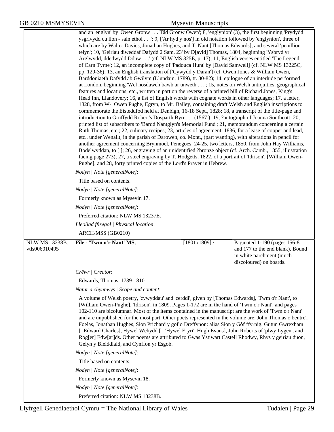|                | and an 'englyn' by 'Owen Gronw Tâd Gronw Owen'; 8, 'englynion' (3), the first beginning 'Prydydd<br>ysgrivydd cu llon - sain ethol'; 9, ['Ar hyd y nos'] in old notation followed by 'englynion', three of<br>which are by Walter Davies, Jonathan Hughes, and T. Nant [Thomas Edwards], and several 'penillion<br>telyn'; 10, 'Geiriau diweddaf Dafydd 2 Sam. 23' by D[avid] Thomas, 1804, beginning 'Ysbryd yr<br>Arglwydd, ddedwydd Dduw ' (cf. NLW MS 325E, p. 17); 11, English verses entitled 'The Legend<br>of Carn Tyrne'; 12, an incomplete copy of 'Padouca Hunt' by [David Samwell] (cf. NLW MS 13225C,<br>pp. 129-36); 13, an English translation of ['Cywydd y Daran'] (cf. Owen Jones & William Owen,<br>Barddoniaeth Dafydd ab Gwilym (Llundain, 1789), tt. 80-82); 14, epilogue of an interlude performed<br>at London, beginning 'Wel nosdawch bawb ar unweth'; 15, notes on Welsh antiquities, geographical<br>features and locations, etc., written in part on the reverse of a printed bill of Richard Jones, King's<br>Head Inn, Llandovery; 16, a list of English words with cognate words in other languages; 17, a letter,<br>1828, from W-. Owen Pughe, Egryn, to Mr. Bailey, containing draft Welsh and English inscriptions to<br>commemorate the Eisteddfod held at Denbigh, 16-18 Sept., 1828; 18, a transcript of the title-page and<br>introduction to Gruffydd Robert's Dosparth Byrr (1567); 19, ?autograph of Joanna Southcott; 20,<br>printed list of subscribers to 'Bardd Nantglyn's Memorial Fund'; 21, memorandum concerning a certain<br>Ruth Thomas, etc.; 22, culinary recipes; 23, articles of agreement, 1836, for a lease of copper and lead,<br>etc., under Wenallt, in the parish of Darowen, co. Mont., (part wanting), with alterations in pencil for<br>another agreement concerning Brynmoel, Penegoes; 24-25, two letters, 1850, from John Hay Williams,<br>Bodelwyddan, to []; 26, engraving of an unidentified ?bronze object (cf. Arch. Camb., 1855, illustration<br>facing page 273); 27, a steel engraving by T. Hodgetts, 1822, of a portrait of 'Idrison', [William Owen-<br>Pughe]; and 28, forty printed copies of the Lord's Prayer in Hebrew.<br>Nodyn   Note [generalNote]: |                                                                                         |
|----------------|---------------------------------------------------------------------------------------------------------------------------------------------------------------------------------------------------------------------------------------------------------------------------------------------------------------------------------------------------------------------------------------------------------------------------------------------------------------------------------------------------------------------------------------------------------------------------------------------------------------------------------------------------------------------------------------------------------------------------------------------------------------------------------------------------------------------------------------------------------------------------------------------------------------------------------------------------------------------------------------------------------------------------------------------------------------------------------------------------------------------------------------------------------------------------------------------------------------------------------------------------------------------------------------------------------------------------------------------------------------------------------------------------------------------------------------------------------------------------------------------------------------------------------------------------------------------------------------------------------------------------------------------------------------------------------------------------------------------------------------------------------------------------------------------------------------------------------------------------------------------------------------------------------------------------------------------------------------------------------------------------------------------------------------------------------------------------------------------------------------------------------------------------------------------------------------------------------------------------------------------|-----------------------------------------------------------------------------------------|
|                | Title based on contents.                                                                                                                                                                                                                                                                                                                                                                                                                                                                                                                                                                                                                                                                                                                                                                                                                                                                                                                                                                                                                                                                                                                                                                                                                                                                                                                                                                                                                                                                                                                                                                                                                                                                                                                                                                                                                                                                                                                                                                                                                                                                                                                                                                                                                    |                                                                                         |
|                | Nodyn   Note [generalNote]:                                                                                                                                                                                                                                                                                                                                                                                                                                                                                                                                                                                                                                                                                                                                                                                                                                                                                                                                                                                                                                                                                                                                                                                                                                                                                                                                                                                                                                                                                                                                                                                                                                                                                                                                                                                                                                                                                                                                                                                                                                                                                                                                                                                                                 |                                                                                         |
|                | Formerly known as Mysevin 17.                                                                                                                                                                                                                                                                                                                                                                                                                                                                                                                                                                                                                                                                                                                                                                                                                                                                                                                                                                                                                                                                                                                                                                                                                                                                                                                                                                                                                                                                                                                                                                                                                                                                                                                                                                                                                                                                                                                                                                                                                                                                                                                                                                                                               |                                                                                         |
|                | Nodyn   Note [generalNote]:                                                                                                                                                                                                                                                                                                                                                                                                                                                                                                                                                                                                                                                                                                                                                                                                                                                                                                                                                                                                                                                                                                                                                                                                                                                                                                                                                                                                                                                                                                                                                                                                                                                                                                                                                                                                                                                                                                                                                                                                                                                                                                                                                                                                                 |                                                                                         |
|                | Preferred citation: NLW MS 13237E.                                                                                                                                                                                                                                                                                                                                                                                                                                                                                                                                                                                                                                                                                                                                                                                                                                                                                                                                                                                                                                                                                                                                                                                                                                                                                                                                                                                                                                                                                                                                                                                                                                                                                                                                                                                                                                                                                                                                                                                                                                                                                                                                                                                                          |                                                                                         |
|                | Lleoliad ffisegol   Physical location:                                                                                                                                                                                                                                                                                                                                                                                                                                                                                                                                                                                                                                                                                                                                                                                                                                                                                                                                                                                                                                                                                                                                                                                                                                                                                                                                                                                                                                                                                                                                                                                                                                                                                                                                                                                                                                                                                                                                                                                                                                                                                                                                                                                                      |                                                                                         |
|                | ARCH/MSS (GB0210)                                                                                                                                                                                                                                                                                                                                                                                                                                                                                                                                                                                                                                                                                                                                                                                                                                                                                                                                                                                                                                                                                                                                                                                                                                                                                                                                                                                                                                                                                                                                                                                                                                                                                                                                                                                                                                                                                                                                                                                                                                                                                                                                                                                                                           |                                                                                         |
| NLW MS 13238B. | $[1801x1809]$ /<br>File - 'Twm o'r Nant' MS,                                                                                                                                                                                                                                                                                                                                                                                                                                                                                                                                                                                                                                                                                                                                                                                                                                                                                                                                                                                                                                                                                                                                                                                                                                                                                                                                                                                                                                                                                                                                                                                                                                                                                                                                                                                                                                                                                                                                                                                                                                                                                                                                                                                                | Paginated 1-190 (pages 156-8)                                                           |
| vtls006010495  |                                                                                                                                                                                                                                                                                                                                                                                                                                                                                                                                                                                                                                                                                                                                                                                                                                                                                                                                                                                                                                                                                                                                                                                                                                                                                                                                                                                                                                                                                                                                                                                                                                                                                                                                                                                                                                                                                                                                                                                                                                                                                                                                                                                                                                             | and 177 to the end blank). Bound<br>in white parchment (much<br>discoloured) on boards. |
|                | Crëwr / Creator:                                                                                                                                                                                                                                                                                                                                                                                                                                                                                                                                                                                                                                                                                                                                                                                                                                                                                                                                                                                                                                                                                                                                                                                                                                                                                                                                                                                                                                                                                                                                                                                                                                                                                                                                                                                                                                                                                                                                                                                                                                                                                                                                                                                                                            |                                                                                         |
|                | Edwards, Thomas, 1739-1810                                                                                                                                                                                                                                                                                                                                                                                                                                                                                                                                                                                                                                                                                                                                                                                                                                                                                                                                                                                                                                                                                                                                                                                                                                                                                                                                                                                                                                                                                                                                                                                                                                                                                                                                                                                                                                                                                                                                                                                                                                                                                                                                                                                                                  |                                                                                         |
|                | Natur a chynnwys / Scope and content:                                                                                                                                                                                                                                                                                                                                                                                                                                                                                                                                                                                                                                                                                                                                                                                                                                                                                                                                                                                                                                                                                                                                                                                                                                                                                                                                                                                                                                                                                                                                                                                                                                                                                                                                                                                                                                                                                                                                                                                                                                                                                                                                                                                                       |                                                                                         |
|                | A volume of Welsh poetry, 'cywyddau' and 'cerddi', given by [Thomas Edwards], 'Twm o'r Nant', to<br>[William Owen-Pughe], 'Idrison', in 1809. Pages 1-172 are in the hand of 'Twm o'r Nant', and pages<br>102-110 are bicolumnar. Most of the items contained in the manuscript are the work of 'Twm o'r Nant'<br>and are unpublished for the most part. Other poets represented in the volume are: John Thomas o bentre'r<br>Foelas, Jonathan Hughes, Sion Prichard y gof o Dreffynon: alias Sion y Gôf ffyrnig, Gutun Gwrexham<br>[=Edward Charles], Hywel Wehydd [= 'Hywel Eryri', Hugh Evans], John Roberts of 'plwy Lygen', and<br>Rog[er] Edw[ar]ds. Other poems are attributed to Gwas Ystiwart Castell Rhodwy, Rhys y geiriau duon,<br>Gelyn y Bleiddiaid, and Cynffon yr Esgob.                                                                                                                                                                                                                                                                                                                                                                                                                                                                                                                                                                                                                                                                                                                                                                                                                                                                                                                                                                                                                                                                                                                                                                                                                                                                                                                                                                                                                                                    |                                                                                         |
|                | Nodyn   Note [generalNote]:                                                                                                                                                                                                                                                                                                                                                                                                                                                                                                                                                                                                                                                                                                                                                                                                                                                                                                                                                                                                                                                                                                                                                                                                                                                                                                                                                                                                                                                                                                                                                                                                                                                                                                                                                                                                                                                                                                                                                                                                                                                                                                                                                                                                                 |                                                                                         |
|                | Title based on contents.                                                                                                                                                                                                                                                                                                                                                                                                                                                                                                                                                                                                                                                                                                                                                                                                                                                                                                                                                                                                                                                                                                                                                                                                                                                                                                                                                                                                                                                                                                                                                                                                                                                                                                                                                                                                                                                                                                                                                                                                                                                                                                                                                                                                                    |                                                                                         |
|                | Nodyn   Note [generalNote]:                                                                                                                                                                                                                                                                                                                                                                                                                                                                                                                                                                                                                                                                                                                                                                                                                                                                                                                                                                                                                                                                                                                                                                                                                                                                                                                                                                                                                                                                                                                                                                                                                                                                                                                                                                                                                                                                                                                                                                                                                                                                                                                                                                                                                 |                                                                                         |
|                | Formerly known as Mysevin 18.                                                                                                                                                                                                                                                                                                                                                                                                                                                                                                                                                                                                                                                                                                                                                                                                                                                                                                                                                                                                                                                                                                                                                                                                                                                                                                                                                                                                                                                                                                                                                                                                                                                                                                                                                                                                                                                                                                                                                                                                                                                                                                                                                                                                               |                                                                                         |
|                | Nodyn   Note [generalNote]:                                                                                                                                                                                                                                                                                                                                                                                                                                                                                                                                                                                                                                                                                                                                                                                                                                                                                                                                                                                                                                                                                                                                                                                                                                                                                                                                                                                                                                                                                                                                                                                                                                                                                                                                                                                                                                                                                                                                                                                                                                                                                                                                                                                                                 |                                                                                         |
|                | Preferred citation: NLW MS 13238B.                                                                                                                                                                                                                                                                                                                                                                                                                                                                                                                                                                                                                                                                                                                                                                                                                                                                                                                                                                                                                                                                                                                                                                                                                                                                                                                                                                                                                                                                                                                                                                                                                                                                                                                                                                                                                                                                                                                                                                                                                                                                                                                                                                                                          |                                                                                         |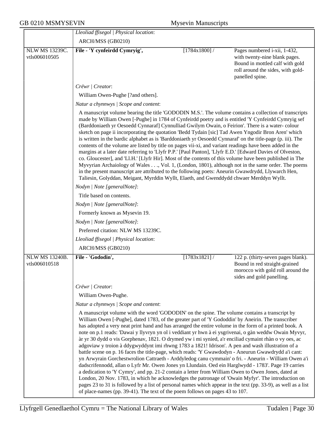|                                 | Lleoliad ffisegol   Physical location:                                                                                                                                                                                                                                                                                                                                                                                                                                                                                                                                                                                                                                                                                                                                                                                                                                                                                                                                                                                                                                                                                                                                                                                                                                                                                                                                 |                 |                                                                                                                                                          |
|---------------------------------|------------------------------------------------------------------------------------------------------------------------------------------------------------------------------------------------------------------------------------------------------------------------------------------------------------------------------------------------------------------------------------------------------------------------------------------------------------------------------------------------------------------------------------------------------------------------------------------------------------------------------------------------------------------------------------------------------------------------------------------------------------------------------------------------------------------------------------------------------------------------------------------------------------------------------------------------------------------------------------------------------------------------------------------------------------------------------------------------------------------------------------------------------------------------------------------------------------------------------------------------------------------------------------------------------------------------------------------------------------------------|-----------------|----------------------------------------------------------------------------------------------------------------------------------------------------------|
|                                 | ARCH/MSS (GB0210)                                                                                                                                                                                                                                                                                                                                                                                                                                                                                                                                                                                                                                                                                                                                                                                                                                                                                                                                                                                                                                                                                                                                                                                                                                                                                                                                                      |                 |                                                                                                                                                          |
| NLW MS 13239C.<br>vtls006010505 | File - 'Y cynfeirdd Cymryig',                                                                                                                                                                                                                                                                                                                                                                                                                                                                                                                                                                                                                                                                                                                                                                                                                                                                                                                                                                                                                                                                                                                                                                                                                                                                                                                                          | [1784x1800]     | Pages numbered i-xii, 1-432,<br>with twenty-nine blank pages.<br>Bound in mottled calf with gold<br>roll around the sides, with gold-<br>panelled spine. |
|                                 | Crëwr   Creator:                                                                                                                                                                                                                                                                                                                                                                                                                                                                                                                                                                                                                                                                                                                                                                                                                                                                                                                                                                                                                                                                                                                                                                                                                                                                                                                                                       |                 |                                                                                                                                                          |
|                                 | William Owen-Pughe [?and others].                                                                                                                                                                                                                                                                                                                                                                                                                                                                                                                                                                                                                                                                                                                                                                                                                                                                                                                                                                                                                                                                                                                                                                                                                                                                                                                                      |                 |                                                                                                                                                          |
|                                 | Natur a chynnwys / Scope and content:                                                                                                                                                                                                                                                                                                                                                                                                                                                                                                                                                                                                                                                                                                                                                                                                                                                                                                                                                                                                                                                                                                                                                                                                                                                                                                                                  |                 |                                                                                                                                                          |
|                                 | A manuscript volume bearing the title 'GODODIN M.S.'. The volume contains a collection of transcripts<br>made by William Owen [-Pughe] in 1784 of Cynfeirdd poetry and is entitled 'Y Cynfeirdd Cymryig sef<br>(Barddoniaeth yr Oesoedd Cynnaraf] Cynnulliad Gwilym Owain, o Feirion'. There is a water-colour<br>sketch on page ii incorporating the quotation 'Bedd Tydain [sic] Tad Awen Yngodir Bron Aren' which<br>is written in the bardic alphabet as is 'Barddoniaeth yr Oesoedd Cynnaraf' on the title-page (p. iii). The<br>contents of the volume are listed by title on pages vii-xi, and variant readings have been added in the<br>margins at a later date referring to 'Llyfr P.P.' [Paul Panton], 'Llyfr E.D.' [Edward Davies of Olveston,<br>co. Gloucester], and 'Ll.H.' [Llyfr Hir]. Most of the contents of this volume have been published in The<br>Myvyrian Archaiology of Wales, Vol. 1, (London, 1801), although not in the same order. The poems<br>in the present manuscript are attributed to the following poets: Aneurin Gwawdrydd, Llywarch Hen,<br>Taliesin, Golyddan, Meigant, Myrddin Wyllt, Elaeth, and Gwenddydd chwaer Merddyn Wyllt.                                                                                                                                                                                             |                 |                                                                                                                                                          |
|                                 | Nodyn   Note [generalNote]:                                                                                                                                                                                                                                                                                                                                                                                                                                                                                                                                                                                                                                                                                                                                                                                                                                                                                                                                                                                                                                                                                                                                                                                                                                                                                                                                            |                 |                                                                                                                                                          |
|                                 | Title based on contents.                                                                                                                                                                                                                                                                                                                                                                                                                                                                                                                                                                                                                                                                                                                                                                                                                                                                                                                                                                                                                                                                                                                                                                                                                                                                                                                                               |                 |                                                                                                                                                          |
|                                 | Nodyn   Note [generalNote]:                                                                                                                                                                                                                                                                                                                                                                                                                                                                                                                                                                                                                                                                                                                                                                                                                                                                                                                                                                                                                                                                                                                                                                                                                                                                                                                                            |                 |                                                                                                                                                          |
|                                 | Formerly known as Mysevin 19.<br>Nodyn   Note [generalNote]:                                                                                                                                                                                                                                                                                                                                                                                                                                                                                                                                                                                                                                                                                                                                                                                                                                                                                                                                                                                                                                                                                                                                                                                                                                                                                                           |                 |                                                                                                                                                          |
|                                 | Preferred citation: NLW MS 13239C.                                                                                                                                                                                                                                                                                                                                                                                                                                                                                                                                                                                                                                                                                                                                                                                                                                                                                                                                                                                                                                                                                                                                                                                                                                                                                                                                     |                 |                                                                                                                                                          |
|                                 | Lleoliad ffisegol   Physical location:                                                                                                                                                                                                                                                                                                                                                                                                                                                                                                                                                                                                                                                                                                                                                                                                                                                                                                                                                                                                                                                                                                                                                                                                                                                                                                                                 |                 |                                                                                                                                                          |
|                                 | ARCH/MSS (GB0210)                                                                                                                                                                                                                                                                                                                                                                                                                                                                                                                                                                                                                                                                                                                                                                                                                                                                                                                                                                                                                                                                                                                                                                                                                                                                                                                                                      |                 |                                                                                                                                                          |
| <b>NLW MS 13240B.</b>           | File - 'Gododin',                                                                                                                                                                                                                                                                                                                                                                                                                                                                                                                                                                                                                                                                                                                                                                                                                                                                                                                                                                                                                                                                                                                                                                                                                                                                                                                                                      | $[1783x1821]$ / | 122 p. (thirty-seven pages blank).                                                                                                                       |
| vtls006010518                   |                                                                                                                                                                                                                                                                                                                                                                                                                                                                                                                                                                                                                                                                                                                                                                                                                                                                                                                                                                                                                                                                                                                                                                                                                                                                                                                                                                        |                 | Bound in red straight-grained<br>morocco with gold roll around the<br>sides and gold panelling.                                                          |
|                                 | Crëwr   Creator:                                                                                                                                                                                                                                                                                                                                                                                                                                                                                                                                                                                                                                                                                                                                                                                                                                                                                                                                                                                                                                                                                                                                                                                                                                                                                                                                                       |                 |                                                                                                                                                          |
|                                 | William Owen-Pughe.                                                                                                                                                                                                                                                                                                                                                                                                                                                                                                                                                                                                                                                                                                                                                                                                                                                                                                                                                                                                                                                                                                                                                                                                                                                                                                                                                    |                 |                                                                                                                                                          |
|                                 | Natur a chynnwys / Scope and content:                                                                                                                                                                                                                                                                                                                                                                                                                                                                                                                                                                                                                                                                                                                                                                                                                                                                                                                                                                                                                                                                                                                                                                                                                                                                                                                                  |                 |                                                                                                                                                          |
|                                 | A manuscript volume with the word 'GODODIN' on the spine. The volume contains a transcript by<br>William Owen [-Pughe], dated 1783, of the greater part of 'Y Gododdin' by Aneirin. The transcriber<br>has adopted a very neat print hand and has arranged the entire volume in the form of a printed book. A<br>note on p.1 reads: 'Dawai y llyvryn yn ol i veddiant yr hwn à ei ysgrivenai, o gàn weddw Owain Myvyr,<br>àr yr 30 dydd o vis Gorphenav, 1821. O drymed yw i mi synied, a'r enciliad cymaint rhàn o vy oes, ac<br>adgoviaw y troion à ddygwyddynt imi rhwng 1783 a 1821! Idrison'. A pen and wash illustration of a<br>battle scene on p. 16 faces the title-page, which reads: 'Y Gwawdodyn - Aneurun Gwawdrydd a'i cant:<br>yn Arwyrain Gorchestwrolion Cattraeth - Arddyledog canu cymmain' o fri. - Aneurin - William Owen a'i<br>dadscrifennodd, allan o Lyfr Mr. Owen Jones yn Llundain. Oed ein Harglwydd - 1783'. Page 19 carries<br>a dedication to 'Y Cymry', and pp. 21-2 contain a letter from William Owen to Owen Jones, dated at<br>London, 20 Nov. 1783, in which he acknowledges the patronage of 'Owain Myfyr'. The introduction on<br>pages 23 to 31 is followed by a list of personal names which appear in the text (pp. 33-9), as well as a list<br>of place-names (pp. 39-41). The text of the poem follows on pages 43 to 107. |                 |                                                                                                                                                          |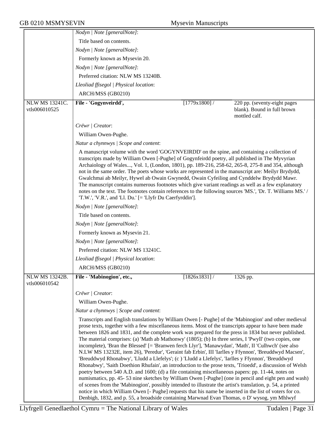|                                 | Nodyn   Note [generalNote]:                                                                                                                                                                                                                                                                                                                                                                                                                                                                                                                                                                                                                                                                                                                                                                                                                                                                                                                                                                                                                                                                                                                                                                                                                                                                                    |              |                                              |
|---------------------------------|----------------------------------------------------------------------------------------------------------------------------------------------------------------------------------------------------------------------------------------------------------------------------------------------------------------------------------------------------------------------------------------------------------------------------------------------------------------------------------------------------------------------------------------------------------------------------------------------------------------------------------------------------------------------------------------------------------------------------------------------------------------------------------------------------------------------------------------------------------------------------------------------------------------------------------------------------------------------------------------------------------------------------------------------------------------------------------------------------------------------------------------------------------------------------------------------------------------------------------------------------------------------------------------------------------------|--------------|----------------------------------------------|
|                                 | Title based on contents.                                                                                                                                                                                                                                                                                                                                                                                                                                                                                                                                                                                                                                                                                                                                                                                                                                                                                                                                                                                                                                                                                                                                                                                                                                                                                       |              |                                              |
|                                 | Nodyn   Note [generalNote]:                                                                                                                                                                                                                                                                                                                                                                                                                                                                                                                                                                                                                                                                                                                                                                                                                                                                                                                                                                                                                                                                                                                                                                                                                                                                                    |              |                                              |
|                                 | Formerly known as Mysevin 20.                                                                                                                                                                                                                                                                                                                                                                                                                                                                                                                                                                                                                                                                                                                                                                                                                                                                                                                                                                                                                                                                                                                                                                                                                                                                                  |              |                                              |
|                                 | Nodyn   Note [generalNote]:                                                                                                                                                                                                                                                                                                                                                                                                                                                                                                                                                                                                                                                                                                                                                                                                                                                                                                                                                                                                                                                                                                                                                                                                                                                                                    |              |                                              |
|                                 | Preferred citation: NLW MS 13240B.                                                                                                                                                                                                                                                                                                                                                                                                                                                                                                                                                                                                                                                                                                                                                                                                                                                                                                                                                                                                                                                                                                                                                                                                                                                                             |              |                                              |
|                                 | Lleoliad ffisegol   Physical location:                                                                                                                                                                                                                                                                                                                                                                                                                                                                                                                                                                                                                                                                                                                                                                                                                                                                                                                                                                                                                                                                                                                                                                                                                                                                         |              |                                              |
|                                 | ARCH/MSS (GB0210)                                                                                                                                                                                                                                                                                                                                                                                                                                                                                                                                                                                                                                                                                                                                                                                                                                                                                                                                                                                                                                                                                                                                                                                                                                                                                              |              |                                              |
| <b>NLW MS 13241C.</b>           | File - 'Gogynveirdd',                                                                                                                                                                                                                                                                                                                                                                                                                                                                                                                                                                                                                                                                                                                                                                                                                                                                                                                                                                                                                                                                                                                                                                                                                                                                                          | [1779x1800]  | 220 pp. (seventy-eight pages                 |
| vtls006010525                   |                                                                                                                                                                                                                                                                                                                                                                                                                                                                                                                                                                                                                                                                                                                                                                                                                                                                                                                                                                                                                                                                                                                                                                                                                                                                                                                |              | blank). Bound in full brown<br>mottled calf. |
|                                 | Crëwr   Creator:                                                                                                                                                                                                                                                                                                                                                                                                                                                                                                                                                                                                                                                                                                                                                                                                                                                                                                                                                                                                                                                                                                                                                                                                                                                                                               |              |                                              |
|                                 | William Owen-Pughe.                                                                                                                                                                                                                                                                                                                                                                                                                                                                                                                                                                                                                                                                                                                                                                                                                                                                                                                                                                                                                                                                                                                                                                                                                                                                                            |              |                                              |
|                                 | Natur a chynnwys / Scope and content:                                                                                                                                                                                                                                                                                                                                                                                                                                                                                                                                                                                                                                                                                                                                                                                                                                                                                                                                                                                                                                                                                                                                                                                                                                                                          |              |                                              |
|                                 | A manuscript volume with the word 'GOGYNVEIRDD' on the spine, and containing a collection of<br>transcripts made by William Owen [-Pughe] of Gogynfeirdd poetry, all published in The Myvyrian<br>Archaiology of Wales, Vol. 1, (London, 1801), pp. 189-216, 258-62, 265-8, 275-8 and 354, although<br>not in the same order. The poets whose works are represented in the manuscript are: Meilyr Brydydd,<br>Gwalchmai ab Meilyr, Hywel ab Owain Gwynedd, Owain Cyfeiliog and Cynddelw Brydydd Mawr.<br>The manuscript contains numerous footnotes which give variant readings as well as a few explanatory<br>notes on the text. The footnotes contain references to the following sources 'MS.', 'Dr. T. Williams MS.' /<br>'T.W.', 'V.R.', and 'Ll. Du.' [= 'Llyfr Du Caerfyrddin'].                                                                                                                                                                                                                                                                                                                                                                                                                                                                                                                       |              |                                              |
|                                 | Nodyn   Note [generalNote]:                                                                                                                                                                                                                                                                                                                                                                                                                                                                                                                                                                                                                                                                                                                                                                                                                                                                                                                                                                                                                                                                                                                                                                                                                                                                                    |              |                                              |
|                                 | Title based on contents.                                                                                                                                                                                                                                                                                                                                                                                                                                                                                                                                                                                                                                                                                                                                                                                                                                                                                                                                                                                                                                                                                                                                                                                                                                                                                       |              |                                              |
|                                 | Nodyn   Note [generalNote]:                                                                                                                                                                                                                                                                                                                                                                                                                                                                                                                                                                                                                                                                                                                                                                                                                                                                                                                                                                                                                                                                                                                                                                                                                                                                                    |              |                                              |
|                                 | Formerly known as Mysevin 21.                                                                                                                                                                                                                                                                                                                                                                                                                                                                                                                                                                                                                                                                                                                                                                                                                                                                                                                                                                                                                                                                                                                                                                                                                                                                                  |              |                                              |
|                                 | Nodyn   Note [generalNote]:                                                                                                                                                                                                                                                                                                                                                                                                                                                                                                                                                                                                                                                                                                                                                                                                                                                                                                                                                                                                                                                                                                                                                                                                                                                                                    |              |                                              |
|                                 | Preferred citation: NLW MS 13241C.                                                                                                                                                                                                                                                                                                                                                                                                                                                                                                                                                                                                                                                                                                                                                                                                                                                                                                                                                                                                                                                                                                                                                                                                                                                                             |              |                                              |
|                                 | Lleoliad ffisegol   Physical location:                                                                                                                                                                                                                                                                                                                                                                                                                                                                                                                                                                                                                                                                                                                                                                                                                                                                                                                                                                                                                                                                                                                                                                                                                                                                         |              |                                              |
|                                 | ARCH/MSS (GB0210)                                                                                                                                                                                                                                                                                                                                                                                                                                                                                                                                                                                                                                                                                                                                                                                                                                                                                                                                                                                                                                                                                                                                                                                                                                                                                              |              |                                              |
| NLW MS 13242B.<br>vtls006010542 | File - 'Mabinogion', etc.,                                                                                                                                                                                                                                                                                                                                                                                                                                                                                                                                                                                                                                                                                                                                                                                                                                                                                                                                                                                                                                                                                                                                                                                                                                                                                     | [1826x1831]/ | 1326 pp.                                     |
|                                 | Crëwr   Creator:                                                                                                                                                                                                                                                                                                                                                                                                                                                                                                                                                                                                                                                                                                                                                                                                                                                                                                                                                                                                                                                                                                                                                                                                                                                                                               |              |                                              |
|                                 | William Owen-Pughe.                                                                                                                                                                                                                                                                                                                                                                                                                                                                                                                                                                                                                                                                                                                                                                                                                                                                                                                                                                                                                                                                                                                                                                                                                                                                                            |              |                                              |
|                                 | Natur a chynnwys / Scope and content:                                                                                                                                                                                                                                                                                                                                                                                                                                                                                                                                                                                                                                                                                                                                                                                                                                                                                                                                                                                                                                                                                                                                                                                                                                                                          |              |                                              |
|                                 | Transcripts and English translations by William Owen [- Pughe] of the 'Mabinogion' and other medieval<br>prose texts, together with a few miscellaneous items. Most of the transcripts appear to have been made<br>between 1826 and 1831, and the complete work was prepared for the press in 1834 but never published.<br>The material comprises: (a) 'Math ab Mathonwy' (1805); (b) In three series, I 'Pwyll' (two copies, one<br>incomplete), 'Bran the Blessed' [= 'Branwen ferch Llyr'], 'Manawydan', 'Math', II 'Culhwch' (see also<br>N.LW MS 13232E, item 26), 'Peredur', 'Geraint fab Erbin', III 'Iarlles y Ffynnon', 'Breuddwyd Macsen',<br>'Breuddwyd Rhonabwy', 'Lludd a Llefelys'; (c ) 'Lludd a Llefelys', 'Iarlles y Ffynnon', 'Breuddwyd<br>Rhonabwy', 'Saith Doethion Rhufain', an introduction to the prose texts, 'Trioedd', a discussion of Welsh<br>poetry between 540 A.D. and 1600; (d) a file containing miscellaneous papers: pp. 11-44, notes on<br>numismatics, pp. 45-53 nine sketches by William Owen [-Pughe] (one in pencil and eight pen and wash)<br>of scenes from the 'Mabinogion', possibly intended to illustrate the artist's translation, p. 54, a printed<br>notice in which William Owen [- Pughe] requests that his name be inserted in the list of voters for co. |              |                                              |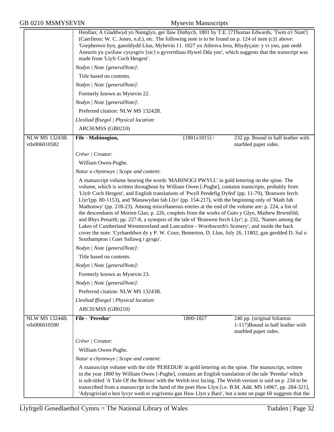|                                        | Henllan; A Gladdwyd yn Nantglyn, ger llaw Dinbych, 1801 by T.E. [?Thomas Edwards, 'Twm o'r Nant']<br>(Caerlleon: W. C. Jones, n.d.), etc. The following note is to be found on p. 124 of item (c)1 above:<br>'Gorphenwn hyn, ganoldydd Llun, Myhevin 11. 1827 yn Athrova Iesu, Rhydycain: y vi yno, pan oedd<br>Aneurin yn çwiliaw cysysgriv [sic] o gyvreithiau Hywel Dda yno', which suggests that the transcript was<br>made from 'Llyfr Coch Hergest'.<br>Nodyn   Note [generalNote]:<br>Title based on contents.<br>Nodyn   Note [generalNote]:<br>Formerly known as Mysevin 22.<br>Nodyn   Note [generalNote]:<br>Preferred citation: NLW MS 13242B.<br>Lleoliad ffisegol   Physical location:<br>ARCH/MSS (GB0210)                                                                                                                                                                                                                                                       |                 |                                                                                          |
|----------------------------------------|---------------------------------------------------------------------------------------------------------------------------------------------------------------------------------------------------------------------------------------------------------------------------------------------------------------------------------------------------------------------------------------------------------------------------------------------------------------------------------------------------------------------------------------------------------------------------------------------------------------------------------------------------------------------------------------------------------------------------------------------------------------------------------------------------------------------------------------------------------------------------------------------------------------------------------------------------------------------------------|-----------------|------------------------------------------------------------------------------------------|
| <b>NLW MS 13243B.</b>                  | File - Mabinogion,                                                                                                                                                                                                                                                                                                                                                                                                                                                                                                                                                                                                                                                                                                                                                                                                                                                                                                                                                              | $[1801x1815]$ / | 232 pp. Bound in half leather with                                                       |
| vtls006010582                          |                                                                                                                                                                                                                                                                                                                                                                                                                                                                                                                                                                                                                                                                                                                                                                                                                                                                                                                                                                                 |                 | marbled paper sides.                                                                     |
|                                        | Crëwr   Creator:                                                                                                                                                                                                                                                                                                                                                                                                                                                                                                                                                                                                                                                                                                                                                                                                                                                                                                                                                                |                 |                                                                                          |
|                                        | William Owen-Pughe.                                                                                                                                                                                                                                                                                                                                                                                                                                                                                                                                                                                                                                                                                                                                                                                                                                                                                                                                                             |                 |                                                                                          |
|                                        | Natur a chynnwys / Scope and content:                                                                                                                                                                                                                                                                                                                                                                                                                                                                                                                                                                                                                                                                                                                                                                                                                                                                                                                                           |                 |                                                                                          |
|                                        | A manuscript volume bearing the words 'MABINOGI PWYLL' in gold lettering on the spine. The<br>volume, which is written throughout by William Owen [-Pughe], contains transcripts, probably from<br>'Llyfr Coch Hergest', and English translations of 'Pwyll Pendefig Dyfed' (pp. 11-79), 'Branwen ferch<br>Llyr'(pp. 80-1153), and 'Manawydan fab Llyr' (pp. 154-217), with the beginning only of 'Math fab<br>Mathonwy' (pp. 218-23). Among miscellaneous entries at the end of the volume are: p. 224, a list of<br>the descendants of Morien Glas; p. 226, couplets from the works of Guto y Glyn, Mathew Brwmfild,<br>and Rhys Penarth; pp. 227-8, a synopsis of the tale of 'Branwen ferch Llyr'; p. 232, 'Names among the<br>Lakes of Cumberland Westmoreland and Lancashire - Wordsworth's Scenery'; and inside the back<br>cover the note: 'Cyrhaeddwn dy y P. W. Coxe, Bemerton, D. Llun, July 26, 11802, gan gerdded D. Sul o<br>Southampton i Gaer Sallawg i gysgu'. |                 |                                                                                          |
|                                        | Nodyn   Note [generalNote]:                                                                                                                                                                                                                                                                                                                                                                                                                                                                                                                                                                                                                                                                                                                                                                                                                                                                                                                                                     |                 |                                                                                          |
|                                        | Title based on contents.                                                                                                                                                                                                                                                                                                                                                                                                                                                                                                                                                                                                                                                                                                                                                                                                                                                                                                                                                        |                 |                                                                                          |
|                                        | Nodyn   Note [generalNote]:                                                                                                                                                                                                                                                                                                                                                                                                                                                                                                                                                                                                                                                                                                                                                                                                                                                                                                                                                     |                 |                                                                                          |
|                                        | Formerly known as Mysevin 23.                                                                                                                                                                                                                                                                                                                                                                                                                                                                                                                                                                                                                                                                                                                                                                                                                                                                                                                                                   |                 |                                                                                          |
|                                        | Nodyn   Note [generalNote]:                                                                                                                                                                                                                                                                                                                                                                                                                                                                                                                                                                                                                                                                                                                                                                                                                                                                                                                                                     |                 |                                                                                          |
|                                        | Preferred citation: NLW MS 13243B.                                                                                                                                                                                                                                                                                                                                                                                                                                                                                                                                                                                                                                                                                                                                                                                                                                                                                                                                              |                 |                                                                                          |
|                                        | Lleoliad ffisegol   Physical location:                                                                                                                                                                                                                                                                                                                                                                                                                                                                                                                                                                                                                                                                                                                                                                                                                                                                                                                                          |                 |                                                                                          |
|                                        | ARCH/MSS (GB0210)                                                                                                                                                                                                                                                                                                                                                                                                                                                                                                                                                                                                                                                                                                                                                                                                                                                                                                                                                               |                 |                                                                                          |
| <b>NLW MS 13244B.</b><br>vtls006010590 | File - 'Peredur'                                                                                                                                                                                                                                                                                                                                                                                                                                                                                                                                                                                                                                                                                                                                                                                                                                                                                                                                                                | 1800-1827       | 240 pp. (original foliation<br>1-117) Bound in half leather with<br>marbled paper sides. |
|                                        | Crëwr   Creator:                                                                                                                                                                                                                                                                                                                                                                                                                                                                                                                                                                                                                                                                                                                                                                                                                                                                                                                                                                |                 |                                                                                          |
|                                        | William Owen-Pughe.                                                                                                                                                                                                                                                                                                                                                                                                                                                                                                                                                                                                                                                                                                                                                                                                                                                                                                                                                             |                 |                                                                                          |
|                                        | Natur a chynnwys / Scope and content:                                                                                                                                                                                                                                                                                                                                                                                                                                                                                                                                                                                                                                                                                                                                                                                                                                                                                                                                           |                 |                                                                                          |
|                                        | A manuscript volume with the title 'PEREDUR' in gold lettering on the spine. The manuscript, written<br>in the year 1800 by William Owen [-Pughe], contains an English translation of the tale 'Peredur' which<br>is sub-titled 'A Tale Of the Britons' with the Welsh text facing. The Welsh version is said on p. 234 to be<br>transcribed from a manuscript in the hand of the poet Huw Llyn [i.e. B.M. Add. MS 14967, pp. 284-321],<br>'Adysgriviad o hen lyvyr wedi ei ysgrivenu gan Huw Llyn y Barz', but a note on page 60 suggests that the                                                                                                                                                                                                                                                                                                                                                                                                                             |                 |                                                                                          |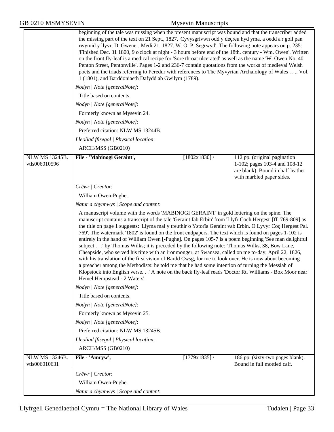|                                        | beginning of the tale was missing when the present manuscript was bound and that the transcriber added<br>the missing part of the text on 21 Sept., 1827, 'Cyvysgrivwn odd y decreu hyd yma, a oedd a'r goll pan<br>rwymid y llyvr. D. Gwener, Medi 21. 1827. W. O. P. Segrwyd'. The following note appears on p. 235:<br>'Finished Dec. 31 1800, 9 o'clock at night - 3 hours before end of the 18th. century - Wm. Owen'. Written<br>on the front fly-leaf is a medical recipe for 'Sore throat ulcerated' as well as the name 'W. Owen No. 40<br>Penton Street, Pentonville'. Pages 1-2 and 236-7 contain quotations from the works of medieval Welsh<br>poets and the triads referring to Peredur with references to The Myvyrian Archaiology of Wales, Vol.<br>1 (1801), and Barddoniaeth Dafydd ab Gwilym (1789).                                                                                                                                                                                                                                                                             |                 |                                                                                                                                 |  |  |
|----------------------------------------|-----------------------------------------------------------------------------------------------------------------------------------------------------------------------------------------------------------------------------------------------------------------------------------------------------------------------------------------------------------------------------------------------------------------------------------------------------------------------------------------------------------------------------------------------------------------------------------------------------------------------------------------------------------------------------------------------------------------------------------------------------------------------------------------------------------------------------------------------------------------------------------------------------------------------------------------------------------------------------------------------------------------------------------------------------------------------------------------------------|-----------------|---------------------------------------------------------------------------------------------------------------------------------|--|--|
|                                        | Nodyn   Note [generalNote]:                                                                                                                                                                                                                                                                                                                                                                                                                                                                                                                                                                                                                                                                                                                                                                                                                                                                                                                                                                                                                                                                         |                 |                                                                                                                                 |  |  |
|                                        | Title based on contents.                                                                                                                                                                                                                                                                                                                                                                                                                                                                                                                                                                                                                                                                                                                                                                                                                                                                                                                                                                                                                                                                            |                 |                                                                                                                                 |  |  |
|                                        | Nodyn   Note [generalNote]:                                                                                                                                                                                                                                                                                                                                                                                                                                                                                                                                                                                                                                                                                                                                                                                                                                                                                                                                                                                                                                                                         |                 |                                                                                                                                 |  |  |
|                                        | Formerly known as Mysevin 24.                                                                                                                                                                                                                                                                                                                                                                                                                                                                                                                                                                                                                                                                                                                                                                                                                                                                                                                                                                                                                                                                       |                 |                                                                                                                                 |  |  |
|                                        | Nodyn   Note [generalNote]:                                                                                                                                                                                                                                                                                                                                                                                                                                                                                                                                                                                                                                                                                                                                                                                                                                                                                                                                                                                                                                                                         |                 |                                                                                                                                 |  |  |
|                                        | Preferred citation: NLW MS 13244B.                                                                                                                                                                                                                                                                                                                                                                                                                                                                                                                                                                                                                                                                                                                                                                                                                                                                                                                                                                                                                                                                  |                 |                                                                                                                                 |  |  |
|                                        | Lleoliad ffisegol   Physical location:                                                                                                                                                                                                                                                                                                                                                                                                                                                                                                                                                                                                                                                                                                                                                                                                                                                                                                                                                                                                                                                              |                 |                                                                                                                                 |  |  |
|                                        | ARCH/MSS (GB0210)                                                                                                                                                                                                                                                                                                                                                                                                                                                                                                                                                                                                                                                                                                                                                                                                                                                                                                                                                                                                                                                                                   |                 |                                                                                                                                 |  |  |
| <b>NLW MS 13245B.</b><br>vtls006010596 | File - 'Mabinogi Geraint',                                                                                                                                                                                                                                                                                                                                                                                                                                                                                                                                                                                                                                                                                                                                                                                                                                                                                                                                                                                                                                                                          | $[1802x1830]$ / | 112 pp. (original pagination<br>1-102; pages 103-4 and 108-12<br>are blank). Bound in half leather<br>with marbled paper sides. |  |  |
|                                        | Crëwr   Creator:                                                                                                                                                                                                                                                                                                                                                                                                                                                                                                                                                                                                                                                                                                                                                                                                                                                                                                                                                                                                                                                                                    |                 |                                                                                                                                 |  |  |
|                                        | William Owen-Pughe.                                                                                                                                                                                                                                                                                                                                                                                                                                                                                                                                                                                                                                                                                                                                                                                                                                                                                                                                                                                                                                                                                 |                 |                                                                                                                                 |  |  |
|                                        | Natur a chynnwys / Scope and content:                                                                                                                                                                                                                                                                                                                                                                                                                                                                                                                                                                                                                                                                                                                                                                                                                                                                                                                                                                                                                                                               |                 |                                                                                                                                 |  |  |
|                                        | A manuscript volume with the words 'MABINOGI GERAINT' in gold lettering on the spine. The<br>manuscript contains a transcript of the tale 'Geraint fab Erbin' from 'Llyfr Coch Hergest' [ff. 769-809] as<br>the title on page 1 suggests: 'Llyma mal y treuthir o Ystorïa Geraint vab Erbin. O Lyvyr Coç Hergest Pal.<br>769'. The watermark '1802' is found on the front endpapers. The text which is found on pages 1-102 is<br>entirely in the hand of William Owen [-Pughe]. On pages 105-7 is a poem beginning 'See man delightful<br>subject by Thomas Wilks; it is preceded by the following note: 'Thomas Wilks, 38, Bow Lane,<br>Cheapside, who served his time with an ironmonger, at Swansea, called on me to-day, April 22, 1826,<br>with his translation of the first vision of Bardd Cwsg, for me to look over. He is now about becoming<br>a preacher among the Methodists: he told me that he had some intention of turning the Messiah of<br>Klopstock into English verse.' A note on the back fly-leaf reads 'Doctor Rt. Williams - Box Moor near<br>Hemel Hempstead - 2 Waters'. |                 |                                                                                                                                 |  |  |
|                                        | Nodyn   Note [generalNote]:                                                                                                                                                                                                                                                                                                                                                                                                                                                                                                                                                                                                                                                                                                                                                                                                                                                                                                                                                                                                                                                                         |                 |                                                                                                                                 |  |  |
|                                        | Title based on contents.                                                                                                                                                                                                                                                                                                                                                                                                                                                                                                                                                                                                                                                                                                                                                                                                                                                                                                                                                                                                                                                                            |                 |                                                                                                                                 |  |  |
|                                        | Nodyn   Note [generalNote]:                                                                                                                                                                                                                                                                                                                                                                                                                                                                                                                                                                                                                                                                                                                                                                                                                                                                                                                                                                                                                                                                         |                 |                                                                                                                                 |  |  |
|                                        | Formerly known as Mysevin 25.                                                                                                                                                                                                                                                                                                                                                                                                                                                                                                                                                                                                                                                                                                                                                                                                                                                                                                                                                                                                                                                                       |                 |                                                                                                                                 |  |  |
|                                        | Nodyn   Note [generalNote]:                                                                                                                                                                                                                                                                                                                                                                                                                                                                                                                                                                                                                                                                                                                                                                                                                                                                                                                                                                                                                                                                         |                 |                                                                                                                                 |  |  |
|                                        | Preferred citation: NLW MS 13245B.                                                                                                                                                                                                                                                                                                                                                                                                                                                                                                                                                                                                                                                                                                                                                                                                                                                                                                                                                                                                                                                                  |                 |                                                                                                                                 |  |  |
|                                        | Lleoliad ffisegol   Physical location:                                                                                                                                                                                                                                                                                                                                                                                                                                                                                                                                                                                                                                                                                                                                                                                                                                                                                                                                                                                                                                                              |                 |                                                                                                                                 |  |  |
|                                        | ARCH/MSS (GB0210)                                                                                                                                                                                                                                                                                                                                                                                                                                                                                                                                                                                                                                                                                                                                                                                                                                                                                                                                                                                                                                                                                   |                 |                                                                                                                                 |  |  |
| <b>NLW MS 13246B.</b><br>vtls006010631 | File - 'Amryw',                                                                                                                                                                                                                                                                                                                                                                                                                                                                                                                                                                                                                                                                                                                                                                                                                                                                                                                                                                                                                                                                                     | [1779x1835]/    | 186 pp. (sixty-two pages blank).<br>Bound in full mottled calf.                                                                 |  |  |
|                                        | Crëwr   Creator:                                                                                                                                                                                                                                                                                                                                                                                                                                                                                                                                                                                                                                                                                                                                                                                                                                                                                                                                                                                                                                                                                    |                 |                                                                                                                                 |  |  |
|                                        | William Owen-Pughe.                                                                                                                                                                                                                                                                                                                                                                                                                                                                                                                                                                                                                                                                                                                                                                                                                                                                                                                                                                                                                                                                                 |                 |                                                                                                                                 |  |  |
|                                        | Natur a chynnwys / Scope and content:                                                                                                                                                                                                                                                                                                                                                                                                                                                                                                                                                                                                                                                                                                                                                                                                                                                                                                                                                                                                                                                               |                 |                                                                                                                                 |  |  |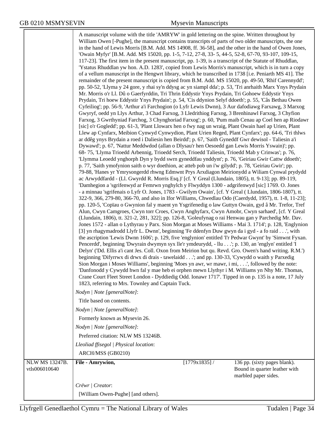|                       | A manuscript volume with the title 'AMRYW' in gold lettering on the spine. Written throughout by                                                                                                                                                                                                                |                 |                                                       |  |  |  |
|-----------------------|-----------------------------------------------------------------------------------------------------------------------------------------------------------------------------------------------------------------------------------------------------------------------------------------------------------------|-----------------|-------------------------------------------------------|--|--|--|
|                       | William Owen [-Pughe], the manuscript contains transcripts of parts of two older manuscripts, the one<br>in the hand of Lewis Morris [B.M. Add. MS 14908, ff. 36-58], and the other in the hand of Owen Jones,                                                                                                  |                 |                                                       |  |  |  |
|                       | 'Owain Myfyr' [B.M. Add. MS 15020, pp. 1-5, 7-12, 27-8, 33-5, 44-5, 52-8, 67-70, 93-107, 109-15,                                                                                                                                                                                                                |                 |                                                       |  |  |  |
|                       | 117-23]. The first item in the present manuscript, pp. 1-39, is a transcript of the Statute of Rhuddlan,                                                                                                                                                                                                        |                 |                                                       |  |  |  |
|                       | 'Ystatus Rhuddlan yw hon. A.D. 1283', copied from Lewis Morris's manuscript, which is in turn a copy                                                                                                                                                                                                            |                 |                                                       |  |  |  |
|                       | of a vellum manuscript in the Hengwrt library, which he transcribed in 1738 [i.e. Peniarth MS 41]. The<br>remainder of the present manuscript is copied from B.M. Add. MS 15020, pp. 49-50, 'Rhif Carennydd';                                                                                                   |                 |                                                       |  |  |  |
|                       | pp. 50-52, 'Llyma y 24 gore, y rhai sy'n ddysg ac yn siampl dda'; p. 53, 'Tri anrhaith Marx Ynys Prydain                                                                                                                                                                                                        |                 |                                                       |  |  |  |
|                       | Mr. Morris o'r Ll. Dû o Gaerfyrddin, Tri Thrin Eddystir Ynys Prydain, Tri Gohoew Eddystir Ynys                                                                                                                                                                                                                  |                 |                                                       |  |  |  |
|                       | Prydain, Tri hoew Eddystir Ynys Prydain'; p. 54, 'Cis ddynion Selyf ddoeth'; p. 55, 'Câs Bethau Owen                                                                                                                                                                                                            |                 |                                                       |  |  |  |
|                       | Cyfeiliog'; pp. 56-9, 'Arthur a'i Farchogion (o Lyfr Lewis Dwnn), 3 Aur dafodiawg Farxawg, 3 Marxog<br>Gwyryf, oedd yn Llys Arthur, 3 Chad Farxog, 3 Lledrithiog Farxog, 3 Brenhinawl Farxog, 3 Chyfion                                                                                                         |                 |                                                       |  |  |  |
|                       | Farxog, 3 Gwrthyniad Farchog, 3 Chynghoriad Farxog'; p. 60, 'Pum maib Cenau ap Coel hen ap Riodawr                                                                                                                                                                                                              |                 |                                                       |  |  |  |
|                       | [sic] o'r Gogledd'; pp. 61-3, 'Plant Llowarx hen o fwy nag un wraig, Plant Owain hael ap Urien, Plant                                                                                                                                                                                                           |                 |                                                       |  |  |  |
|                       | Llew ap Cynfarx, Meibion Cynwyd Cynwydion, Plant Urien Reged, Plant Cynfarx'; pp. 64-6, 'Tri thlws                                                                                                                                                                                                              |                 |                                                       |  |  |  |
|                       | ar ddêg ynys Brydain a roed i Daliesin hen Beirdd'; p. 67, 'Saith Gyneddf Gwr dewisol - Taliesin a'i<br>Dywawd'; p. 67, 'Nattur Meddwdod (allan o Dlysau'r hen Oesoedd gan Lewis Morris Yswain)'; pp.                                                                                                           |                 |                                                       |  |  |  |
|                       | 68-75, 'Llyma Trioedd Arbennig, Trioedd Serch, Trioedd Taliesin, Trioedd Mab y Crinwas'; p. 76,                                                                                                                                                                                                                 |                 |                                                       |  |  |  |
|                       | 'Llymma Leoedd ynghorph Dyn y bydd swrn gyneddfau ynddynt'; p. 76, 'Geiriau Gwir Cattw ddoeth';                                                                                                                                                                                                                 |                 |                                                       |  |  |  |
|                       | p. 77, 'Saith ymofynion saith o wyr doethion, ac atteb pob un i'w gilydd'; p. 78, 'Geiriau Gwir'; pp.                                                                                                                                                                                                           |                 |                                                       |  |  |  |
|                       | 79-88, 'Hanes yr Ymrysongerdd rhwng Edmwnt Prys Arxdiagon Meirionydd a Wiliam Cynwal prydydd<br>ac Arwyddfardd - (Ll. Gwyrdd R. Morris Esq.)' [cf. Y Greal (Llundain, 1805), tt. 9-13]; pp. 89-119,                                                                                                             |                 |                                                       |  |  |  |
|                       | 'Damhegion a 'sgrifenwyd ar Femrwn ynghylch y Flwyddyn 1300 - adgrifenwyd [sic] 1769. O. Jones                                                                                                                                                                                                                  |                 |                                                       |  |  |  |
|                       | - a minnau 'sgrifenais o Lyfr O. Jones, 1783 - Gwilym Owain', [cf. Y Greal (Llundain, 1806-1807), tt.                                                                                                                                                                                                           |                 |                                                       |  |  |  |
|                       | 322-9, 366, 279-80, 366-70, and also in Ifor Williams, Chwedlau Odo (Caerdydd, 1957), tt. 1-8, 11-23];                                                                                                                                                                                                          |                 |                                                       |  |  |  |
|                       | pp. 120-5, 'Copïau o Gwynion fal y maent yn Ysgrifenedig o law Guttyn Owain, gyd â Mr. Trefor, Tref                                                                                                                                                                                                             |                 |                                                       |  |  |  |
|                       | Alun, Cwyn Camgroes, Cwyn torr Croes, Cwyn Anghyfarx, Cwyn Amobr, Cwyn sarhaed', [cf. Y Greal<br>(Llundain, 1806), tt. 321-2, 281, 322]; pp. 126-8, 'Goleufynag o rai Henwau gan y Parchedig Mr. Dav.<br>Jones 1572 - allan o Lythyrau y Parx. Sion Morgan at Moses Williams - Mai 3. 1714'; p. 128, 'Englynion |                 |                                                       |  |  |  |
|                       |                                                                                                                                                                                                                                                                                                                 |                 |                                                       |  |  |  |
|                       | [3] yn rhagymadrodd Llyfr L. Dwnn', beginning 'Fe ddenfyn Duw gwyn da i gyd - a fo raid', with                                                                                                                                                                                                                  |                 |                                                       |  |  |  |
|                       | the ascription 'Lewis Dwnn 1606'; p. 129, five 'englynion' entitled 'I'r Pedwar Gwynt' by 'Simwnt Fyxan.<br>Pencerdd', beginning 'Dwyrain dwymyn syx lle'r ymdeurydd, - llu'; p. 130, an 'englyn' entitled 'I                                                                                                   |                 |                                                       |  |  |  |
|                       | Delyn' ('Dd. Ellis a'i cant Jes. Coll. Oxon from Meirion but qu. Revd. Gro. Owen's hand writing. R.M.')                                                                                                                                                                                                         |                 |                                                       |  |  |  |
|                       | beginning 'Difyrrwx di drwx di drais - tawelaidd'; and pp. 130-33, 'Cywydd o waith y Parxedig                                                                                                                                                                                                                   |                 |                                                       |  |  |  |
|                       | Sion Morgan i Moses Williams', beginning 'Moes yn awr, wr mawr, i mi,', followed by the note:                                                                                                                                                                                                                   |                 |                                                       |  |  |  |
|                       | 'Danfonodd y Cywydd hwn fal y mae heb ei orphen mewn Llythyr i M. Williams yn Nhy Mr. Thomas,<br>Crane Court Fleet Street London - Dyddiedig Odd. Ionawr 1717'. Tipped in on p. 135 is a note, 17 July                                                                                                          |                 |                                                       |  |  |  |
|                       | 1823, referring to Mrs. Townley and Captain Tuck.                                                                                                                                                                                                                                                               |                 |                                                       |  |  |  |
|                       | Nodyn   Note [generalNote]:                                                                                                                                                                                                                                                                                     |                 |                                                       |  |  |  |
|                       | Title based on contents.                                                                                                                                                                                                                                                                                        |                 |                                                       |  |  |  |
|                       | Nodyn   Note [generalNote]:                                                                                                                                                                                                                                                                                     |                 |                                                       |  |  |  |
|                       | Formerly known as Mysevin 26.                                                                                                                                                                                                                                                                                   |                 |                                                       |  |  |  |
|                       | Nodyn   Note [generalNote]:                                                                                                                                                                                                                                                                                     |                 |                                                       |  |  |  |
|                       | Preferred citation: NLW MS 13246B.                                                                                                                                                                                                                                                                              |                 |                                                       |  |  |  |
|                       | Lleoliad ffisegol   Physical location:                                                                                                                                                                                                                                                                          |                 |                                                       |  |  |  |
|                       | ARCH/MSS (GB0210)                                                                                                                                                                                                                                                                                               |                 |                                                       |  |  |  |
| <b>NLW MS 13247B.</b> | File - Amrywion,                                                                                                                                                                                                                                                                                                | $[1779x1835]$ / | 136 pp. (sixty pages blank).                          |  |  |  |
| vtls006010640         |                                                                                                                                                                                                                                                                                                                 |                 | Bound in quarter leather with<br>marbled paper sides. |  |  |  |
|                       | Crëwr   Creator:                                                                                                                                                                                                                                                                                                |                 |                                                       |  |  |  |
|                       | [William Owen-Pughe] [and others].                                                                                                                                                                                                                                                                              |                 |                                                       |  |  |  |
|                       |                                                                                                                                                                                                                                                                                                                 |                 |                                                       |  |  |  |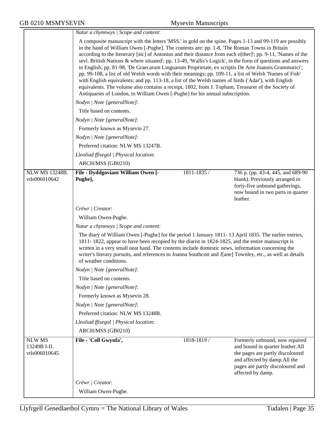|                                                | Natur a chynnwys / Scope and content:                                                                                                                                                                                                                                                                                                                                                                                                                                                                                                                                                                                                                                                                                                                                                                                                                                                                                                                |             |                                                                                                                                                                                                 |  |  |
|------------------------------------------------|------------------------------------------------------------------------------------------------------------------------------------------------------------------------------------------------------------------------------------------------------------------------------------------------------------------------------------------------------------------------------------------------------------------------------------------------------------------------------------------------------------------------------------------------------------------------------------------------------------------------------------------------------------------------------------------------------------------------------------------------------------------------------------------------------------------------------------------------------------------------------------------------------------------------------------------------------|-------------|-------------------------------------------------------------------------------------------------------------------------------------------------------------------------------------------------|--|--|
|                                                | A composite manuscript with the letters 'MSS.' in gold on the spine. Pages 1-13 and 99-119 are possibly<br>in the hand of William Owen [-Pughe]. The contents are: pp. 1-8, 'The Roman Towns in Britain<br>according to the Itenerary [sic] of Antonius and their distance from each o[ther]'; pp. 9-11, 'Names of the<br>sevl. British Nations & where situated'; pp. 13-49, 'Wallis's Logick', in the form of questions and answers<br>in English; pp. 81-98, 'De Graecarum Linguarum Proprietate, ex scriptis De Arte Joannis Grammatici';<br>pp. 99-108, a list of old Welsh words with their meanings; pp. 109-11, a list of Welsh 'Names of Fish'<br>with English equivalents; and pp. 113-18, a list of the Welsh names of birds ('Adar'), with English<br>equivalents. The volume also contains a receipt, 1802, from J. Topham, Treasurer of the Society of<br>Antiquaries of London, to William Owen [-Pughe] for his annual subscription. |             |                                                                                                                                                                                                 |  |  |
|                                                | Nodyn   Note [generalNote]:                                                                                                                                                                                                                                                                                                                                                                                                                                                                                                                                                                                                                                                                                                                                                                                                                                                                                                                          |             |                                                                                                                                                                                                 |  |  |
|                                                | Title based on contents.                                                                                                                                                                                                                                                                                                                                                                                                                                                                                                                                                                                                                                                                                                                                                                                                                                                                                                                             |             |                                                                                                                                                                                                 |  |  |
|                                                | Nodyn   Note [generalNote]:                                                                                                                                                                                                                                                                                                                                                                                                                                                                                                                                                                                                                                                                                                                                                                                                                                                                                                                          |             |                                                                                                                                                                                                 |  |  |
|                                                | Formerly known as Mysevin 27.                                                                                                                                                                                                                                                                                                                                                                                                                                                                                                                                                                                                                                                                                                                                                                                                                                                                                                                        |             |                                                                                                                                                                                                 |  |  |
|                                                | Nodyn   Note [generalNote]:                                                                                                                                                                                                                                                                                                                                                                                                                                                                                                                                                                                                                                                                                                                                                                                                                                                                                                                          |             |                                                                                                                                                                                                 |  |  |
|                                                | Preferred citation: NLW MS 13247B.                                                                                                                                                                                                                                                                                                                                                                                                                                                                                                                                                                                                                                                                                                                                                                                                                                                                                                                   |             |                                                                                                                                                                                                 |  |  |
|                                                | Lleoliad ffisegol   Physical location:                                                                                                                                                                                                                                                                                                                                                                                                                                                                                                                                                                                                                                                                                                                                                                                                                                                                                                               |             |                                                                                                                                                                                                 |  |  |
|                                                | ARCH/MSS (GB0210)                                                                                                                                                                                                                                                                                                                                                                                                                                                                                                                                                                                                                                                                                                                                                                                                                                                                                                                                    |             |                                                                                                                                                                                                 |  |  |
| <b>NLW MS 13248B.</b><br>vtls006010642         | File - Dyddgoviant William Owen [-<br>Pughe],                                                                                                                                                                                                                                                                                                                                                                                                                                                                                                                                                                                                                                                                                                                                                                                                                                                                                                        | 1811-1835 / | 736 p. (pp. 43-4, 445, and 689-90<br>blank). Previously arranged in<br>forty-five unbound gatherings,<br>now bound in two parts in quarter<br>leather.                                          |  |  |
|                                                | Crëwr   Creator:                                                                                                                                                                                                                                                                                                                                                                                                                                                                                                                                                                                                                                                                                                                                                                                                                                                                                                                                     |             |                                                                                                                                                                                                 |  |  |
|                                                | William Owen-Pughe.                                                                                                                                                                                                                                                                                                                                                                                                                                                                                                                                                                                                                                                                                                                                                                                                                                                                                                                                  |             |                                                                                                                                                                                                 |  |  |
|                                                | Natur a chynnwys / Scope and content:                                                                                                                                                                                                                                                                                                                                                                                                                                                                                                                                                                                                                                                                                                                                                                                                                                                                                                                |             |                                                                                                                                                                                                 |  |  |
|                                                | The diary of William Owen [-Pughe] for the period 1 January 1811-13 April 1835. The earlier entries,<br>1811-1822, appear to have been recopied by the diarist in 1824-1825, and the entire manuscript is<br>written in a very small neat hand. The contents include domestic news, information concerning the<br>writer's literary pursuits, and references to Joanna Southcott and J[ane] Townley, etc., as well as details<br>of weather conditions.                                                                                                                                                                                                                                                                                                                                                                                                                                                                                              |             |                                                                                                                                                                                                 |  |  |
|                                                | Nodyn   Note [generalNote]:                                                                                                                                                                                                                                                                                                                                                                                                                                                                                                                                                                                                                                                                                                                                                                                                                                                                                                                          |             |                                                                                                                                                                                                 |  |  |
|                                                | Title based on contents.                                                                                                                                                                                                                                                                                                                                                                                                                                                                                                                                                                                                                                                                                                                                                                                                                                                                                                                             |             |                                                                                                                                                                                                 |  |  |
|                                                | Nodyn   Note [generalNote]:                                                                                                                                                                                                                                                                                                                                                                                                                                                                                                                                                                                                                                                                                                                                                                                                                                                                                                                          |             |                                                                                                                                                                                                 |  |  |
|                                                | Formerly known as Mysevin 28.                                                                                                                                                                                                                                                                                                                                                                                                                                                                                                                                                                                                                                                                                                                                                                                                                                                                                                                        |             |                                                                                                                                                                                                 |  |  |
|                                                | Nodyn   Note [generalNote]:                                                                                                                                                                                                                                                                                                                                                                                                                                                                                                                                                                                                                                                                                                                                                                                                                                                                                                                          |             |                                                                                                                                                                                                 |  |  |
|                                                | Preferred citation: NLW MS 13248B.                                                                                                                                                                                                                                                                                                                                                                                                                                                                                                                                                                                                                                                                                                                                                                                                                                                                                                                   |             |                                                                                                                                                                                                 |  |  |
|                                                | Lleoliad ffisegol   Physical location:                                                                                                                                                                                                                                                                                                                                                                                                                                                                                                                                                                                                                                                                                                                                                                                                                                                                                                               |             |                                                                                                                                                                                                 |  |  |
|                                                | ARCH/MSS (GB0210)                                                                                                                                                                                                                                                                                                                                                                                                                                                                                                                                                                                                                                                                                                                                                                                                                                                                                                                                    |             |                                                                                                                                                                                                 |  |  |
| <b>NLW MS</b><br>13249B I-II.<br>vtls006010645 | File - 'Coll Gwynfa',                                                                                                                                                                                                                                                                                                                                                                                                                                                                                                                                                                                                                                                                                                                                                                                                                                                                                                                                | 1818-1819/  | Formerly unbound, now repaired<br>and bound in quarter leather.All<br>the pages are partly discoloured<br>and affected by damp.All the<br>pages are partly discoloured and<br>affected by damp. |  |  |
|                                                | Crëwr   Creator:                                                                                                                                                                                                                                                                                                                                                                                                                                                                                                                                                                                                                                                                                                                                                                                                                                                                                                                                     |             |                                                                                                                                                                                                 |  |  |
|                                                | William Owen-Pughe.                                                                                                                                                                                                                                                                                                                                                                                                                                                                                                                                                                                                                                                                                                                                                                                                                                                                                                                                  |             |                                                                                                                                                                                                 |  |  |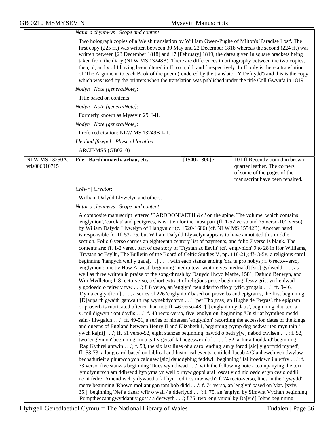$\overline{a}$  and  $\overline{a}$  and  $\overline{a}$  and  $\overline{a}$ 

|                                        | Natur a chynnwys / Scope and content:                                                                                                                                                                                                                                                                                                                                                                                                                                                                                                                                                                                                                                                                                                                                                                                                                                                                                                                                                                                                                                                                                                                                                                                                                                                                                                                                                                                                                                                                                                                                                                                                                                                                                                                                                                                                                                                                                                                                                                                                                                                                                                                                                                                                                                                                                                                                                                                                                                                                                                                                                                                                                                                                                                                                                                                                                                                                                                                                                                                                                                                        |                 |                                                                                                                                  |  |
|----------------------------------------|----------------------------------------------------------------------------------------------------------------------------------------------------------------------------------------------------------------------------------------------------------------------------------------------------------------------------------------------------------------------------------------------------------------------------------------------------------------------------------------------------------------------------------------------------------------------------------------------------------------------------------------------------------------------------------------------------------------------------------------------------------------------------------------------------------------------------------------------------------------------------------------------------------------------------------------------------------------------------------------------------------------------------------------------------------------------------------------------------------------------------------------------------------------------------------------------------------------------------------------------------------------------------------------------------------------------------------------------------------------------------------------------------------------------------------------------------------------------------------------------------------------------------------------------------------------------------------------------------------------------------------------------------------------------------------------------------------------------------------------------------------------------------------------------------------------------------------------------------------------------------------------------------------------------------------------------------------------------------------------------------------------------------------------------------------------------------------------------------------------------------------------------------------------------------------------------------------------------------------------------------------------------------------------------------------------------------------------------------------------------------------------------------------------------------------------------------------------------------------------------------------------------------------------------------------------------------------------------------------------------------------------------------------------------------------------------------------------------------------------------------------------------------------------------------------------------------------------------------------------------------------------------------------------------------------------------------------------------------------------------------------------------------------------------------------------------------------------------|-----------------|----------------------------------------------------------------------------------------------------------------------------------|--|
|                                        | Two holograph copies of a Welsh translation by William Owen-Pughe of Milton's 'Paradise Lost'. The<br>first copy (225 ff.) was written between 30 May and 22 December 1818 whereas the second (224 ff.) was<br>written between [23 December 1818] and 17 [February] 1819, the dates given in square brackets being<br>taken from the diary (NLW MS 13248B). There are differences in orthography between the two copies,<br>the c, d, and v of I having been altered in II to ch, dd, and f respectively. In II only is there a translation<br>of 'The Argument' to each Book of the poem (rendered by the translator 'Y Defnydd') and this is the copy<br>which was used by the printers when the translation was published under the title Coll Gwynfa in 1819.                                                                                                                                                                                                                                                                                                                                                                                                                                                                                                                                                                                                                                                                                                                                                                                                                                                                                                                                                                                                                                                                                                                                                                                                                                                                                                                                                                                                                                                                                                                                                                                                                                                                                                                                                                                                                                                                                                                                                                                                                                                                                                                                                                                                                                                                                                                            |                 |                                                                                                                                  |  |
|                                        | Nodyn   Note [generalNote]:                                                                                                                                                                                                                                                                                                                                                                                                                                                                                                                                                                                                                                                                                                                                                                                                                                                                                                                                                                                                                                                                                                                                                                                                                                                                                                                                                                                                                                                                                                                                                                                                                                                                                                                                                                                                                                                                                                                                                                                                                                                                                                                                                                                                                                                                                                                                                                                                                                                                                                                                                                                                                                                                                                                                                                                                                                                                                                                                                                                                                                                                  |                 |                                                                                                                                  |  |
|                                        | Title based on contents.                                                                                                                                                                                                                                                                                                                                                                                                                                                                                                                                                                                                                                                                                                                                                                                                                                                                                                                                                                                                                                                                                                                                                                                                                                                                                                                                                                                                                                                                                                                                                                                                                                                                                                                                                                                                                                                                                                                                                                                                                                                                                                                                                                                                                                                                                                                                                                                                                                                                                                                                                                                                                                                                                                                                                                                                                                                                                                                                                                                                                                                                     |                 |                                                                                                                                  |  |
|                                        | Nodyn   Note [generalNote]:                                                                                                                                                                                                                                                                                                                                                                                                                                                                                                                                                                                                                                                                                                                                                                                                                                                                                                                                                                                                                                                                                                                                                                                                                                                                                                                                                                                                                                                                                                                                                                                                                                                                                                                                                                                                                                                                                                                                                                                                                                                                                                                                                                                                                                                                                                                                                                                                                                                                                                                                                                                                                                                                                                                                                                                                                                                                                                                                                                                                                                                                  |                 |                                                                                                                                  |  |
|                                        | Formerly known as Mysevin 29, I-II.                                                                                                                                                                                                                                                                                                                                                                                                                                                                                                                                                                                                                                                                                                                                                                                                                                                                                                                                                                                                                                                                                                                                                                                                                                                                                                                                                                                                                                                                                                                                                                                                                                                                                                                                                                                                                                                                                                                                                                                                                                                                                                                                                                                                                                                                                                                                                                                                                                                                                                                                                                                                                                                                                                                                                                                                                                                                                                                                                                                                                                                          |                 |                                                                                                                                  |  |
|                                        | Nodyn   Note [generalNote]:                                                                                                                                                                                                                                                                                                                                                                                                                                                                                                                                                                                                                                                                                                                                                                                                                                                                                                                                                                                                                                                                                                                                                                                                                                                                                                                                                                                                                                                                                                                                                                                                                                                                                                                                                                                                                                                                                                                                                                                                                                                                                                                                                                                                                                                                                                                                                                                                                                                                                                                                                                                                                                                                                                                                                                                                                                                                                                                                                                                                                                                                  |                 |                                                                                                                                  |  |
|                                        | Preferred citation: NLW MS 13249B I-II.                                                                                                                                                                                                                                                                                                                                                                                                                                                                                                                                                                                                                                                                                                                                                                                                                                                                                                                                                                                                                                                                                                                                                                                                                                                                                                                                                                                                                                                                                                                                                                                                                                                                                                                                                                                                                                                                                                                                                                                                                                                                                                                                                                                                                                                                                                                                                                                                                                                                                                                                                                                                                                                                                                                                                                                                                                                                                                                                                                                                                                                      |                 |                                                                                                                                  |  |
|                                        | Lleoliad ffisegol   Physical location:                                                                                                                                                                                                                                                                                                                                                                                                                                                                                                                                                                                                                                                                                                                                                                                                                                                                                                                                                                                                                                                                                                                                                                                                                                                                                                                                                                                                                                                                                                                                                                                                                                                                                                                                                                                                                                                                                                                                                                                                                                                                                                                                                                                                                                                                                                                                                                                                                                                                                                                                                                                                                                                                                                                                                                                                                                                                                                                                                                                                                                                       |                 |                                                                                                                                  |  |
|                                        | ARCH/MSS (GB0210)                                                                                                                                                                                                                                                                                                                                                                                                                                                                                                                                                                                                                                                                                                                                                                                                                                                                                                                                                                                                                                                                                                                                                                                                                                                                                                                                                                                                                                                                                                                                                                                                                                                                                                                                                                                                                                                                                                                                                                                                                                                                                                                                                                                                                                                                                                                                                                                                                                                                                                                                                                                                                                                                                                                                                                                                                                                                                                                                                                                                                                                                            |                 |                                                                                                                                  |  |
| <b>NLW MS 13250A.</b><br>vtls006010715 | File - Barddoniaeth, achau, etc.,                                                                                                                                                                                                                                                                                                                                                                                                                                                                                                                                                                                                                                                                                                                                                                                                                                                                                                                                                                                                                                                                                                                                                                                                                                                                                                                                                                                                                                                                                                                                                                                                                                                                                                                                                                                                                                                                                                                                                                                                                                                                                                                                                                                                                                                                                                                                                                                                                                                                                                                                                                                                                                                                                                                                                                                                                                                                                                                                                                                                                                                            | $[1540x1800]$ / | 101 ff. Recently bound in brown<br>quarter leather. The corners<br>of some of the pages of the<br>manuscript have been repaired. |  |
|                                        | Crëwr   Creator:                                                                                                                                                                                                                                                                                                                                                                                                                                                                                                                                                                                                                                                                                                                                                                                                                                                                                                                                                                                                                                                                                                                                                                                                                                                                                                                                                                                                                                                                                                                                                                                                                                                                                                                                                                                                                                                                                                                                                                                                                                                                                                                                                                                                                                                                                                                                                                                                                                                                                                                                                                                                                                                                                                                                                                                                                                                                                                                                                                                                                                                                             |                 |                                                                                                                                  |  |
|                                        | William Dafydd Llywelyn and others.                                                                                                                                                                                                                                                                                                                                                                                                                                                                                                                                                                                                                                                                                                                                                                                                                                                                                                                                                                                                                                                                                                                                                                                                                                                                                                                                                                                                                                                                                                                                                                                                                                                                                                                                                                                                                                                                                                                                                                                                                                                                                                                                                                                                                                                                                                                                                                                                                                                                                                                                                                                                                                                                                                                                                                                                                                                                                                                                                                                                                                                          |                 |                                                                                                                                  |  |
|                                        | Natur a chynnwys / Scope and content:                                                                                                                                                                                                                                                                                                                                                                                                                                                                                                                                                                                                                                                                                                                                                                                                                                                                                                                                                                                                                                                                                                                                                                                                                                                                                                                                                                                                                                                                                                                                                                                                                                                                                                                                                                                                                                                                                                                                                                                                                                                                                                                                                                                                                                                                                                                                                                                                                                                                                                                                                                                                                                                                                                                                                                                                                                                                                                                                                                                                                                                        |                 |                                                                                                                                  |  |
|                                        | A composite manuscript lettered 'BARDDONIAETH &c.' on the spine. The volume, which contains<br>'englynion', 'carolau' and pedigrees, is written for the most part (ff. 1-52 verso and 75 verso-101 verso)<br>by Wiliam Dafydd Llywelyn of Llangynidr (c. 1520-1606) (cf. NLW MS 15542B). Another hand<br>is responsible for ff. 53-75, but Wiliam Dafydd Llywelyn appears to have annotated this middle<br>section. Folio 6 verso carries an eighteenth century list of payments, and folio 7 verso is blank. The<br>contents are: ff. 1-2 verso, part of the story of 'Trystan ac Esyllt' (cf. 'englynion' 9 to 28 in Ifor Williams,<br>Trystan ac Esyllt', The Bulletin of the Board of Celtic Studies V, pp. 118-21); ff-3-5v, a religious carol<br>beginning 'hanpych well y gaua[] ', with each stanza ending 'ora tu pro nobys'; f. 6 recto-verso,<br>'englynion': one by Huw Arwestl beginning 'medru tewi weithie yes medria[d] [sic] gydwedd', as<br>well as three written in praise of the song-thrush by Dauydd llwyd Mathe, 1581, Dafudd Benwyn, and<br>Wm Mydleton; f. 8 recto-verso, a short extract of religious prose beginning 'Jessv grist yn keidwad<br>y godoedd o feirw y fyw'; f. 8 verso, an 'englyn' 'pen ddarffo rifo y ryfic, ymgais'; ff. 9-46,<br>'Dyma englyn[ion ]', a series of 226 'englynion' based on proverbs and epigrams, the first beginning<br>'[D]auparth gwaith ganwaith rag wynebdychryn', 'per Tho[mas] ap Hughe de Ewyas', the epigram<br>or proverb is rubricated oftener than not; ff. 46 verso-48, '[ ] englynion y datts', beginning 'dau .cc. a<br>v. mil digwyn / ont dayfis'; f. 48 recto-verso, five 'englynion' beginning 'Un sir ar bymtheg medd<br>sain / lliwgalch'; ff. 49-51, a series of nineteen 'englynion' recording the accession dates of the kings<br>and queens of England between Henry II and Elizabeth I, beginning 'pymp deg pedwar teg myn tain /<br>ywch ka[nt]'; ff. 51 verso-52, eight stanzas beginning 'hawdd o beth y[w] nabod cwilsen'; f. 52,<br>two 'englynion' beginning 'mi a gaf y geisaf fal negeswr / dof'; f. 52, a 'hir a thoddaid' beginning<br>'Rag Kythrel anfwin'; f. 53, the six last lines of a carol ending 'am y fordd [sic] y gorfydd myned';<br>ff-53-73, a long carol based on biblical and historical events, entitled 'Iacob 4 Glanhewch ych dwylaw<br>bechadurieit a phurwch ych calonaw [sic] dauddyblug feddwl', beginning 'fal iroeddwn i n effrv'; f.<br>73 verso, five stanzas beginning 'Dues wyn diwad', with the following note accompanying the text<br>'ymofynnrvch am ddiwedd hyn yma yn well o rhyw goppi arall oscat vidd nid oedd ef yn cesio oddli<br>ne ni fedrei Amendiwch y dywaetha fal hyn i odli os mwnwch'; f. 74 recto-verso, lines in the 'cywydd'<br>metre beginning 'Rhown moliant gan tant bob didd'; f. 74 verso, an 'englyn' based on Mat. [xxiv,<br>35.], beginning 'Nef a daear wfir o wall / a dderfydd'; f. 75, an 'englyn' by Simwnt Vychan beginning<br>'Pumptheccant gwyddant y gost / a decwyth'; f 75, two 'englynion' by Da[vid] Johns beginning |                 |                                                                                                                                  |  |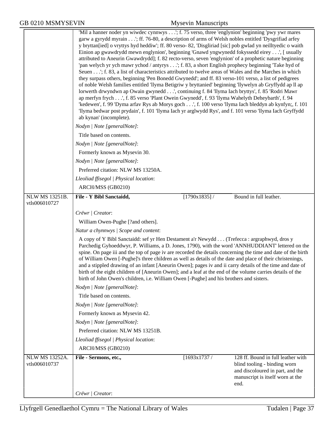|                                        | 'Mil a hanner noder yn wiwdec cynnwys'; f. 75 verso, three 'englynion' beginning 'pwy ywr mares<br>garw a gyrydd myrain'; ff. 76-80, a description of arms of Welsh nobles entitled 'Dysgrifiad arfey<br>y bryttan[ied] o vryttys hyd heddiw'; ff. 80 verso- 82, 'Disgliriad [sic] pob gwlad yn neilltyedic o waith<br>Einion ap gwawdrydd mewn englynion', beginning 'Gnawd yngwynedd fokyssedd eirey', [ usually<br>attributed to Aneurin Gwawdrydd]; f. 82 recto-verso, seven 'englynion' of a prophetic nature beginning<br>'pan welych yr ych mawr ychod / antyrys'; f. 83, a short English prophecy beginning 'Take hyd of<br>Seuen'; f. 83, a list of characteristics attributed to twelve areas of Wales and the Marches in which<br>they surpass others, beginning 'Pen Bonedd Gwynedd'; and ff. 83 verso-101 verso, a list of pedigrees<br>of noble Welsh families entitled 'llyma Betigriw y bryttanied' beginning 'llywelyn ab Gryffydd ap ll ap<br>lorwerth drwyndwn ap Owain gwynedd', continuing f. 84 'llyma Iach bryttys', f. 85 'Rodri Mawr<br>ap merfyn frych', f. 85 verso 'Plant Owein Gwynedd', f. 93 'llyma Wahelyth Deheybarth', f. 94<br>'kedewen', f. 99 'Dyma arfav Rys ab Morys goch', f. 100 verso 'llyma Iach bleddyn ab kynfyn;, f. 101<br>'llyma bedwar post prydain', f. 101 'llyma Iach yr arglwydd Rys', and f. 101 verso 'llyma Iach Gryffydd |  |  |  |  |  |
|----------------------------------------|-----------------------------------------------------------------------------------------------------------------------------------------------------------------------------------------------------------------------------------------------------------------------------------------------------------------------------------------------------------------------------------------------------------------------------------------------------------------------------------------------------------------------------------------------------------------------------------------------------------------------------------------------------------------------------------------------------------------------------------------------------------------------------------------------------------------------------------------------------------------------------------------------------------------------------------------------------------------------------------------------------------------------------------------------------------------------------------------------------------------------------------------------------------------------------------------------------------------------------------------------------------------------------------------------------------------------------------------------------------------------------------|--|--|--|--|--|
|                                        | ab kynan' (incomplete).                                                                                                                                                                                                                                                                                                                                                                                                                                                                                                                                                                                                                                                                                                                                                                                                                                                                                                                                                                                                                                                                                                                                                                                                                                                                                                                                                           |  |  |  |  |  |
|                                        | Nodyn   Note [generalNote]:                                                                                                                                                                                                                                                                                                                                                                                                                                                                                                                                                                                                                                                                                                                                                                                                                                                                                                                                                                                                                                                                                                                                                                                                                                                                                                                                                       |  |  |  |  |  |
|                                        | Title based on contents.                                                                                                                                                                                                                                                                                                                                                                                                                                                                                                                                                                                                                                                                                                                                                                                                                                                                                                                                                                                                                                                                                                                                                                                                                                                                                                                                                          |  |  |  |  |  |
|                                        | Nodyn   Note [generalNote]:                                                                                                                                                                                                                                                                                                                                                                                                                                                                                                                                                                                                                                                                                                                                                                                                                                                                                                                                                                                                                                                                                                                                                                                                                                                                                                                                                       |  |  |  |  |  |
|                                        | Formerly known as Mysevin 30.                                                                                                                                                                                                                                                                                                                                                                                                                                                                                                                                                                                                                                                                                                                                                                                                                                                                                                                                                                                                                                                                                                                                                                                                                                                                                                                                                     |  |  |  |  |  |
|                                        | Nodyn   Note [generalNote]:                                                                                                                                                                                                                                                                                                                                                                                                                                                                                                                                                                                                                                                                                                                                                                                                                                                                                                                                                                                                                                                                                                                                                                                                                                                                                                                                                       |  |  |  |  |  |
|                                        | Preferred citation: NLW MS 13250A.<br>Lleoliad ffisegol   Physical location:                                                                                                                                                                                                                                                                                                                                                                                                                                                                                                                                                                                                                                                                                                                                                                                                                                                                                                                                                                                                                                                                                                                                                                                                                                                                                                      |  |  |  |  |  |
|                                        |                                                                                                                                                                                                                                                                                                                                                                                                                                                                                                                                                                                                                                                                                                                                                                                                                                                                                                                                                                                                                                                                                                                                                                                                                                                                                                                                                                                   |  |  |  |  |  |
| <b>NLW MS 13251B.</b>                  | ARCH/MSS (GB0210)<br>File - Y Bibl Sanctaidd,<br>[1790x1835]/<br>Bound in full leather.                                                                                                                                                                                                                                                                                                                                                                                                                                                                                                                                                                                                                                                                                                                                                                                                                                                                                                                                                                                                                                                                                                                                                                                                                                                                                           |  |  |  |  |  |
| vtls006010727                          |                                                                                                                                                                                                                                                                                                                                                                                                                                                                                                                                                                                                                                                                                                                                                                                                                                                                                                                                                                                                                                                                                                                                                                                                                                                                                                                                                                                   |  |  |  |  |  |
|                                        | Crëwr   Creator:                                                                                                                                                                                                                                                                                                                                                                                                                                                                                                                                                                                                                                                                                                                                                                                                                                                                                                                                                                                                                                                                                                                                                                                                                                                                                                                                                                  |  |  |  |  |  |
|                                        | William Owen-Pughe [?and others].                                                                                                                                                                                                                                                                                                                                                                                                                                                                                                                                                                                                                                                                                                                                                                                                                                                                                                                                                                                                                                                                                                                                                                                                                                                                                                                                                 |  |  |  |  |  |
|                                        | Natur a chynnwys / Scope and content:                                                                                                                                                                                                                                                                                                                                                                                                                                                                                                                                                                                                                                                                                                                                                                                                                                                                                                                                                                                                                                                                                                                                                                                                                                                                                                                                             |  |  |  |  |  |
|                                        | A copy of Y Bibl Sanctaidd: sef yr Hen Destament a'r Newydd (Trefecca : argraphwyd, dros y<br>Parchedig Gyhoeddwyr, P. Williams, a D. Jones, 1790), with the word 'ANNHUDDIANT' lettered on the<br>spine. On page iii and the top of page iv are recorded the details concerning the time and date of the birth<br>of William Owen [-Pughe]'s three children as well as details of the date and place of their christenings,<br>and a stippled drawing of an infant [Aneurin Owen]; pages iv and ii carry details of the time and date of<br>birth of the eight children of [Aneurin Owen]; and a leaf at the end of the volume carries details of the<br>birth of John Owen's children, i.e. William Owen [-Pughe] and his brothers and sisters.                                                                                                                                                                                                                                                                                                                                                                                                                                                                                                                                                                                                                                 |  |  |  |  |  |
|                                        | Nodyn   Note [generalNote]:                                                                                                                                                                                                                                                                                                                                                                                                                                                                                                                                                                                                                                                                                                                                                                                                                                                                                                                                                                                                                                                                                                                                                                                                                                                                                                                                                       |  |  |  |  |  |
|                                        | Title based on contents.                                                                                                                                                                                                                                                                                                                                                                                                                                                                                                                                                                                                                                                                                                                                                                                                                                                                                                                                                                                                                                                                                                                                                                                                                                                                                                                                                          |  |  |  |  |  |
|                                        | Nodyn   Note [generalNote]:                                                                                                                                                                                                                                                                                                                                                                                                                                                                                                                                                                                                                                                                                                                                                                                                                                                                                                                                                                                                                                                                                                                                                                                                                                                                                                                                                       |  |  |  |  |  |
|                                        | Formerly known as Mysevin 42.                                                                                                                                                                                                                                                                                                                                                                                                                                                                                                                                                                                                                                                                                                                                                                                                                                                                                                                                                                                                                                                                                                                                                                                                                                                                                                                                                     |  |  |  |  |  |
|                                        | Nodyn   Note [generalNote]:                                                                                                                                                                                                                                                                                                                                                                                                                                                                                                                                                                                                                                                                                                                                                                                                                                                                                                                                                                                                                                                                                                                                                                                                                                                                                                                                                       |  |  |  |  |  |
|                                        | Preferred citation: NLW MS 13251B.                                                                                                                                                                                                                                                                                                                                                                                                                                                                                                                                                                                                                                                                                                                                                                                                                                                                                                                                                                                                                                                                                                                                                                                                                                                                                                                                                |  |  |  |  |  |
|                                        | Lleoliad ffisegol   Physical location:                                                                                                                                                                                                                                                                                                                                                                                                                                                                                                                                                                                                                                                                                                                                                                                                                                                                                                                                                                                                                                                                                                                                                                                                                                                                                                                                            |  |  |  |  |  |
|                                        | ARCH/MSS (GB0210)                                                                                                                                                                                                                                                                                                                                                                                                                                                                                                                                                                                                                                                                                                                                                                                                                                                                                                                                                                                                                                                                                                                                                                                                                                                                                                                                                                 |  |  |  |  |  |
| <b>NLW MS 13252A.</b><br>vtls006010737 | File - Sermons, etc.,<br>[1693x1737/<br>128 ff. Bound in full leather with<br>blind tooling - binding worn<br>and discoloured in part, and the<br>manuscript is itself worn at the<br>end.                                                                                                                                                                                                                                                                                                                                                                                                                                                                                                                                                                                                                                                                                                                                                                                                                                                                                                                                                                                                                                                                                                                                                                                        |  |  |  |  |  |
|                                        | Crëwr   Creator:                                                                                                                                                                                                                                                                                                                                                                                                                                                                                                                                                                                                                                                                                                                                                                                                                                                                                                                                                                                                                                                                                                                                                                                                                                                                                                                                                                  |  |  |  |  |  |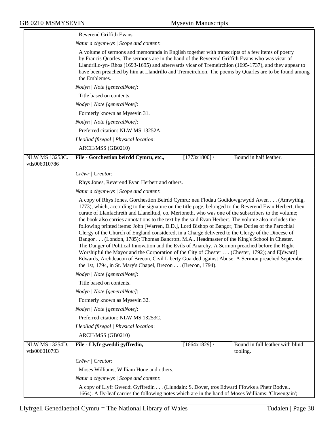|                                        | Reverend Griffith Evans.                                                                                                                                                                                                                                                                                                                                                                                                                                                                                                                                                                                                                                                                                                                                                                                                                                                                                                                                                                                                                                                                       |  |  |
|----------------------------------------|------------------------------------------------------------------------------------------------------------------------------------------------------------------------------------------------------------------------------------------------------------------------------------------------------------------------------------------------------------------------------------------------------------------------------------------------------------------------------------------------------------------------------------------------------------------------------------------------------------------------------------------------------------------------------------------------------------------------------------------------------------------------------------------------------------------------------------------------------------------------------------------------------------------------------------------------------------------------------------------------------------------------------------------------------------------------------------------------|--|--|
|                                        | Natur a chynnwys / Scope and content:                                                                                                                                                                                                                                                                                                                                                                                                                                                                                                                                                                                                                                                                                                                                                                                                                                                                                                                                                                                                                                                          |  |  |
|                                        | A volume of sermons and memoranda in English together with transcripts of a few items of poetry<br>by Francis Quarles. The sermons are in the hand of the Reverend Griffith Evans who was vicar of<br>Llandrillo-yn-Rhos (1693-1695) and afterwards vicar of Tremeirchion (1695-1737), and they appear to<br>have been preached by him at Llandrillo and Tremeirchion. The poems by Quarles are to be found among<br>the Emblemes.                                                                                                                                                                                                                                                                                                                                                                                                                                                                                                                                                                                                                                                             |  |  |
|                                        | Nodyn   Note [generalNote]:                                                                                                                                                                                                                                                                                                                                                                                                                                                                                                                                                                                                                                                                                                                                                                                                                                                                                                                                                                                                                                                                    |  |  |
|                                        | Title based on contents.                                                                                                                                                                                                                                                                                                                                                                                                                                                                                                                                                                                                                                                                                                                                                                                                                                                                                                                                                                                                                                                                       |  |  |
|                                        | Nodyn   Note [generalNote]:                                                                                                                                                                                                                                                                                                                                                                                                                                                                                                                                                                                                                                                                                                                                                                                                                                                                                                                                                                                                                                                                    |  |  |
|                                        | Formerly known as Mysevin 31.                                                                                                                                                                                                                                                                                                                                                                                                                                                                                                                                                                                                                                                                                                                                                                                                                                                                                                                                                                                                                                                                  |  |  |
|                                        | Nodyn   Note [generalNote]:                                                                                                                                                                                                                                                                                                                                                                                                                                                                                                                                                                                                                                                                                                                                                                                                                                                                                                                                                                                                                                                                    |  |  |
|                                        | Preferred citation: NLW MS 13252A.                                                                                                                                                                                                                                                                                                                                                                                                                                                                                                                                                                                                                                                                                                                                                                                                                                                                                                                                                                                                                                                             |  |  |
|                                        | Lleoliad ffisegol   Physical location:                                                                                                                                                                                                                                                                                                                                                                                                                                                                                                                                                                                                                                                                                                                                                                                                                                                                                                                                                                                                                                                         |  |  |
|                                        | ARCH/MSS (GB0210)                                                                                                                                                                                                                                                                                                                                                                                                                                                                                                                                                                                                                                                                                                                                                                                                                                                                                                                                                                                                                                                                              |  |  |
| <b>NLW MS 13253C.</b>                  | $[1773x1800]$ /<br>Bound in half leather.<br>File - Gorchestion beirdd Cymru, etc.,                                                                                                                                                                                                                                                                                                                                                                                                                                                                                                                                                                                                                                                                                                                                                                                                                                                                                                                                                                                                            |  |  |
| vtls006010786                          |                                                                                                                                                                                                                                                                                                                                                                                                                                                                                                                                                                                                                                                                                                                                                                                                                                                                                                                                                                                                                                                                                                |  |  |
|                                        | Crëwr   Creator:                                                                                                                                                                                                                                                                                                                                                                                                                                                                                                                                                                                                                                                                                                                                                                                                                                                                                                                                                                                                                                                                               |  |  |
|                                        | Rhys Jones, Reverend Evan Herbert and others.                                                                                                                                                                                                                                                                                                                                                                                                                                                                                                                                                                                                                                                                                                                                                                                                                                                                                                                                                                                                                                                  |  |  |
|                                        | Natur a chynnwys / Scope and content:                                                                                                                                                                                                                                                                                                                                                                                                                                                                                                                                                                                                                                                                                                                                                                                                                                                                                                                                                                                                                                                          |  |  |
|                                        | A copy of Rhys Jones, Gorchestion Beirdd Cymru: neu Flodau Godidowgrwydd Awen (Amwythig,<br>1773), which, according to the signature on the title page, belonged to the Reverend Evan Herbert, then<br>curate of Llanfachreth and Llanelltud, co. Merioneth, who was one of the subscribers to the volume;<br>the book also carries annotations to the text by the said Evan Herbert. The volume also includes the<br>following printed items: John [Warren, D.D.], Lord Bishop of Bangor, The Duties of the Parochial<br>Clergy of the Church of England considered, in a Charge delivered to the Clergy of the Diocese of<br>Bangor (London, 1785); Thomas Bancroft, M.A., Headmaster of the King's School in Chester.<br>The Danger of Political Innovation and the Evils of Anarchy. A Sermon preached before the Right<br>Worshipful the Mayor and the Corporation of the City of Chester (Chester, 1792); and E[dward]<br>Edwards, Archdeacon of Brecon, Civil Liberty Guarded against Abuse: A Sermon preached September<br>the 1st, 1794, in St. Mary's Chapel, Brecon (Brecon, 1794). |  |  |
|                                        | Nodyn   Note [generalNote]:                                                                                                                                                                                                                                                                                                                                                                                                                                                                                                                                                                                                                                                                                                                                                                                                                                                                                                                                                                                                                                                                    |  |  |
|                                        | Title based on contents.                                                                                                                                                                                                                                                                                                                                                                                                                                                                                                                                                                                                                                                                                                                                                                                                                                                                                                                                                                                                                                                                       |  |  |
|                                        | Nodyn   Note [generalNote]:                                                                                                                                                                                                                                                                                                                                                                                                                                                                                                                                                                                                                                                                                                                                                                                                                                                                                                                                                                                                                                                                    |  |  |
|                                        | Formerly known as Mysevin 32.                                                                                                                                                                                                                                                                                                                                                                                                                                                                                                                                                                                                                                                                                                                                                                                                                                                                                                                                                                                                                                                                  |  |  |
|                                        | Nodyn   Note [generalNote]:                                                                                                                                                                                                                                                                                                                                                                                                                                                                                                                                                                                                                                                                                                                                                                                                                                                                                                                                                                                                                                                                    |  |  |
|                                        | Preferred citation: NLW MS 13253C.                                                                                                                                                                                                                                                                                                                                                                                                                                                                                                                                                                                                                                                                                                                                                                                                                                                                                                                                                                                                                                                             |  |  |
|                                        | Lleoliad ffisegol   Physical location:                                                                                                                                                                                                                                                                                                                                                                                                                                                                                                                                                                                                                                                                                                                                                                                                                                                                                                                                                                                                                                                         |  |  |
|                                        | ARCH/MSS (GB0210)                                                                                                                                                                                                                                                                                                                                                                                                                                                                                                                                                                                                                                                                                                                                                                                                                                                                                                                                                                                                                                                                              |  |  |
| <b>NLW MS 13254D.</b><br>vtls006010793 | Bound in full leather with blind<br>File - Llyfr gweddi gyffredin,<br>$[1664x1829]$ /<br>tooling.                                                                                                                                                                                                                                                                                                                                                                                                                                                                                                                                                                                                                                                                                                                                                                                                                                                                                                                                                                                              |  |  |
|                                        | Crëwr   Creator:                                                                                                                                                                                                                                                                                                                                                                                                                                                                                                                                                                                                                                                                                                                                                                                                                                                                                                                                                                                                                                                                               |  |  |
|                                        | Moses Williams, William Hone and others.                                                                                                                                                                                                                                                                                                                                                                                                                                                                                                                                                                                                                                                                                                                                                                                                                                                                                                                                                                                                                                                       |  |  |
|                                        | Natur a chynnwys / Scope and content:                                                                                                                                                                                                                                                                                                                                                                                                                                                                                                                                                                                                                                                                                                                                                                                                                                                                                                                                                                                                                                                          |  |  |
|                                        | A copy of Llyfr Gweddi Gyffredin (Llundain: S. Dover, tros Edward Ffowks a Phetr Bodvel,<br>1664). A fly-leaf carries the following notes which are in the hand of Moses Williams: 'Chweugain';                                                                                                                                                                                                                                                                                                                                                                                                                                                                                                                                                                                                                                                                                                                                                                                                                                                                                                |  |  |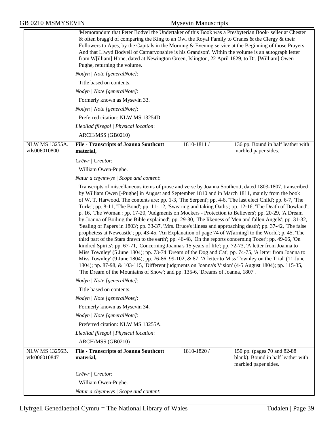|                                 | 'Memorandum that Peter Bodvel the Undertaker of this Book was a Presbyterian Book- seller at Chester<br>& often bragg'd of comparing the King to an Owl the Royal Family to Cranes & the Clergy & their<br>Followers to Apes, by the Capitals in the Morning & Evening service at the Beginning of those Prayers.<br>And that Llwyd Bodvell of Carnarvonshire is his Grandson'. Within the volume is an autograph letter<br>from W[illiam] Hone, dated at Newington Green, Islington, 22 April 1829, to Dr. [William] Owen<br>Pughe, returning the volume.<br>Nodyn   Note [generalNote]:<br>Title based on contents.                                                                                                                                                                                                                                                                                                                                                                                                                                                                                                                                                                                                                                                                                                                                                                                         |             |                                                                                            |
|---------------------------------|---------------------------------------------------------------------------------------------------------------------------------------------------------------------------------------------------------------------------------------------------------------------------------------------------------------------------------------------------------------------------------------------------------------------------------------------------------------------------------------------------------------------------------------------------------------------------------------------------------------------------------------------------------------------------------------------------------------------------------------------------------------------------------------------------------------------------------------------------------------------------------------------------------------------------------------------------------------------------------------------------------------------------------------------------------------------------------------------------------------------------------------------------------------------------------------------------------------------------------------------------------------------------------------------------------------------------------------------------------------------------------------------------------------|-------------|--------------------------------------------------------------------------------------------|
|                                 | Nodyn   Note [generalNote]:                                                                                                                                                                                                                                                                                                                                                                                                                                                                                                                                                                                                                                                                                                                                                                                                                                                                                                                                                                                                                                                                                                                                                                                                                                                                                                                                                                                   |             |                                                                                            |
|                                 | Formerly known as Mysevin 33.                                                                                                                                                                                                                                                                                                                                                                                                                                                                                                                                                                                                                                                                                                                                                                                                                                                                                                                                                                                                                                                                                                                                                                                                                                                                                                                                                                                 |             |                                                                                            |
|                                 | Nodyn   Note [generalNote]:                                                                                                                                                                                                                                                                                                                                                                                                                                                                                                                                                                                                                                                                                                                                                                                                                                                                                                                                                                                                                                                                                                                                                                                                                                                                                                                                                                                   |             |                                                                                            |
|                                 | Preferred citation: NLW MS 13254D.                                                                                                                                                                                                                                                                                                                                                                                                                                                                                                                                                                                                                                                                                                                                                                                                                                                                                                                                                                                                                                                                                                                                                                                                                                                                                                                                                                            |             |                                                                                            |
|                                 | Lleoliad ffisegol   Physical location:                                                                                                                                                                                                                                                                                                                                                                                                                                                                                                                                                                                                                                                                                                                                                                                                                                                                                                                                                                                                                                                                                                                                                                                                                                                                                                                                                                        |             |                                                                                            |
|                                 | ARCH/MSS (GB0210)                                                                                                                                                                                                                                                                                                                                                                                                                                                                                                                                                                                                                                                                                                                                                                                                                                                                                                                                                                                                                                                                                                                                                                                                                                                                                                                                                                                             |             |                                                                                            |
| NLW MS 13255A.<br>vtls006010800 | <b>File - Transcripts of Joanna Southcott</b><br>material,                                                                                                                                                                                                                                                                                                                                                                                                                                                                                                                                                                                                                                                                                                                                                                                                                                                                                                                                                                                                                                                                                                                                                                                                                                                                                                                                                    | 1810-1811 / | 136 pp. Bound in half leather with<br>marbled paper sides.                                 |
|                                 | Crëwr   Creator:                                                                                                                                                                                                                                                                                                                                                                                                                                                                                                                                                                                                                                                                                                                                                                                                                                                                                                                                                                                                                                                                                                                                                                                                                                                                                                                                                                                              |             |                                                                                            |
|                                 | William Owen-Pughe.                                                                                                                                                                                                                                                                                                                                                                                                                                                                                                                                                                                                                                                                                                                                                                                                                                                                                                                                                                                                                                                                                                                                                                                                                                                                                                                                                                                           |             |                                                                                            |
|                                 | Natur a chynnwys / Scope and content:                                                                                                                                                                                                                                                                                                                                                                                                                                                                                                                                                                                                                                                                                                                                                                                                                                                                                                                                                                                                                                                                                                                                                                                                                                                                                                                                                                         |             |                                                                                            |
|                                 | by William Owen [-Pughe] in August and September 1810 and in March 1811, mainly from the book<br>of W. T. Harwood. The contents are: pp. 1-3, 'The Serpent'; pp. 4-6, 'The last elect Child'; pp. 6-7, 'The<br>Turks'; pp. 8-11, 'The Bond'; pp. 11-12, 'Swearing and taking Oaths'; pp. 12-16, 'The Death of Dowland';<br>p. 16, 'The Woman': pp. 17-20, 'Judgments on Mockers - Protection to Believers'; pp. 20-29, 'A Dream<br>by Joanna of Boiling the Bible explained'; pp. 29-30, 'The likeness of Men and fallen Angels'; pp. 31-32,<br>'Sealing of Papers in 1803'; pp. 33-37, 'Mrs. Bruce's illness and approaching death'; pp. 37-42, 'The false<br>prophetess at Newcastle'; pp. 43-45, 'An Explanation of page 74 of W[arning] to the World'; p. 45, 'The<br>third part of the Stars drawn to the earth'; pp. 46-48, 'On the reports concerning Tozer'; pp. 49-66, 'On<br>kindred Spirits'; pp. 67-71, 'Concerning Joanna's 15 years of life'; pp. 72-73, 'A letter from Joanna to<br>Miss Townley' (5 June 1804); pp. 73-74 'Dream of the Dog and Cat'; pp. 74-75, 'A letter from Joanna to<br>Miss Townley' (9 June 1804); pp. 76-86, 99-102, & 87, 'A letter to Miss Townley on the Trial' (11 June<br>1804); pp. 87-98, & 103-115, 'Different judgments on Joanna's Vision' (4-5 August 1804); pp. 115-35,<br>'The Dream of the Mountains of Snow'; and pp. 135-6, 'Dreams of Joanna, 1807'. |             |                                                                                            |
|                                 | Nodyn   Note [generalNote]:                                                                                                                                                                                                                                                                                                                                                                                                                                                                                                                                                                                                                                                                                                                                                                                                                                                                                                                                                                                                                                                                                                                                                                                                                                                                                                                                                                                   |             |                                                                                            |
|                                 | Title based on contents.                                                                                                                                                                                                                                                                                                                                                                                                                                                                                                                                                                                                                                                                                                                                                                                                                                                                                                                                                                                                                                                                                                                                                                                                                                                                                                                                                                                      |             |                                                                                            |
|                                 | Nodyn   Note [generalNote]:                                                                                                                                                                                                                                                                                                                                                                                                                                                                                                                                                                                                                                                                                                                                                                                                                                                                                                                                                                                                                                                                                                                                                                                                                                                                                                                                                                                   |             |                                                                                            |
|                                 | Formerly known as Mysevin 34.                                                                                                                                                                                                                                                                                                                                                                                                                                                                                                                                                                                                                                                                                                                                                                                                                                                                                                                                                                                                                                                                                                                                                                                                                                                                                                                                                                                 |             |                                                                                            |
|                                 | Nodyn   Note [generalNote]:                                                                                                                                                                                                                                                                                                                                                                                                                                                                                                                                                                                                                                                                                                                                                                                                                                                                                                                                                                                                                                                                                                                                                                                                                                                                                                                                                                                   |             |                                                                                            |
|                                 | Preferred citation: NLW MS 13255A.                                                                                                                                                                                                                                                                                                                                                                                                                                                                                                                                                                                                                                                                                                                                                                                                                                                                                                                                                                                                                                                                                                                                                                                                                                                                                                                                                                            |             |                                                                                            |
|                                 | Lleoliad ffisegol   Physical location:                                                                                                                                                                                                                                                                                                                                                                                                                                                                                                                                                                                                                                                                                                                                                                                                                                                                                                                                                                                                                                                                                                                                                                                                                                                                                                                                                                        |             |                                                                                            |
|                                 | ARCH/MSS (GB0210)                                                                                                                                                                                                                                                                                                                                                                                                                                                                                                                                                                                                                                                                                                                                                                                                                                                                                                                                                                                                                                                                                                                                                                                                                                                                                                                                                                                             |             |                                                                                            |
| NLW MS 13256B.<br>vtls006010847 | <b>File - Transcripts of Joanna Southcott</b><br>material,                                                                                                                                                                                                                                                                                                                                                                                                                                                                                                                                                                                                                                                                                                                                                                                                                                                                                                                                                                                                                                                                                                                                                                                                                                                                                                                                                    | 1810-1820 / | 150 pp. (pages 70 and 82-88)<br>blank). Bound in half leather with<br>marbled paper sides. |
|                                 | Crëwr   Creator:                                                                                                                                                                                                                                                                                                                                                                                                                                                                                                                                                                                                                                                                                                                                                                                                                                                                                                                                                                                                                                                                                                                                                                                                                                                                                                                                                                                              |             |                                                                                            |
|                                 | William Owen-Pughe.                                                                                                                                                                                                                                                                                                                                                                                                                                                                                                                                                                                                                                                                                                                                                                                                                                                                                                                                                                                                                                                                                                                                                                                                                                                                                                                                                                                           |             |                                                                                            |
|                                 | Natur a chynnwys / Scope and content:                                                                                                                                                                                                                                                                                                                                                                                                                                                                                                                                                                                                                                                                                                                                                                                                                                                                                                                                                                                                                                                                                                                                                                                                                                                                                                                                                                         |             |                                                                                            |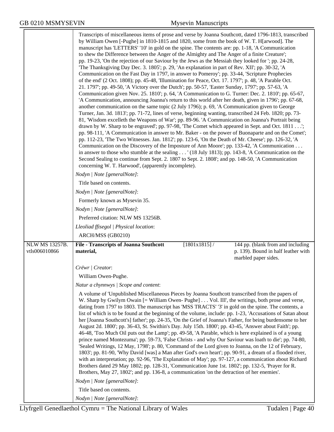$\overline{\phantom{0}}$ 

|                                        | Transcripts of miscellaneous items of prose and verse by Joanna Southcott, dated 1796-1813, transcribed<br>by William Owen [-Pughe] in 1810-1815 and 1820, some from the book of W. T. H[arwood]. The<br>manuscript has 'LETTERS' '10' in gold on the spine. The contents are: pp. 1-18, 'A Communication<br>to shew the Difference between the Anger of the Almighty and The Anger of a finite Creature';<br>pp. 19-23, 'On the rejection of our Saviour by the Jews as the Messiah they looked for '; pp. 24-28,<br>The Thanksgiving Day Dec. 3. 1805'; p. 29, 'An explanation in part of Rev. XII'; pp. 30-32, 'A<br>Communication on the Fast Day in 1797, in answer to Pomeroy'; pp. 33-44, 'Scripture Prophecies<br>of the end' (2 Oct. 1808); pp. 45-48, 'Illumination for Peace, Oct. 17. 1797'; p. 48, 'A Parable Oct.<br>21. 1797'; pp. 49-50, 'A Victory over the Dutch'; pp. 50-57, 'Easter Sunday, 1797'; pp. 57-63, 'A<br>Communication given Nov. 25. 1810'; p. 64, 'A Communication to G. Turner: Dec. 2. 1810'; pp. 65-67,<br>'A Communication, announcing Joanna's return to this world after her death, given in 1796'; pp. 67-68,<br>another communication on the same topic (2 July 1796); p. 69, 'A Communication given to George<br>Turner, Jan. 3d. 1813'; pp. 71-72, lines of verse, beginning wanting, transcribed 24 Feb. 1820; pp. 73-<br>81, 'Wisdom excelleth the Weapons of War'; pp. 89-96. 'A Communication on Joanna's Portrait being<br>drawn by W. Sharp to be engraved'; pp. 97-98, 'The Comet which appeared in Sept. and Oct. 1811';<br>pp. 98-111, 'A Communication in answer to Mr. Baker - on the power of Buonaparte and on the Comet';<br>pp. 112-23, 'The Two Witnesses. Jan. 1812'; pp. 123-6, 'On the Death of Mr. Cheese'; pp. 126-32, 'A<br>Communication on the Discovery of the Imposture of Ann Moore'; pp. 133-42, 'A Communication<br>in answer to those who stumble at the sealing ' (18 July 1813); pp. 143-8, 'A Communication on the<br>Second Sealing to continue from Sept. 2. 1807 to Sept. 2. 1808'; and pp. 148-50, 'A Communication<br>concerning W. T. Harwood', (apparently incomplete). |                                                                                                  |
|----------------------------------------|------------------------------------------------------------------------------------------------------------------------------------------------------------------------------------------------------------------------------------------------------------------------------------------------------------------------------------------------------------------------------------------------------------------------------------------------------------------------------------------------------------------------------------------------------------------------------------------------------------------------------------------------------------------------------------------------------------------------------------------------------------------------------------------------------------------------------------------------------------------------------------------------------------------------------------------------------------------------------------------------------------------------------------------------------------------------------------------------------------------------------------------------------------------------------------------------------------------------------------------------------------------------------------------------------------------------------------------------------------------------------------------------------------------------------------------------------------------------------------------------------------------------------------------------------------------------------------------------------------------------------------------------------------------------------------------------------------------------------------------------------------------------------------------------------------------------------------------------------------------------------------------------------------------------------------------------------------------------------------------------------------------------------------------------------------------------------------------------------------------------------------------------------------|--------------------------------------------------------------------------------------------------|
|                                        | Nodyn   Note [generalNote]:                                                                                                                                                                                                                                                                                                                                                                                                                                                                                                                                                                                                                                                                                                                                                                                                                                                                                                                                                                                                                                                                                                                                                                                                                                                                                                                                                                                                                                                                                                                                                                                                                                                                                                                                                                                                                                                                                                                                                                                                                                                                                                                                |                                                                                                  |
|                                        | Title based on contents.                                                                                                                                                                                                                                                                                                                                                                                                                                                                                                                                                                                                                                                                                                                                                                                                                                                                                                                                                                                                                                                                                                                                                                                                                                                                                                                                                                                                                                                                                                                                                                                                                                                                                                                                                                                                                                                                                                                                                                                                                                                                                                                                   |                                                                                                  |
|                                        | Nodyn   Note [generalNote]:                                                                                                                                                                                                                                                                                                                                                                                                                                                                                                                                                                                                                                                                                                                                                                                                                                                                                                                                                                                                                                                                                                                                                                                                                                                                                                                                                                                                                                                                                                                                                                                                                                                                                                                                                                                                                                                                                                                                                                                                                                                                                                                                |                                                                                                  |
|                                        | Formerly known as Mysevin 35.                                                                                                                                                                                                                                                                                                                                                                                                                                                                                                                                                                                                                                                                                                                                                                                                                                                                                                                                                                                                                                                                                                                                                                                                                                                                                                                                                                                                                                                                                                                                                                                                                                                                                                                                                                                                                                                                                                                                                                                                                                                                                                                              |                                                                                                  |
|                                        | Nodyn   Note [generalNote]:                                                                                                                                                                                                                                                                                                                                                                                                                                                                                                                                                                                                                                                                                                                                                                                                                                                                                                                                                                                                                                                                                                                                                                                                                                                                                                                                                                                                                                                                                                                                                                                                                                                                                                                                                                                                                                                                                                                                                                                                                                                                                                                                |                                                                                                  |
|                                        | Preferred citation: NLW MS 13256B.                                                                                                                                                                                                                                                                                                                                                                                                                                                                                                                                                                                                                                                                                                                                                                                                                                                                                                                                                                                                                                                                                                                                                                                                                                                                                                                                                                                                                                                                                                                                                                                                                                                                                                                                                                                                                                                                                                                                                                                                                                                                                                                         |                                                                                                  |
|                                        | Lleoliad ffisegol   Physical location:                                                                                                                                                                                                                                                                                                                                                                                                                                                                                                                                                                                                                                                                                                                                                                                                                                                                                                                                                                                                                                                                                                                                                                                                                                                                                                                                                                                                                                                                                                                                                                                                                                                                                                                                                                                                                                                                                                                                                                                                                                                                                                                     |                                                                                                  |
|                                        | ARCH/MSS (GB0210)                                                                                                                                                                                                                                                                                                                                                                                                                                                                                                                                                                                                                                                                                                                                                                                                                                                                                                                                                                                                                                                                                                                                                                                                                                                                                                                                                                                                                                                                                                                                                                                                                                                                                                                                                                                                                                                                                                                                                                                                                                                                                                                                          |                                                                                                  |
| <b>NLW MS 13257B.</b><br>vtls006010866 | $[1801x1815]$ /<br><b>File - Transcripts of Joanna Southcott</b><br>material,                                                                                                                                                                                                                                                                                                                                                                                                                                                                                                                                                                                                                                                                                                                                                                                                                                                                                                                                                                                                                                                                                                                                                                                                                                                                                                                                                                                                                                                                                                                                                                                                                                                                                                                                                                                                                                                                                                                                                                                                                                                                              | 144 pp. (blank from and including<br>p. 139). Bound in half leather with<br>marbled paper sides. |
|                                        | Crëwr   Creator:                                                                                                                                                                                                                                                                                                                                                                                                                                                                                                                                                                                                                                                                                                                                                                                                                                                                                                                                                                                                                                                                                                                                                                                                                                                                                                                                                                                                                                                                                                                                                                                                                                                                                                                                                                                                                                                                                                                                                                                                                                                                                                                                           |                                                                                                  |
|                                        | William Owen-Pughe.                                                                                                                                                                                                                                                                                                                                                                                                                                                                                                                                                                                                                                                                                                                                                                                                                                                                                                                                                                                                                                                                                                                                                                                                                                                                                                                                                                                                                                                                                                                                                                                                                                                                                                                                                                                                                                                                                                                                                                                                                                                                                                                                        |                                                                                                  |
|                                        | Natur a chynnwys / Scope and content:                                                                                                                                                                                                                                                                                                                                                                                                                                                                                                                                                                                                                                                                                                                                                                                                                                                                                                                                                                                                                                                                                                                                                                                                                                                                                                                                                                                                                                                                                                                                                                                                                                                                                                                                                                                                                                                                                                                                                                                                                                                                                                                      |                                                                                                  |
|                                        | A volume of 'Unpublished Miscellaneous Pieces by Joanna Southcott transcribed from the papers of<br>W. Sharp by Gwilym Owain [= William Owen- Pughe] Vol. III', the writings, both prose and verse,<br>dating from 1797 to 1803. The manuscript has 'MSS TRACTS' '3' in gold on the spine. The contents, a<br>list of which is to be found at the beginning of the volume, include: pp. 1-23, 'Accusations of Satan about<br>her [Joanna Southcott's] father'; pp. 24-35, 'On the Grief of Joanna's Father, for being burdensome to her<br>August 2d. 1800'; pp. 36-43, St. Swithin's Day. July 15th. 1800'; pp. 43-45, 'Answer about Faith'; pp.<br>46-48, 'Too Much Oil puts out the Lamp'; pp. 49-58, 'A Parable, which is here explained is of a young<br>prince named Montezuma'; pp. 59-73, 'False Christs - and why Our Saviour was loath to die'; pp. 74-80,<br>'Sealed Writings, 12 May, 1798'; p. 80, 'Command of the Lord given to Joanna, on the 12 of February,<br>1803'; pp. 81-90, 'Why David [was] a Man after God's own heart'; pp. 90-91, a dream of a flooded river,<br>with an interpretation; pp. 92-96, 'The Explanation of May'; pp. 97-127, a communication about Richard<br>Brothers dated 29 May 1802; pp. 128-31, 'Communication June 1st. 1802'; pp. 132-5, 'Prayer for R.<br>Brothers, May 27, 1802'; and pp. 136-8, a communication 'on the detraction of her enemies'.<br>Nodyn   Note [generalNote]:                                                                                                                                                                                                                                                                                                                                                                                                                                                                                                                                                                                                                                                                                                                       |                                                                                                  |
|                                        | Title based on contents.                                                                                                                                                                                                                                                                                                                                                                                                                                                                                                                                                                                                                                                                                                                                                                                                                                                                                                                                                                                                                                                                                                                                                                                                                                                                                                                                                                                                                                                                                                                                                                                                                                                                                                                                                                                                                                                                                                                                                                                                                                                                                                                                   |                                                                                                  |
|                                        | Nodyn   Note [generalNote]:                                                                                                                                                                                                                                                                                                                                                                                                                                                                                                                                                                                                                                                                                                                                                                                                                                                                                                                                                                                                                                                                                                                                                                                                                                                                                                                                                                                                                                                                                                                                                                                                                                                                                                                                                                                                                                                                                                                                                                                                                                                                                                                                |                                                                                                  |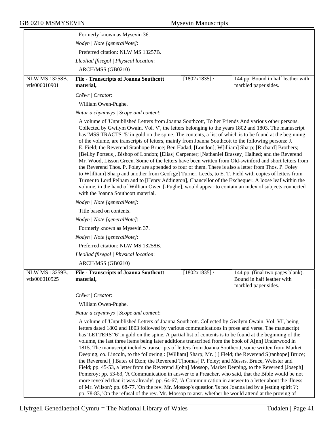|                                       | Formerly known as Mysevin 36.                                                                                                                                                                                                                                                                                                                                                                                                                                                                                                                                                                                                                                                                                                                                                                                                                                                                                                                                                                                                                                                                                                                                                                                                                                                                                                                                                         |                 |                                                                                        |
|---------------------------------------|---------------------------------------------------------------------------------------------------------------------------------------------------------------------------------------------------------------------------------------------------------------------------------------------------------------------------------------------------------------------------------------------------------------------------------------------------------------------------------------------------------------------------------------------------------------------------------------------------------------------------------------------------------------------------------------------------------------------------------------------------------------------------------------------------------------------------------------------------------------------------------------------------------------------------------------------------------------------------------------------------------------------------------------------------------------------------------------------------------------------------------------------------------------------------------------------------------------------------------------------------------------------------------------------------------------------------------------------------------------------------------------|-----------------|----------------------------------------------------------------------------------------|
|                                       | Nodyn   Note [generalNote]:                                                                                                                                                                                                                                                                                                                                                                                                                                                                                                                                                                                                                                                                                                                                                                                                                                                                                                                                                                                                                                                                                                                                                                                                                                                                                                                                                           |                 |                                                                                        |
|                                       | Preferred citation: NLW MS 13257B.                                                                                                                                                                                                                                                                                                                                                                                                                                                                                                                                                                                                                                                                                                                                                                                                                                                                                                                                                                                                                                                                                                                                                                                                                                                                                                                                                    |                 |                                                                                        |
|                                       | Lleoliad ffisegol   Physical location:                                                                                                                                                                                                                                                                                                                                                                                                                                                                                                                                                                                                                                                                                                                                                                                                                                                                                                                                                                                                                                                                                                                                                                                                                                                                                                                                                |                 |                                                                                        |
|                                       | ARCH/MSS (GB0210)                                                                                                                                                                                                                                                                                                                                                                                                                                                                                                                                                                                                                                                                                                                                                                                                                                                                                                                                                                                                                                                                                                                                                                                                                                                                                                                                                                     |                 |                                                                                        |
| NLW MS 13258B.                        | <b>File - Transcripts of Joanna Southcott</b>                                                                                                                                                                                                                                                                                                                                                                                                                                                                                                                                                                                                                                                                                                                                                                                                                                                                                                                                                                                                                                                                                                                                                                                                                                                                                                                                         | $[1802x1835]$ / | 144 pp. Bound in half leather with                                                     |
| vtls006010901                         | material,                                                                                                                                                                                                                                                                                                                                                                                                                                                                                                                                                                                                                                                                                                                                                                                                                                                                                                                                                                                                                                                                                                                                                                                                                                                                                                                                                                             |                 | marbled paper sides.                                                                   |
|                                       | Crëwr   Creator:                                                                                                                                                                                                                                                                                                                                                                                                                                                                                                                                                                                                                                                                                                                                                                                                                                                                                                                                                                                                                                                                                                                                                                                                                                                                                                                                                                      |                 |                                                                                        |
|                                       | William Owen-Pughe.                                                                                                                                                                                                                                                                                                                                                                                                                                                                                                                                                                                                                                                                                                                                                                                                                                                                                                                                                                                                                                                                                                                                                                                                                                                                                                                                                                   |                 |                                                                                        |
|                                       | Natur a chynnwys / Scope and content:                                                                                                                                                                                                                                                                                                                                                                                                                                                                                                                                                                                                                                                                                                                                                                                                                                                                                                                                                                                                                                                                                                                                                                                                                                                                                                                                                 |                 |                                                                                        |
|                                       | A volume of 'Unpublished Letters from Joanna Southcott, To her Friends And various other persons.<br>Collected by Gwilym Owain. Vol. V', the letters belonging to the years 1802 and 1803. The manuscript<br>has 'MSS TRACTS' '5' in gold on the spine. The contents, a list of which is to be found at the beginning<br>of the volume, are transcripts of letters, mainly from Joanna Southcott to the following persons: J.<br>E. Field; the Reverend Stanhope Bruce; Ben Hadad, [London]; W[illiam] Sharp; [Richard] Brothers;<br>[Beilby Porteus], Bishop of London; [Elias] Carpenter; [Nathaniel Brassey] Halhed; and the Reverend<br>Mr. Wood, Lisson Green. Some of the letters have been written from Old-swinford and short letters from<br>the Reverend Thos. P. Foley are appended to four of them. There is also a letter from Thos. P. Foley<br>to W[illiam] Sharp and another from Geo[rge] Turner, Leeds, to E. T. Field with copies of letters from<br>Turner to Lord Pelham and to [Henry Addington], Chancellor of the Exchequer. A loose leaf within the<br>volume, in the hand of William Owen [-Pughe], would appear to contain an index of subjects connected<br>with the Joanna Southcott material.<br>Nodyn   Note [generalNote]:<br>Title based on contents.<br>Nodyn   Note [generalNote]:<br>Formerly known as Mysevin 37.<br>Nodyn   Note [generalNote]: |                 |                                                                                        |
|                                       | Preferred citation: NLW MS 13258B.                                                                                                                                                                                                                                                                                                                                                                                                                                                                                                                                                                                                                                                                                                                                                                                                                                                                                                                                                                                                                                                                                                                                                                                                                                                                                                                                                    |                 |                                                                                        |
|                                       | Lleoliad ffisegol   Physical location:                                                                                                                                                                                                                                                                                                                                                                                                                                                                                                                                                                                                                                                                                                                                                                                                                                                                                                                                                                                                                                                                                                                                                                                                                                                                                                                                                |                 |                                                                                        |
|                                       | ARCH/MSS (GB0210)                                                                                                                                                                                                                                                                                                                                                                                                                                                                                                                                                                                                                                                                                                                                                                                                                                                                                                                                                                                                                                                                                                                                                                                                                                                                                                                                                                     |                 |                                                                                        |
| <b>NLW MS 13259B</b><br>vtls006010925 | <b>File - Transcripts of Joanna Southcott</b><br>material,                                                                                                                                                                                                                                                                                                                                                                                                                                                                                                                                                                                                                                                                                                                                                                                                                                                                                                                                                                                                                                                                                                                                                                                                                                                                                                                            | $[1802x1835]$ / | 144 pp. (final two pages blank).<br>Bound in half leather with<br>marbled paper sides. |
|                                       | Crëwr   Creator:                                                                                                                                                                                                                                                                                                                                                                                                                                                                                                                                                                                                                                                                                                                                                                                                                                                                                                                                                                                                                                                                                                                                                                                                                                                                                                                                                                      |                 |                                                                                        |
|                                       | William Owen-Pughe.                                                                                                                                                                                                                                                                                                                                                                                                                                                                                                                                                                                                                                                                                                                                                                                                                                                                                                                                                                                                                                                                                                                                                                                                                                                                                                                                                                   |                 |                                                                                        |
|                                       | Natur a chynnwys / Scope and content:                                                                                                                                                                                                                                                                                                                                                                                                                                                                                                                                                                                                                                                                                                                                                                                                                                                                                                                                                                                                                                                                                                                                                                                                                                                                                                                                                 |                 |                                                                                        |
|                                       | A volume of 'Unpublished Letters of Joanna Southcott. Collected by Gwilym Owain. Vol. VI', being<br>letters dated 1802 and 1803 followed by various communications in prose and verse. The manuscript<br>has 'LETTERS' '6' in gold on the spine. A partial list of contents is to be found at the beginning of the<br>volume, the last three items being later additions transcribed from the book of A[nn] Underwood in<br>1815. The manuscript includes transcripts of letters from Joanna Southcott, some written from Market<br>Deeping, co. Lincoln, to the following : [William] Sharp; Mr. [ ] Field; the Reverend S[tanhope] Bruce;<br>the Reverend [] Bates of Eton; the Reverend T[homas] P. Foley; and Messrs. Bruce, Webster and<br>Field; pp. 45-53, a letter from the Reverend J[ohn] Mossop, Market Deeping, to the Reverend [Joseph]<br>Pomeroy; pp. 53-63, 'A Communication in answer to a Preacher, who said, that the Bible would be not<br>more revealed than it was already'; pp. 64-67, 'A Communication in answer to a letter about the illness<br>of Mr. Wilson'; pp. 68-77, 'On the rev. Mr. Mossop's question 'Is not Joanna led by a jesting spirit ?';<br>pp. 78-83, 'On the refusal of the rev. Mr. Mossop to ansr. whether he would attend at the proving of                                                                                            |                 |                                                                                        |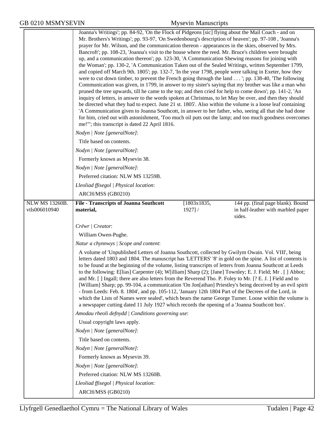|                                 | Joanna's Writings'; pp. 84-92, 'On the Flock of Pidgeons [sic] flying about the Mail Coach - and on<br>Mr. Brothers's Writings'; pp. 93-97, 'On Swedenbourg's description of heaven'; pp. 97-108, 'Joanna's<br>prayer for Mr. Wilson, and the communication thereon - appearances in the skies, observed by Mrs.<br>Bancroft'; pp. 108-23, 'Joanna's visit to the house where the reed. Mr. Bruce's children were brought<br>up, and a communication thereon'; pp. 123-30, 'A Communication Shewing reasons for joining with<br>the Woman'; pp. 130-2, 'A Communication Taken out of the Sealed Writings, written September 1799,<br>and copied off March 9th. 1805'; pp. 132-7, 'In the year 1798, people were talking in Exeter, how they<br>were to cut down timber, to prevent the French going through the land '; pp. 138-40, 'The following<br>Communication was given, in 1799, in answer to my sister's saying that my brother was like a man who<br>pruned the tree upwards, till he came to the top; and then cried for help to come down'; pp. 141-2, 'An<br>inquiry of letters, in answer to the words spoken at Christmas, to let May be over, and then they should<br>be directed what they had to expect. June 21 st. 1805'. Also within the volume is a loose leaf containing<br>'A Communication given to Joanna Southcott, in answer to her father, who, seeing all that she had done<br>for him, cried out with astonishment, 'Too much oil puts out the lamp; and too much goodness overcomes<br>me!"'; this transcript is dated 22 April 1816. |                           |                                                                                   |
|---------------------------------|----------------------------------------------------------------------------------------------------------------------------------------------------------------------------------------------------------------------------------------------------------------------------------------------------------------------------------------------------------------------------------------------------------------------------------------------------------------------------------------------------------------------------------------------------------------------------------------------------------------------------------------------------------------------------------------------------------------------------------------------------------------------------------------------------------------------------------------------------------------------------------------------------------------------------------------------------------------------------------------------------------------------------------------------------------------------------------------------------------------------------------------------------------------------------------------------------------------------------------------------------------------------------------------------------------------------------------------------------------------------------------------------------------------------------------------------------------------------------------------------------------------------------------------------------------------------|---------------------------|-----------------------------------------------------------------------------------|
|                                 | Nodyn   Note [generalNote]:                                                                                                                                                                                                                                                                                                                                                                                                                                                                                                                                                                                                                                                                                                                                                                                                                                                                                                                                                                                                                                                                                                                                                                                                                                                                                                                                                                                                                                                                                                                                          |                           |                                                                                   |
|                                 | Title based on contents.                                                                                                                                                                                                                                                                                                                                                                                                                                                                                                                                                                                                                                                                                                                                                                                                                                                                                                                                                                                                                                                                                                                                                                                                                                                                                                                                                                                                                                                                                                                                             |                           |                                                                                   |
|                                 | Nodyn   Note [generalNote]:                                                                                                                                                                                                                                                                                                                                                                                                                                                                                                                                                                                                                                                                                                                                                                                                                                                                                                                                                                                                                                                                                                                                                                                                                                                                                                                                                                                                                                                                                                                                          |                           |                                                                                   |
|                                 | Formerly known as Mysevin 38.                                                                                                                                                                                                                                                                                                                                                                                                                                                                                                                                                                                                                                                                                                                                                                                                                                                                                                                                                                                                                                                                                                                                                                                                                                                                                                                                                                                                                                                                                                                                        |                           |                                                                                   |
|                                 | Nodyn   Note [generalNote]:                                                                                                                                                                                                                                                                                                                                                                                                                                                                                                                                                                                                                                                                                                                                                                                                                                                                                                                                                                                                                                                                                                                                                                                                                                                                                                                                                                                                                                                                                                                                          |                           |                                                                                   |
|                                 | Preferred citation: NLW MS 13259B.                                                                                                                                                                                                                                                                                                                                                                                                                                                                                                                                                                                                                                                                                                                                                                                                                                                                                                                                                                                                                                                                                                                                                                                                                                                                                                                                                                                                                                                                                                                                   |                           |                                                                                   |
|                                 | Lleoliad ffisegol   Physical location:                                                                                                                                                                                                                                                                                                                                                                                                                                                                                                                                                                                                                                                                                                                                                                                                                                                                                                                                                                                                                                                                                                                                                                                                                                                                                                                                                                                                                                                                                                                               |                           |                                                                                   |
|                                 | ARCH/MSS (GB0210)                                                                                                                                                                                                                                                                                                                                                                                                                                                                                                                                                                                                                                                                                                                                                                                                                                                                                                                                                                                                                                                                                                                                                                                                                                                                                                                                                                                                                                                                                                                                                    |                           |                                                                                   |
| NLW MS 13260B.<br>vtls006010940 | <b>File - Transcripts of Joanna Southcott</b><br>material,                                                                                                                                                                                                                                                                                                                                                                                                                                                                                                                                                                                                                                                                                                                                                                                                                                                                                                                                                                                                                                                                                                                                                                                                                                                                                                                                                                                                                                                                                                           | [1803x1835,<br>$1927$ ] / | 144 pp. (final page blank). Bound<br>in half-leather with marbled paper<br>sides. |
|                                 | Crëwr   Creator:                                                                                                                                                                                                                                                                                                                                                                                                                                                                                                                                                                                                                                                                                                                                                                                                                                                                                                                                                                                                                                                                                                                                                                                                                                                                                                                                                                                                                                                                                                                                                     |                           |                                                                                   |
|                                 | William Owen-Pughe.                                                                                                                                                                                                                                                                                                                                                                                                                                                                                                                                                                                                                                                                                                                                                                                                                                                                                                                                                                                                                                                                                                                                                                                                                                                                                                                                                                                                                                                                                                                                                  |                           |                                                                                   |
|                                 | Natur a chynnwys / Scope and content:                                                                                                                                                                                                                                                                                                                                                                                                                                                                                                                                                                                                                                                                                                                                                                                                                                                                                                                                                                                                                                                                                                                                                                                                                                                                                                                                                                                                                                                                                                                                |                           |                                                                                   |
|                                 | A volume of 'Unpublished Letters of Joanna Southcott, collected by Gwilym Owain. Vol. VIII', being<br>letters dated 1803 and 1804. The manuscript has 'LETTERS' '8' in gold on the spine. A list of contents is<br>to be found at the beginning of the volume, listing transcripts of letters from Joanna Southcott at Leeds<br>to the following: E[lias] Carpenter (4); W[illiam] Sharp (2); [Jane] Townley; E. J. Field; Mr. [] Abbot;<br>and Mr. [] Ingall; there are also letters from the Reverend Tho. P. Foley to Mr. [? E. J. ] Field and to<br>[William] Sharp; pp. 99-104, a communication 'On Jon[athan] Priestley's being deceived by an evil spirit<br>- from Leeds: Feb. 8. 1804', and pp. 105-112, 'January 12th 1804 Part of the Decrees of the Lord, in<br>which the Lists of Names were sealed', which bears the name George Turner. Loose within the volume is<br>a newspaper cutting dated 11 July 1927 which records the opening of a 'Joanna Southcott box'.                                                                                                                                                                                                                                                                                                                                                                                                                                                                                                                                                                                   |                           |                                                                                   |
|                                 | Amodau rheoli defnydd   Conditions governing use:                                                                                                                                                                                                                                                                                                                                                                                                                                                                                                                                                                                                                                                                                                                                                                                                                                                                                                                                                                                                                                                                                                                                                                                                                                                                                                                                                                                                                                                                                                                    |                           |                                                                                   |
|                                 | Usual copyright laws apply.                                                                                                                                                                                                                                                                                                                                                                                                                                                                                                                                                                                                                                                                                                                                                                                                                                                                                                                                                                                                                                                                                                                                                                                                                                                                                                                                                                                                                                                                                                                                          |                           |                                                                                   |
|                                 | Nodyn   Note [generalNote]:                                                                                                                                                                                                                                                                                                                                                                                                                                                                                                                                                                                                                                                                                                                                                                                                                                                                                                                                                                                                                                                                                                                                                                                                                                                                                                                                                                                                                                                                                                                                          |                           |                                                                                   |
|                                 | Title based on contents.                                                                                                                                                                                                                                                                                                                                                                                                                                                                                                                                                                                                                                                                                                                                                                                                                                                                                                                                                                                                                                                                                                                                                                                                                                                                                                                                                                                                                                                                                                                                             |                           |                                                                                   |
|                                 | Nodyn   Note [generalNote]:                                                                                                                                                                                                                                                                                                                                                                                                                                                                                                                                                                                                                                                                                                                                                                                                                                                                                                                                                                                                                                                                                                                                                                                                                                                                                                                                                                                                                                                                                                                                          |                           |                                                                                   |
|                                 | Formerly known as Mysevin 39.                                                                                                                                                                                                                                                                                                                                                                                                                                                                                                                                                                                                                                                                                                                                                                                                                                                                                                                                                                                                                                                                                                                                                                                                                                                                                                                                                                                                                                                                                                                                        |                           |                                                                                   |
|                                 | Nodyn   Note [generalNote]:                                                                                                                                                                                                                                                                                                                                                                                                                                                                                                                                                                                                                                                                                                                                                                                                                                                                                                                                                                                                                                                                                                                                                                                                                                                                                                                                                                                                                                                                                                                                          |                           |                                                                                   |
|                                 | Preferred citation: NLW MS 13260B.                                                                                                                                                                                                                                                                                                                                                                                                                                                                                                                                                                                                                                                                                                                                                                                                                                                                                                                                                                                                                                                                                                                                                                                                                                                                                                                                                                                                                                                                                                                                   |                           |                                                                                   |
|                                 | Lleoliad ffisegol   Physical location:                                                                                                                                                                                                                                                                                                                                                                                                                                                                                                                                                                                                                                                                                                                                                                                                                                                                                                                                                                                                                                                                                                                                                                                                                                                                                                                                                                                                                                                                                                                               |                           |                                                                                   |
|                                 | ARCH/MSS (GB0210)                                                                                                                                                                                                                                                                                                                                                                                                                                                                                                                                                                                                                                                                                                                                                                                                                                                                                                                                                                                                                                                                                                                                                                                                                                                                                                                                                                                                                                                                                                                                                    |                           |                                                                                   |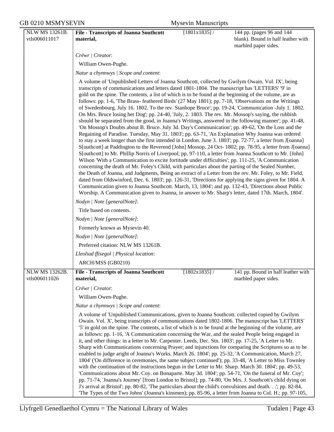| NLW MS 13261B.                  | <b>File - Transcripts of Joanna Southcott</b>                                                                                                                                                                                                                                                                                                                                                                                                                                                                                                                                                                                                                                                                                                                                                                                                                                                                                                                                                                                                                                                                                                                                                                                                                                                                                                                                                                                                                                                                                                                                                                                                                                                                                                                                                                                                                                                                                                   | $[1801x1835]$ / | 144 pp. (pages 96 and 144                                  |
|---------------------------------|-------------------------------------------------------------------------------------------------------------------------------------------------------------------------------------------------------------------------------------------------------------------------------------------------------------------------------------------------------------------------------------------------------------------------------------------------------------------------------------------------------------------------------------------------------------------------------------------------------------------------------------------------------------------------------------------------------------------------------------------------------------------------------------------------------------------------------------------------------------------------------------------------------------------------------------------------------------------------------------------------------------------------------------------------------------------------------------------------------------------------------------------------------------------------------------------------------------------------------------------------------------------------------------------------------------------------------------------------------------------------------------------------------------------------------------------------------------------------------------------------------------------------------------------------------------------------------------------------------------------------------------------------------------------------------------------------------------------------------------------------------------------------------------------------------------------------------------------------------------------------------------------------------------------------------------------------|-----------------|------------------------------------------------------------|
| vtls006011017                   | material,                                                                                                                                                                                                                                                                                                                                                                                                                                                                                                                                                                                                                                                                                                                                                                                                                                                                                                                                                                                                                                                                                                                                                                                                                                                                                                                                                                                                                                                                                                                                                                                                                                                                                                                                                                                                                                                                                                                                       |                 | blank). Bound in half leather with                         |
|                                 |                                                                                                                                                                                                                                                                                                                                                                                                                                                                                                                                                                                                                                                                                                                                                                                                                                                                                                                                                                                                                                                                                                                                                                                                                                                                                                                                                                                                                                                                                                                                                                                                                                                                                                                                                                                                                                                                                                                                                 |                 | marbled paper sides.                                       |
|                                 | Crëwr   Creator:                                                                                                                                                                                                                                                                                                                                                                                                                                                                                                                                                                                                                                                                                                                                                                                                                                                                                                                                                                                                                                                                                                                                                                                                                                                                                                                                                                                                                                                                                                                                                                                                                                                                                                                                                                                                                                                                                                                                |                 |                                                            |
|                                 | William Owen-Pughe.                                                                                                                                                                                                                                                                                                                                                                                                                                                                                                                                                                                                                                                                                                                                                                                                                                                                                                                                                                                                                                                                                                                                                                                                                                                                                                                                                                                                                                                                                                                                                                                                                                                                                                                                                                                                                                                                                                                             |                 |                                                            |
|                                 | Natur a chynnwys / Scope and content:                                                                                                                                                                                                                                                                                                                                                                                                                                                                                                                                                                                                                                                                                                                                                                                                                                                                                                                                                                                                                                                                                                                                                                                                                                                                                                                                                                                                                                                                                                                                                                                                                                                                                                                                                                                                                                                                                                           |                 |                                                            |
|                                 | A volume of 'Unpublished Letters of Joanna Southcott, collected by Gwilym Owain. Vol. IX', being<br>transcripts of communications and letters dated 1801-1804. The manuscript has 'LETTERS' '9' in<br>gold on the spine. The contents, a list of which is to be found at the beginning of the volume, are as<br>follows: pp. 1-6, 'The Brass- feathered Birds' (27 May 1801); pp. 7-18, 'Observations on the Writings<br>of Swedenbourg. July 16. 1802. To the rev. Stanhope Bruce'; pp. 19-24, 'Communication -July 1. 1802.<br>On Mrs. Bruce losing her Dog'; pp. 24-40, 'July, 2. 1803. The rev. Mr. Mossop's saying, the rubbish<br>should be separated from the good, in Joanna's Writings, answered in the following manner'; pp. 41-48,<br>'On Mossop's Doubts about B. Bruce. July 3d. Day's Communication'; pp. 49-62, 'On the Loss and the<br>Regaining of Paradise. Tuesday, May 31. 1803'; pp. 63-71, 'An Explanation Why Joanna was ordered<br>to stay a week longer than she first intended in London. June 3. 1803'; pp. 72-77, a letter from J[oanna]<br>S[outhcott] at Paddington to the Reverend [John] Mossop, 24 Oct- 1802; pp. 78-95, a letter from J[oanna]<br>S[outhcott] to Mr. Phillip Norris of Liverpool; pp. 97-110, a letter from Joanna Southcott to Mr. [John]<br>Wilson 'With a Communication to excite fortitude under difficulties'; pp. 111-25, 'A Communication<br>concerning the death of Mr. Foley's Child, with particulars about the parting of the Sealed Number,<br>the Death of Joanna, and Judgments, Being an extract of a Letter from the rev. Mr. Foley, to Mr. Field,<br>dated from Oldswinford, Dec. 6. 1803'; pp. 126-31, 'Directions for applying the signs given for 1804. A<br>Communication given to Joanna Southcott. March, 13, 1804'; and pp. 132-43, 'Directions about Public<br>Worship. A Communication given to Joanna, in answer to Mr. Sharp's letter, dated 17th. March, 1804'. |                 |                                                            |
|                                 | Nodyn   Note [generalNote]:                                                                                                                                                                                                                                                                                                                                                                                                                                                                                                                                                                                                                                                                                                                                                                                                                                                                                                                                                                                                                                                                                                                                                                                                                                                                                                                                                                                                                                                                                                                                                                                                                                                                                                                                                                                                                                                                                                                     |                 |                                                            |
|                                 | Title based on contents.                                                                                                                                                                                                                                                                                                                                                                                                                                                                                                                                                                                                                                                                                                                                                                                                                                                                                                                                                                                                                                                                                                                                                                                                                                                                                                                                                                                                                                                                                                                                                                                                                                                                                                                                                                                                                                                                                                                        |                 |                                                            |
|                                 | Nodyn   Note [generalNote]:                                                                                                                                                                                                                                                                                                                                                                                                                                                                                                                                                                                                                                                                                                                                                                                                                                                                                                                                                                                                                                                                                                                                                                                                                                                                                                                                                                                                                                                                                                                                                                                                                                                                                                                                                                                                                                                                                                                     |                 |                                                            |
|                                 | Formerly known as Mysevin 40.                                                                                                                                                                                                                                                                                                                                                                                                                                                                                                                                                                                                                                                                                                                                                                                                                                                                                                                                                                                                                                                                                                                                                                                                                                                                                                                                                                                                                                                                                                                                                                                                                                                                                                                                                                                                                                                                                                                   |                 |                                                            |
|                                 | Nodyn   Note [generalNote]:                                                                                                                                                                                                                                                                                                                                                                                                                                                                                                                                                                                                                                                                                                                                                                                                                                                                                                                                                                                                                                                                                                                                                                                                                                                                                                                                                                                                                                                                                                                                                                                                                                                                                                                                                                                                                                                                                                                     |                 |                                                            |
|                                 | Preferred citation: NLW MS 13261B.                                                                                                                                                                                                                                                                                                                                                                                                                                                                                                                                                                                                                                                                                                                                                                                                                                                                                                                                                                                                                                                                                                                                                                                                                                                                                                                                                                                                                                                                                                                                                                                                                                                                                                                                                                                                                                                                                                              |                 |                                                            |
|                                 | Lleoliad ffisegol   Physical location:                                                                                                                                                                                                                                                                                                                                                                                                                                                                                                                                                                                                                                                                                                                                                                                                                                                                                                                                                                                                                                                                                                                                                                                                                                                                                                                                                                                                                                                                                                                                                                                                                                                                                                                                                                                                                                                                                                          |                 |                                                            |
|                                 | ARCH/MSS (GB0210)                                                                                                                                                                                                                                                                                                                                                                                                                                                                                                                                                                                                                                                                                                                                                                                                                                                                                                                                                                                                                                                                                                                                                                                                                                                                                                                                                                                                                                                                                                                                                                                                                                                                                                                                                                                                                                                                                                                               |                 |                                                            |
| NLW MS 13262B.<br>vtls006011026 | File - Transcripts of Joanna Southcott<br>material,                                                                                                                                                                                                                                                                                                                                                                                                                                                                                                                                                                                                                                                                                                                                                                                                                                                                                                                                                                                                                                                                                                                                                                                                                                                                                                                                                                                                                                                                                                                                                                                                                                                                                                                                                                                                                                                                                             | $[1802x1835]$ / | 141 pp. Bound in half leather with<br>marbled paper sides. |
|                                 | Crëwr   Creator:                                                                                                                                                                                                                                                                                                                                                                                                                                                                                                                                                                                                                                                                                                                                                                                                                                                                                                                                                                                                                                                                                                                                                                                                                                                                                                                                                                                                                                                                                                                                                                                                                                                                                                                                                                                                                                                                                                                                |                 |                                                            |
|                                 | William Owen-Pughe.                                                                                                                                                                                                                                                                                                                                                                                                                                                                                                                                                                                                                                                                                                                                                                                                                                                                                                                                                                                                                                                                                                                                                                                                                                                                                                                                                                                                                                                                                                                                                                                                                                                                                                                                                                                                                                                                                                                             |                 |                                                            |
|                                 | Natur a chynnwys / Scope and content:                                                                                                                                                                                                                                                                                                                                                                                                                                                                                                                                                                                                                                                                                                                                                                                                                                                                                                                                                                                                                                                                                                                                                                                                                                                                                                                                                                                                                                                                                                                                                                                                                                                                                                                                                                                                                                                                                                           |                 |                                                            |
|                                 | A volume of 'Unpublished Communications, given to Joanna Southcott. collected copied by Gwilym<br>Owain. Vol. X', being transcripts of communications dated 1802-1806. The manuscript has 'LETTERS'<br>'5' in gold on the spine. The contents, a list of which is to be found at the beginning of the volume, are<br>as follows: pp. 1-16, 'A Communication concerning the War, and the sealed People being engaged in<br>it, and other things: in a letter to Mr. Carpenter. Leeds, Dec. Stn. 1803'; pp. 17-25, 'A Letter to Mr.<br>Sharp with Communications concerning Prayer; and injunctions for comparing the Scriptures so as to be<br>enabled to judge aright of Joanna's Works. March 26. 1804'; pp. 25-32, 'A Communication, March 27,<br>1804' ('On difference in ceremonies, the same subject continued'); pp. 33-48, 'A Letter to Miss Townley<br>with the continuation of the instructions begun in the Letter to Mr. Sharp. March 30. 1804'; pp. 49-53,<br>'Communications about Mr. Coy. on Bonaparte. May 3d. 1804'; pp. 54-71, 'On the funeral of Mr. Coy';<br>pp. 71-74, 'Joanna's Journey' [from London to Bristol]; pp. 74-80, 'On Mrs. J. Southcott's child dying on<br>J's arrival at Bristol'; pp. 80-82, 'The particulars about the child's convulsions and death'; pp. 82-84,<br>The Types of the Two Johns' (Joanna's kinsmen); pp. 85-96, a letter from Joanna to Col. H.; pp. 97-105,                                                                                                                                                                                                                                                                                                                                                                                                                                                                                                                              |                 |                                                            |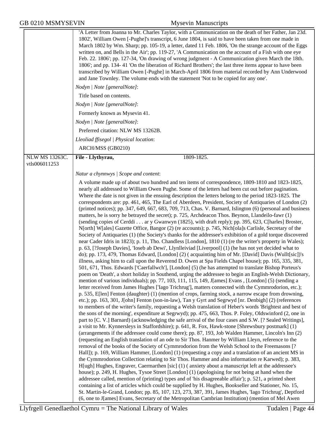|  | <b>GB 0210 MSMYSEVIN</b> |
|--|--------------------------|
|--|--------------------------|

|                       | 'A Letter from Joanna to Mr. Charles Taylor, with a Communication on the death of her Father, Jan 23d.<br>1802', William Owen [-Pughe]'s transcript, 6 June 1804, is said to have been taken from one made in<br>March 1802 by Wm. Sharp; pp. 105-19, a letter, dated 11 Feb. 1806, 'On the strange account of the Eggs<br>written on, and Bells in the Air'; pp. 119-27, 'A Communication on the account of a Fish with one eye<br>Feb. 22. 1806'; pp. 127-34, 'On drawing of wrong judgment - A Communication given March the 18th.<br>1806'; and pp. 134-41 'On the liberation of Richard Brothers'; the last three items appear to have been<br>transcribed by William Owen [-Pughe] in March-April 1806 from material recorded by Ann Underwood<br>and Jane Townley. The volume ends with the statement 'Not to be copied for any one'.                                                                                                                                                                                                                                                                                                                                                                                                                                                                                                                                                                                                                                                                                                                                                                                                                                                                                                                                                                                                                                                                                                                                                                                                                                                                                                                                                                                                                                                                                                                                                                                                                                                                                                                                                                                                                                                                                        |
|-----------------------|-------------------------------------------------------------------------------------------------------------------------------------------------------------------------------------------------------------------------------------------------------------------------------------------------------------------------------------------------------------------------------------------------------------------------------------------------------------------------------------------------------------------------------------------------------------------------------------------------------------------------------------------------------------------------------------------------------------------------------------------------------------------------------------------------------------------------------------------------------------------------------------------------------------------------------------------------------------------------------------------------------------------------------------------------------------------------------------------------------------------------------------------------------------------------------------------------------------------------------------------------------------------------------------------------------------------------------------------------------------------------------------------------------------------------------------------------------------------------------------------------------------------------------------------------------------------------------------------------------------------------------------------------------------------------------------------------------------------------------------------------------------------------------------------------------------------------------------------------------------------------------------------------------------------------------------------------------------------------------------------------------------------------------------------------------------------------------------------------------------------------------------------------------------------------------------------------------------------------------------------------------------------------------------------------------------------------------------------------------------------------------------------------------------------------------------------------------------------------------------------------------------------------------------------------------------------------------------------------------------------------------------------------------------------------------------------------------------------------------------|
|                       | Nodyn   Note [generalNote]:                                                                                                                                                                                                                                                                                                                                                                                                                                                                                                                                                                                                                                                                                                                                                                                                                                                                                                                                                                                                                                                                                                                                                                                                                                                                                                                                                                                                                                                                                                                                                                                                                                                                                                                                                                                                                                                                                                                                                                                                                                                                                                                                                                                                                                                                                                                                                                                                                                                                                                                                                                                                                                                                                                         |
|                       | Title based on contents.                                                                                                                                                                                                                                                                                                                                                                                                                                                                                                                                                                                                                                                                                                                                                                                                                                                                                                                                                                                                                                                                                                                                                                                                                                                                                                                                                                                                                                                                                                                                                                                                                                                                                                                                                                                                                                                                                                                                                                                                                                                                                                                                                                                                                                                                                                                                                                                                                                                                                                                                                                                                                                                                                                            |
|                       | Nodyn   Note [generalNote]:                                                                                                                                                                                                                                                                                                                                                                                                                                                                                                                                                                                                                                                                                                                                                                                                                                                                                                                                                                                                                                                                                                                                                                                                                                                                                                                                                                                                                                                                                                                                                                                                                                                                                                                                                                                                                                                                                                                                                                                                                                                                                                                                                                                                                                                                                                                                                                                                                                                                                                                                                                                                                                                                                                         |
|                       | Formerly known as Mysevin 41.                                                                                                                                                                                                                                                                                                                                                                                                                                                                                                                                                                                                                                                                                                                                                                                                                                                                                                                                                                                                                                                                                                                                                                                                                                                                                                                                                                                                                                                                                                                                                                                                                                                                                                                                                                                                                                                                                                                                                                                                                                                                                                                                                                                                                                                                                                                                                                                                                                                                                                                                                                                                                                                                                                       |
|                       | Nodyn   Note [generalNote]:                                                                                                                                                                                                                                                                                                                                                                                                                                                                                                                                                                                                                                                                                                                                                                                                                                                                                                                                                                                                                                                                                                                                                                                                                                                                                                                                                                                                                                                                                                                                                                                                                                                                                                                                                                                                                                                                                                                                                                                                                                                                                                                                                                                                                                                                                                                                                                                                                                                                                                                                                                                                                                                                                                         |
|                       | Preferred citation: NLW MS 13262B.                                                                                                                                                                                                                                                                                                                                                                                                                                                                                                                                                                                                                                                                                                                                                                                                                                                                                                                                                                                                                                                                                                                                                                                                                                                                                                                                                                                                                                                                                                                                                                                                                                                                                                                                                                                                                                                                                                                                                                                                                                                                                                                                                                                                                                                                                                                                                                                                                                                                                                                                                                                                                                                                                                  |
|                       | Lleoliad ffisegol   Physical location:                                                                                                                                                                                                                                                                                                                                                                                                                                                                                                                                                                                                                                                                                                                                                                                                                                                                                                                                                                                                                                                                                                                                                                                                                                                                                                                                                                                                                                                                                                                                                                                                                                                                                                                                                                                                                                                                                                                                                                                                                                                                                                                                                                                                                                                                                                                                                                                                                                                                                                                                                                                                                                                                                              |
|                       | ARCH/MSS (GB0210)                                                                                                                                                                                                                                                                                                                                                                                                                                                                                                                                                                                                                                                                                                                                                                                                                                                                                                                                                                                                                                                                                                                                                                                                                                                                                                                                                                                                                                                                                                                                                                                                                                                                                                                                                                                                                                                                                                                                                                                                                                                                                                                                                                                                                                                                                                                                                                                                                                                                                                                                                                                                                                                                                                                   |
| <b>NLW MS 13263C.</b> | File - Llythyrau,<br>1809-1825.                                                                                                                                                                                                                                                                                                                                                                                                                                                                                                                                                                                                                                                                                                                                                                                                                                                                                                                                                                                                                                                                                                                                                                                                                                                                                                                                                                                                                                                                                                                                                                                                                                                                                                                                                                                                                                                                                                                                                                                                                                                                                                                                                                                                                                                                                                                                                                                                                                                                                                                                                                                                                                                                                                     |
| vtls006011253         |                                                                                                                                                                                                                                                                                                                                                                                                                                                                                                                                                                                                                                                                                                                                                                                                                                                                                                                                                                                                                                                                                                                                                                                                                                                                                                                                                                                                                                                                                                                                                                                                                                                                                                                                                                                                                                                                                                                                                                                                                                                                                                                                                                                                                                                                                                                                                                                                                                                                                                                                                                                                                                                                                                                                     |
|                       | Natur a chynnwys / Scope and content:                                                                                                                                                                                                                                                                                                                                                                                                                                                                                                                                                                                                                                                                                                                                                                                                                                                                                                                                                                                                                                                                                                                                                                                                                                                                                                                                                                                                                                                                                                                                                                                                                                                                                                                                                                                                                                                                                                                                                                                                                                                                                                                                                                                                                                                                                                                                                                                                                                                                                                                                                                                                                                                                                               |
|                       | A volume made up of about two hundred and ten items of correspondence, 1809-1810 and 1823-1825,                                                                                                                                                                                                                                                                                                                                                                                                                                                                                                                                                                                                                                                                                                                                                                                                                                                                                                                                                                                                                                                                                                                                                                                                                                                                                                                                                                                                                                                                                                                                                                                                                                                                                                                                                                                                                                                                                                                                                                                                                                                                                                                                                                                                                                                                                                                                                                                                                                                                                                                                                                                                                                     |
|                       | nearly all addressed to William Owen Pughe. Some of the letters had been cut out before pagination.<br>Where the date is not given in the ensuing description the letters belong to the period 1823-1825. The<br>correspondents are: pp. 461, 465, The Earl of Aberdeen, President, Society of Antiquaries of London (2)<br>(printed notices); pp. 347, 649, 667, 683, 709, 713, Chas. V. Barnard, Islington (6) (personal and business<br>matters, he is sorry he betrayed the secret); p. 725, Archdeacon Thos. Beynon, Llandeilo-fawr (1)<br>(sending copies of Cerddi ar y Gwanwyn (1825), with draft reply); pp. 395, 623, C[harles] Broster,<br>N[orth] W[ales] Gazette Office, Bangor (2) (re accounts); p. 745, Nich[ola]s Carlisle, Secretary of the<br>Society of Antiquaries (1) (the Society's thanks for the addressee's exhibition of a gold torque discovered<br>near Cader Idris in 1823); p. 11, Tho. Chandless [London], 1810 (1) (re the writer's property in Wales);<br>p. 63, [?Joseph Davies], 'Ioseb ab Dewi', Llynlleiviad [Liverpool] (1) (he has not yet decided what to<br>do); pp. 173, 479, Thomas Edward, [London] (2) ( acquainting him of Mr. [David] Davis (Wullt[sic])'s<br>illness, asking him to call upon the Reverend D. Owen at Spa Fields Chapel house); pp. 165, 335, 381,<br>501, 671, Thos. Edwards ['Caerfallwch'], [London] (5) (he has attempted to translate Bishop Porteus's<br>poem on 'Death', a short holiday in Southend, urging the addressee to begin an English-Welsh Dictionary,<br>mention of various individuals); pp. 77, 103, 111, 115, 149, J[ames] Evans, [London] (5) (sending a<br>letter received from James Hughes ['Iago Trichrug'], matters connected with the Cymmrodorion, etc.);<br>p. 535, E[len] Fenton (daughter) (1) (mention of crops, farming stock, a narrow escape from drowning,<br>etc.); pp. 163, 301, J[ohn] Fenton (son-in-law), Tan y Gyrt and Segrwyd [nr. Denbigh] (2) (references<br>to members of the writer's family, requesting a Welsh translation of Heber's words 'Brightest and best of<br>the sons of the morning', expenditure at Segrwyd); pp. 475, 663, Thos. P. Foley, Oldswinford (2, one in<br>part to [C. V.] Barnard) (acknowledging the safe arrival of the four cases and S.W. [? Sealed Writings],<br>a visit to Mr. Kynnersleys in Staffordshire); p. 641, R. Fox, Hawk-stone [Shrewsbury postmark] (1)<br>(arrangements if the addressee could come there); pp. 87, 193, Job Walden Hammer, Lincoln's Inn (2)<br>(requesting an English translation of an ode to Sir Thos. Hanmer by William Lleyn, reference to the<br>removal of the books of the Society of Cymmrodorion from the Welsh School to the Freemasons [? |
|                       | Hall]); p. 169, William Hammer, [London] (1) (requesting a copy and a translation of an ancient MS in<br>the Cymmrodorion Collection relating to Sir Thos. Hammer and also information re Karwed); p. 383,<br>H[ugh] Hughes, Engraver, Caermarthen [sic] (1) (anxiety about a manuscript left at the addressee's<br>house); p. 249, H. Hughes, Tysoe Street [London] (1) (apologising for not being at hand when the<br>addressee called, mention of (printing) types and of 'his disagreeable affair'); p. 521, a printed sheet<br>containing a list of articles which could be supplied by H. Hughes, Bookseller and Stationer, No. 15,<br>St. Martin-le-Grand, London; pp. 85, 107, 123, 273, 387, 391, James Hughes, 'Iago Trichrug', Deptford<br>(6, one to J[ames] Evans, Secretary of the Metropolitan Cambrian Institution) (mention of Mel Awen                                                                                                                                                                                                                                                                                                                                                                                                                                                                                                                                                                                                                                                                                                                                                                                                                                                                                                                                                                                                                                                                                                                                                                                                                                                                                                                                                                                                                                                                                                                                                                                                                                                                                                                                                                                                                                                                            |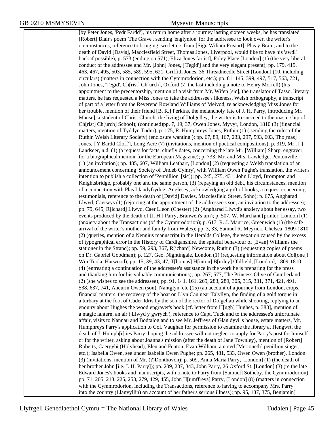[by Peter Jones, 'Pedr Fardd'], his return home after a journey lasting sixteen weeks, he has translated [Robert] Blair's poem 'The Grave', sending 'englynion' for the addressee to look over, the writer's circumstances, reference to bringing two letters from [Sign Wiliam Prisiart], Plas y Brain, and to the death of David [Davis], Macclesfield Street, Thomas Jones, Liverpool, would like to have his 'awdl' back if possible); p. 573 (ending on 571), Eliza Jones [artist], Foley Place [London] (1) (the very liberal conduct of the addressee and Mr. [John] Jones, ['Tegid'] and the very elegant present); pp. 179, 419, 463, 467, 495, 503, 585, 589, 595, 621, Griffith Jones, 36 Threadneedle Street [London] (10, including circulars) (matters in connection with the Cymmrodorion, etc.); pp. 81, 145, 399, 497, 517, 563, 721, John Jones, 'Tegid', Ch[rist] Ch[urch], Oxford (7, the last including a note to Henry Morrell) (his appointment to the precentorship, mention of a visit from Mr. Wifen [sic], the translator of Tasso, literary matters, he has requested a Miss Jones to take the addressee's likeness, Welsh orthography, a transcript of part of a letter from the Reverend Rowland Williams of Meivod, re acknowledging Miss Jones for her trouble, mention of their friend [B. R.] Perkins, the melancholy fate of J. H. Parry, introducing Mr. Manse], a student of Christ Church, the living of Dolgelley, the writer is to succeed to the mastership of Ch[rist] Ch[urch] School); (continued)pp. 7, 19, 37, Owen Jones, Myvyr, London, 1810 (3) (financial matters, mention of Tyddyn Tudur); p. 175, R. Humphreys Jones, Ruthin (1) ( sending the rules of the Ruthin Welsh Literary Society) (enclosure wanting ); pp. 67, 89, 167, 233, 297, 593, 603, Tho[mas] Jones, ['Y Bardd Cloff'], Long Acre (7) (invitations, mention of poetical compositions); p. 319, Mr . [ ] Landseer, n.d. (1) (a request for facts, chiefly dates, concerning the late Mr. [William] Sharp, engraver, for a biographical memoir for the European Magazine); p. 733, Mr. and Mrs. Lawledge, Pentonville (1) (an invitation); pp. 485, 607, William Leathart, [London] (2) (requesting a Welsh translation of an announcement concerning 'Society of Undeb Cymry', with William Owen Pughe's translation, the writer's intention to publish a collection of 'Pennillion' [sic]); pp. 245, 275, 431, John Lloyd, Brompton and Knightsbridge, probably one and the same person, (3) (repaying an old debt, his circumstances, mention of a connection with Plas Llandyfrydog, Anglesey, acknowledging a gift of books, a request concerning testimonials, reference to the death of [David] Davies, Macclesfield Street, Soho); p. 675, Angharad Llwyd, Caerwys (1) (rejoicing at the appointment of the addressee's son, an invitation to the addressee); pp. 79, 645, R[ichard] Llwyd, Caer Lleon (Chester) (2) (Angharad Llwyd's anxiety about her essay, two events produced by the death of [J. H.] Parry, Branwen's urn); p. 507, W. Marchant [printer, London] (1) (anxiety about the Transactions (of the Cymmrodorion); p. 617, R. J. Maurice, Greenwich (1) (the safe arrival of the writer's mother and family from Wales); pp. 3, 33, Samuel R. Meyrick, Chelsea, 1809-1810 (2) (queries, mention of a Nennius manuscript in the Heralds College, the vexation caused by the excess of typographical error in the History of Cardiganshire, the spiteful behaviour of [Evan] Williams the stationer in the Strand); pp. 59, 293, 367, R[ichard] Newcome, Ruthin (3) (requesting copies of poems on Dr. Gabriel Goodman); p. 127, Geo. Nightingale, London (1) (requesting information about Col[one]l Wm Tooke Harwood); pp. 15, 39, 43, 47, T[homas] H[inton] B[urley] Oldfield, [London], 1809-1810 (4) (entreating a continuation of the addressee's assistance in the work he is preparing for the press and thanking him for his valuable communications); pp. 267, 577, The Princess Olive of Cumberland (2) (she wishes to see the addressee); pp. 91, 141, 161, 269, 283, 289, 305, 315, 331, 371, 421, 491, 538, 637, 741, Aneurin Owen (son), Nantglyn, etc (15) (an account of a journey from London, crops, financial matters, the recovery of the boat on Llyn Cau near Talyllyn, the finding of a gold torque in a turbary at the foot of Cader Idris by the son of the rector of Dolgellau while shooting, replying to an enquiry about Hughes the wood engraver's book [cf. letter from H[ugh] Hughes, p. 383], mention of a magic lantern, an air ('Llwyd y gwrych'), reference to Capt. Tuck and to the addressee's unfortunate affair, visits to Nannau and Bodtalog and to see Mr. Jeffreys of Glan dyvi' s house, estate matters, Mr. Humphreys Parry's application to Col. Vaughan for permission to examine the library at Hengwrt, the death of J. Humph[r] ies Parry, hoping the addressee will not neglect to apply for Parry's post for himself or for the writer, asking about Joanna's mission (after the death of Jane Townley), mention of [Robert] Roberts, Caergybi (Holyhead), Elen and Fenton, Evan William, a noted [Merioneth] penillion singer, etc.); Isabella Owen, see under Isabella Owen Pughe; pp. 265, 481, 533, Owen Owen (brother), London (3) (invitations, mention of Mr. (?)Donthovon); p. 509, Anna Maria Parry, [London] (1) (the death of her brother John [i.e. J. H. Parry]); pp. 209, 237, 343, John Parry, 26 Oxford St. [London] (3) (re the late Edward Jones's books and manuscripts, with a note to Parry from [Samuel] Sotheby, the Cymmrodorion); pp. 71, 205, 213, 225, 253, 279, 429, 455, John H[umffreys] Parry, [London] (8) (matters in connection with the Cymmrodorion, including the Transactions, reference to having to accompany Mrs. Parry into the country (Llanvyllin) on account of her father's serious illness); pp. 95, 137, 375, Benjamin]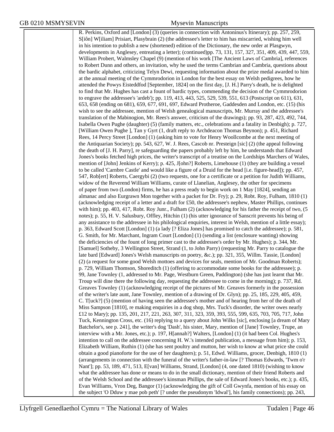R. Perkins, Oxford and [London] (3) (queries in connection with Antoninus's Itinerary); pp. 257, 259, S[iôn] W[iliam] Prisiart, Plasybrain (2) (the addressee's letter to him has miscarried, wishing him well in his intention to publish a new (shortened) edition of the Dictionary, the new order at Plasgwyn, developments in Anglesey, entreating a letter); (continued)pp. 73, 131, 157, 327, 351, 409, 439, 447, 559, William Probert, Walmsley Chapel (9) (mention of his work [The Ancient Laws of Cambria], references to Robert Dunn and others, an invitation, why he used the terms Cambrian and Cambria, questions about the bardic alphabet, criticizing Telyn Dewi, requesting information about the prize medal awarded to him at the annual meeting of the Cymmrodorion in London for the best essay on Welsh pedigrees, how he attended the Powys Eisteddfod [September, 1824] on the first day, [J. H.] Parry's death, he is delighted to find that Mr. Hughes has cast a fount of bardic types, commending the decision of the Cymmrodorion to engrave the addressee's 'ardeb'); pp. 119, 413, 443, 525, 529, 539, 551, 613 (Postscript on 611), 631, 653, 658 (ending on 681), 659, 677, 691, 697, Edward Protheroe, Gaddesden and London, etc. (15) (his wish to see the addressee, mention of Welsh genealogical manuscripts, Mr. Murray and the addressee's translation of the Mabinogion, Mr. Rees's answer, criticism of the drawings); pp. 93, 287, 423, 492, 744, Isabella Owen Pughe (daughter) (5) (family matters, etc., celebrations and a fatality in Denbigh); p. 727, [William Owen Pughe ], Tan y Gyrt (1, draft reply to Archdeacon Thomas Beynon); p. 451, Richard Rees, 14 Percy Street [London] (1) (asking him to vote for Henry Woollcombe at the next meeting of the Antiquarian Society); pp. 543, 627, W. J. Rees, Cascob nr. Presteign [sic] (2) (the appeal following the death of [J. H. Parry], re safeguarding the papers probably left by him, he understands that Edward Jones's books fetched high prices, the writer's transcript of a treatise on the Lordships Marchers of Wales, mention of [John] Jenkins of Kerry); p. 425, J[ohn?] Roberts, Limehouse (1) (they are building a vessel to be called 'Carnbre Castle' and would like a figure of a Druid for the head [i.e. figure-head]); pp. 457, 547, Rob[ert] Roberts, Caergybi (2) (two requests, one for a certificate or a petition for Judith Williams, widow of the Reverend William Williams, curate of Llanelian, Anglesey, the other for specimens of paper from two (London) firms, he has a press ready to begin work on 1 May [1824], sending an almanac and also Eurgrawn Mon together with a packet for Dr. Fry); p. 29, Robt. Roy, Fulham, 1810 (1) (acknowledging receipt of a letter and a draft for £50, the addressee's nephew, Master Phillips, continues with him); pp. 403, 417, Robt. Roy Junr., Fulham (2) (acknowledging for his father the receipt of two, (5) notes); p. 55, H. V. Salusbury, Offley, Hitchin (1) (his utter ignorance of Sanscrit prevents his being of any assistance to the addressee in his philological enquiries, interest in Welsh, mention of a little essay); p. 363, Edward Scott [London] (1) (a lady [? Eliza Jones] has promised to catch the addressee); p. 581, G. Smith, for Mr. Marchant, Ingram Court [London] (1) (sending a list (enclosure wanting) showing the deficiencies of the fount of long primer cast to the addressee's order by Mr. Hughes); p. 344, Mr. [Samuel] Sotheby, 3 Wellington Street, Strand (1, to John Parry) (requesting Mr. Parry to catalogue the late bard [Edward] Jones's Welsh manuscripts on poetry, &c.); pp. 321, 355, Willm. Tassie, [London] (2) (a request for some good Welsh mottoes and devices for seals, mention of Mr. Goodman Roberts); p. 729, William Thomson, Shoreditch (1) (offering to accommodate some books for the addressee); p. 99, Jane Townley (1, addressed to Mr. Page, Westburn Green, Paddington) (she has just learnt that Mr. Troup will dine there the following day, requesting the addressee to come in the morning); p. 737, Rd. Greaves Townley (1) (acknowledging receipt of the pictures of Mr. Greaves formerly in the possession of the writer's late aunt, Jane Townley, mention of a drawing of Dr. Glyn); pp. 25, 185, 229, 405, 459, C. T[uck?] (5) (mention of having seen the addressee's mother and of hearing from her of the death of Miss Sampson [1810], re making enquiries in a dog shop, Mrs. Tuck's disorder, the writer owes nearly £12 to Mary); pp. 135, 201, 217, 221, 263, 307, 311, 323, 359, 393, 555, 599, 635, 703, 705, 717, John Tuck, Kennington Cross, etc. (16) replying to a query about John Wilks [sic], enclosing [a dream of Mary Batchelor's, see p. 241], the writer's dog 'Dash', his sister, Mary, mention of [Jane] Townley, Trupe, an interview with a Mr. Jones, etc.); p. 197, H[annah?] Walters, [London] (1) (it had been Col. Hughes's intention to call on the addressee concerning H. W.'s intended publication, a message from him); p. 153, Elizabeth William, Ruthin (1) (she has sent poultry and mutton, her wish to know at what price she could obtain a good pianoforte for the use of her daughters); p. 51, Edwd. Williams, grocer, Denbigh, 1810 (1) (arrangements in connection with the funeral of the writer's father-in-law [? Thomas Edwards, 'Twm o'r Nant']; pp. 53, 189, 471, 513, E[van] Williams, Strand, [London] (4, one dated 1810) (wishing to know what the addressee has done or means to do in the small dictionary, mention of their friend Roberts and of the Welsh School and the addressee's kinsman Phillips, the sale of Edward Jones's books, etc.); p. 435, Evan Williams, Vron Deg, Bangor (1) (acknowledging the gift of Coll Gwynfa, mention of his essay on the subject 'O Dduw y mae pob peth' [? under the pseudonym 'Idwal'], his family connections); pp. 243,